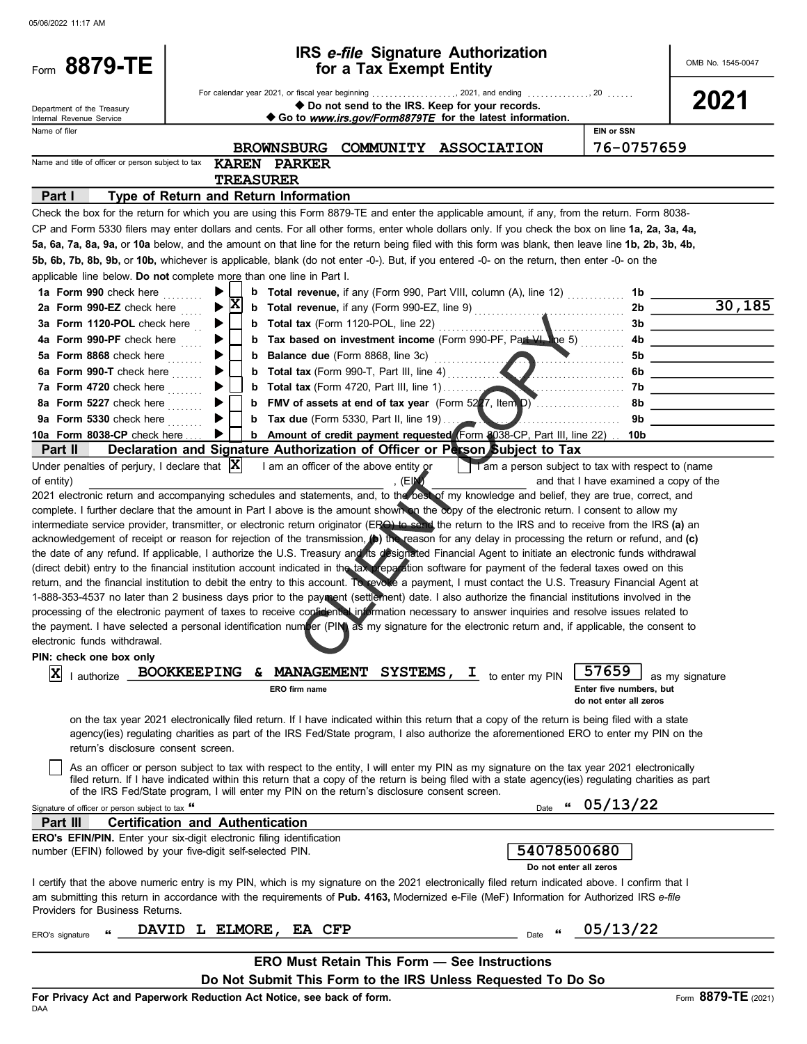| 05/06/2022 11:17 AM<br><b>IRS e-file Signature Authorization</b><br>Form 8879-TE<br>OMB No. 1545-0047<br>for a Tax Exempt Entity<br>For calendar year 2021, or fiscal year beginning 2021, and ending 20<br>2021<br>◆ Do not send to the IRS. Keep for your records.<br>Department of the Treasury<br>♦ Go to www.irs.gov/Form8879TE for the latest information.<br>Internal Revenue Service<br><b>EIN or SSN</b><br>Name of filer<br>76-0757659<br><b>BROWNSBURG</b><br>COMMUNITY ASSOCIATION<br>Name and title of officer or person subject to tax<br><b>KAREN PARKER</b><br><b>TREASURER</b><br>Type of Return and Return Information<br>Part I<br>Check the box for the return for which you are using this Form 8879-TE and enter the applicable amount, if any, from the return. Form 8038-<br>CP and Form 5330 filers may enter dollars and cents. For all other forms, enter whole dollars only. If you check the box on line 1a, 2a, 3a, 4a,<br>5a, 6a, 7a, 8a, 9a, or 10a below, and the amount on that line for the return being filed with this form was blank, then leave line 1b, 2b, 3b, 4b,<br>5b, 6b, 7b, 8b, 9b, or 10b, whichever is applicable, blank (do not enter -0-). But, if you entered -0- on the return, then enter -0- on the<br>applicable line below. Do not complete more than one line in Part I.<br>Total revenue, if any (Form 990, Part VIII, column (A), line 12)<br>1a Form 990 check here<br>2a Form 990-EZ check here<br>b<br><b>b</b> Total tax (Form 1120-POL, line 22)<br>3a Form 1120-POL check here<br><b>b</b> Tax based on investment income (Form 990-PF, Part VI, the 5)<br>4a Form 990-PF check here<br>5a Form 8868 check here<br>Balance due (Form 8868, line 3c)<br>b<br>Total tax (Form 990-T, Part III, line 4)<br>6a Form 990-T check here<br>b<br>6b<br>Total tax (Form 4720, Part III, line 1)<br>7a Form 4720 check here<br><b>FMV of assets at end of tax year</b> (Form 5227, Item D)<br>8a Form 5227 check here<br>9a Form 5330 check here<br>9b<br>b<br>b Amount of credit payment requested (Form 8038-CP, Part III, line 22)  10b<br>10a Form 8038-CP check here<br>Declaration and Signature Authorization of Officer or Person Subject to Tax<br>Part II<br>Under penalties of perjury, I declare that $ \mathbf{X} $<br>I am an officer of the above entity or<br>am a person subject to tax with respect to (name<br>(EIM<br>of entity)<br>and that I have examined a copy of the<br>2021 electronic return and accompanying schedules and statements, and, to the bestof my knowledge and belief, they are true, correct, and<br>complete. I further declare that the amount in Part I above is the amount shown on the copy of the electronic return. I consent to allow my<br>intermediate service provider, transmitter, or electronic return originator (ERO) to send the return to the IRS and to receive from the IRS (a) an<br>acknowledgement of receipt or reason for rejection of the transmission, (b) the reason for any delay in processing the return or refund, and (c)<br>the date of any refund. If applicable, I authorize the U.S. Treasury and its designated Financial Agent to initiate an electronic funds withdrawal<br>(direct debit) entry to the financial institution account indicated in the tax reparation software for payment of the federal taxes owed on this<br>return, and the financial institution to debit the entry to this account. To revoke a payment, I must contact the U.S. Treasury Financial Agent at<br>1-888-353-4537 no later than 2 business days prior to the payment (settlement) date. I also authorize the financial institutions involved in the<br>processing of the electronic payment of taxes to receive confidentel information necessary to answer inquiries and resolve issues related to<br>the payment. I have selected a personal identification number (PIN) as my signature for the electronic return and, if applicable, the consent to<br>electronic funds withdrawal.<br>PIN: check one box only<br>57659<br>BOOKKEEPING & MANAGEMENT SYSTEMS,<br>$ {\bf x} $<br>T,<br>to enter my PIN<br>authorize<br>as my signature<br>ERO firm name<br>Enter five numbers, but<br>do not enter all zeros<br>on the tax year 2021 electronically filed return. If I have indicated within this return that a copy of the return is being filed with a state<br>agency(ies) regulating charities as part of the IRS Fed/State program, I also authorize the aforementioned ERO to enter my PIN on the<br>return's disclosure consent screen.<br>As an officer or person subject to tax with respect to the entity, I will enter my PIN as my signature on the tax year 2021 electronically<br>filed return. If I have indicated within this return that a copy of the return is being filed with a state agency(ies) regulating charities as part<br>of the IRS Fed/State program, I will enter my PIN on the return's disclosure consent screen.<br>Date " $05/13/22$<br>Signature of officer or person subject to tax "<br><b>Certification and Authentication</b><br>Part III<br>ERO's EFIN/PIN. Enter your six-digit electronic filing identification<br>54078500680<br>number (EFIN) followed by your five-digit self-selected PIN.<br>Do not enter all zeros<br>I certify that the above numeric entry is my PIN, which is my signature on the 2021 electronically filed return indicated above. I confirm that I<br>am submitting this return in accordance with the requirements of Pub. 4163, Modernized e-File (MeF) Information for Authorized IRS e-file<br>Providers for Business Returns.<br>05/13/22<br>DAVID L ELMORE, EA CFP<br>Date<br>ERO's signature<br><b>ERO Must Retain This Form - See Instructions</b><br>Do Not Submit This Form to the IRS Unless Requested To Do So<br>For Privacy Act and Paperwork Reduction Act Notice, see back of form. |  |  |  |
|-----------------------------------------------------------------------------------------------------------------------------------------------------------------------------------------------------------------------------------------------------------------------------------------------------------------------------------------------------------------------------------------------------------------------------------------------------------------------------------------------------------------------------------------------------------------------------------------------------------------------------------------------------------------------------------------------------------------------------------------------------------------------------------------------------------------------------------------------------------------------------------------------------------------------------------------------------------------------------------------------------------------------------------------------------------------------------------------------------------------------------------------------------------------------------------------------------------------------------------------------------------------------------------------------------------------------------------------------------------------------------------------------------------------------------------------------------------------------------------------------------------------------------------------------------------------------------------------------------------------------------------------------------------------------------------------------------------------------------------------------------------------------------------------------------------------------------------------------------------------------------------------------------------------------------------------------------------------------------------------------------------------------------------------------------------------------------------------------------------------------------------------------------------------------------------------------------------------------------------------------------------------------------------------------------------------------------------------------------------------------------------------------------------------------------------------------------------------------------------------------------------------------------------------------------------------------------------------------------------------------------------------------------------------------------------------------------------------------------------------------------------------------------------------------------------------------------------------------------------------------------------------------------------------------------------------------------------------------------------------------------------------------------------------------------------------------------------------------------------------------------------------------------------------------------------------------------------------------------------------------------------------------------------------------------------------------------------------------------------------------------------------------------------------------------------------------------------------------------------------------------------------------------------------------------------------------------------------------------------------------------------------------------------------------------------------------------------------------------------------------------------------------------------------------------------------------------------------------------------------------------------------------------------------------------------------------------------------------------------------------------------------------------------------------------------------------------------------------------------------------------------------------------------------------------------------------------------------------------------------------------------------------------------------------------------------------------------------------------------------------------------------------------------------------------------------------------------------------------------------------------------------------------------------------------------------------------------------------------------------------------------------------------------------------------------------------------------------------------------------------------------------------------------------------------------------------------------------------------------------------------------------------------------------------------------------------------------------------------------------------------------------------------------------------------------------------------------------------------------------------------------------------------------------------------------------------------------------------------------------------------------------------------------------------------------------------------------------------------------------------------------------------------------------------------------------------------------------------------------------------------------------------------------------------------------------------------------------------------------------------------------------------------------------------------------------------------------------------------------------------------------------------------------------------------------------------------------------------------------------------------------------------------------|--|--|--|
|                                                                                                                                                                                                                                                                                                                                                                                                                                                                                                                                                                                                                                                                                                                                                                                                                                                                                                                                                                                                                                                                                                                                                                                                                                                                                                                                                                                                                                                                                                                                                                                                                                                                                                                                                                                                                                                                                                                                                                                                                                                                                                                                                                                                                                                                                                                                                                                                                                                                                                                                                                                                                                                                                                                                                                                                                                                                                                                                                                                                                                                                                                                                                                                                                                                                                                                                                                                                                                                                                                                                                                                                                                                                                                                                                                                                                                                                                                                                                                                                                                                                                                                                                                                                                                                                                                                                                                                                                                                                                                                                                                                                                                                                                                                                                                                                                                                                                                                                                                                                                                                                                                                                                                                                                                                                                                                                                                                                                                                                                                                                                                                                                                                                                                                                                                                                                                                                                                           |  |  |  |
|                                                                                                                                                                                                                                                                                                                                                                                                                                                                                                                                                                                                                                                                                                                                                                                                                                                                                                                                                                                                                                                                                                                                                                                                                                                                                                                                                                                                                                                                                                                                                                                                                                                                                                                                                                                                                                                                                                                                                                                                                                                                                                                                                                                                                                                                                                                                                                                                                                                                                                                                                                                                                                                                                                                                                                                                                                                                                                                                                                                                                                                                                                                                                                                                                                                                                                                                                                                                                                                                                                                                                                                                                                                                                                                                                                                                                                                                                                                                                                                                                                                                                                                                                                                                                                                                                                                                                                                                                                                                                                                                                                                                                                                                                                                                                                                                                                                                                                                                                                                                                                                                                                                                                                                                                                                                                                                                                                                                                                                                                                                                                                                                                                                                                                                                                                                                                                                                                                           |  |  |  |
|                                                                                                                                                                                                                                                                                                                                                                                                                                                                                                                                                                                                                                                                                                                                                                                                                                                                                                                                                                                                                                                                                                                                                                                                                                                                                                                                                                                                                                                                                                                                                                                                                                                                                                                                                                                                                                                                                                                                                                                                                                                                                                                                                                                                                                                                                                                                                                                                                                                                                                                                                                                                                                                                                                                                                                                                                                                                                                                                                                                                                                                                                                                                                                                                                                                                                                                                                                                                                                                                                                                                                                                                                                                                                                                                                                                                                                                                                                                                                                                                                                                                                                                                                                                                                                                                                                                                                                                                                                                                                                                                                                                                                                                                                                                                                                                                                                                                                                                                                                                                                                                                                                                                                                                                                                                                                                                                                                                                                                                                                                                                                                                                                                                                                                                                                                                                                                                                                                           |  |  |  |
|                                                                                                                                                                                                                                                                                                                                                                                                                                                                                                                                                                                                                                                                                                                                                                                                                                                                                                                                                                                                                                                                                                                                                                                                                                                                                                                                                                                                                                                                                                                                                                                                                                                                                                                                                                                                                                                                                                                                                                                                                                                                                                                                                                                                                                                                                                                                                                                                                                                                                                                                                                                                                                                                                                                                                                                                                                                                                                                                                                                                                                                                                                                                                                                                                                                                                                                                                                                                                                                                                                                                                                                                                                                                                                                                                                                                                                                                                                                                                                                                                                                                                                                                                                                                                                                                                                                                                                                                                                                                                                                                                                                                                                                                                                                                                                                                                                                                                                                                                                                                                                                                                                                                                                                                                                                                                                                                                                                                                                                                                                                                                                                                                                                                                                                                                                                                                                                                                                           |  |  |  |
|                                                                                                                                                                                                                                                                                                                                                                                                                                                                                                                                                                                                                                                                                                                                                                                                                                                                                                                                                                                                                                                                                                                                                                                                                                                                                                                                                                                                                                                                                                                                                                                                                                                                                                                                                                                                                                                                                                                                                                                                                                                                                                                                                                                                                                                                                                                                                                                                                                                                                                                                                                                                                                                                                                                                                                                                                                                                                                                                                                                                                                                                                                                                                                                                                                                                                                                                                                                                                                                                                                                                                                                                                                                                                                                                                                                                                                                                                                                                                                                                                                                                                                                                                                                                                                                                                                                                                                                                                                                                                                                                                                                                                                                                                                                                                                                                                                                                                                                                                                                                                                                                                                                                                                                                                                                                                                                                                                                                                                                                                                                                                                                                                                                                                                                                                                                                                                                                                                           |  |  |  |
| 30,185<br>Form 8879-TE (2021)                                                                                                                                                                                                                                                                                                                                                                                                                                                                                                                                                                                                                                                                                                                                                                                                                                                                                                                                                                                                                                                                                                                                                                                                                                                                                                                                                                                                                                                                                                                                                                                                                                                                                                                                                                                                                                                                                                                                                                                                                                                                                                                                                                                                                                                                                                                                                                                                                                                                                                                                                                                                                                                                                                                                                                                                                                                                                                                                                                                                                                                                                                                                                                                                                                                                                                                                                                                                                                                                                                                                                                                                                                                                                                                                                                                                                                                                                                                                                                                                                                                                                                                                                                                                                                                                                                                                                                                                                                                                                                                                                                                                                                                                                                                                                                                                                                                                                                                                                                                                                                                                                                                                                                                                                                                                                                                                                                                                                                                                                                                                                                                                                                                                                                                                                                                                                                                                             |  |  |  |
|                                                                                                                                                                                                                                                                                                                                                                                                                                                                                                                                                                                                                                                                                                                                                                                                                                                                                                                                                                                                                                                                                                                                                                                                                                                                                                                                                                                                                                                                                                                                                                                                                                                                                                                                                                                                                                                                                                                                                                                                                                                                                                                                                                                                                                                                                                                                                                                                                                                                                                                                                                                                                                                                                                                                                                                                                                                                                                                                                                                                                                                                                                                                                                                                                                                                                                                                                                                                                                                                                                                                                                                                                                                                                                                                                                                                                                                                                                                                                                                                                                                                                                                                                                                                                                                                                                                                                                                                                                                                                                                                                                                                                                                                                                                                                                                                                                                                                                                                                                                                                                                                                                                                                                                                                                                                                                                                                                                                                                                                                                                                                                                                                                                                                                                                                                                                                                                                                                           |  |  |  |
|                                                                                                                                                                                                                                                                                                                                                                                                                                                                                                                                                                                                                                                                                                                                                                                                                                                                                                                                                                                                                                                                                                                                                                                                                                                                                                                                                                                                                                                                                                                                                                                                                                                                                                                                                                                                                                                                                                                                                                                                                                                                                                                                                                                                                                                                                                                                                                                                                                                                                                                                                                                                                                                                                                                                                                                                                                                                                                                                                                                                                                                                                                                                                                                                                                                                                                                                                                                                                                                                                                                                                                                                                                                                                                                                                                                                                                                                                                                                                                                                                                                                                                                                                                                                                                                                                                                                                                                                                                                                                                                                                                                                                                                                                                                                                                                                                                                                                                                                                                                                                                                                                                                                                                                                                                                                                                                                                                                                                                                                                                                                                                                                                                                                                                                                                                                                                                                                                                           |  |  |  |
|                                                                                                                                                                                                                                                                                                                                                                                                                                                                                                                                                                                                                                                                                                                                                                                                                                                                                                                                                                                                                                                                                                                                                                                                                                                                                                                                                                                                                                                                                                                                                                                                                                                                                                                                                                                                                                                                                                                                                                                                                                                                                                                                                                                                                                                                                                                                                                                                                                                                                                                                                                                                                                                                                                                                                                                                                                                                                                                                                                                                                                                                                                                                                                                                                                                                                                                                                                                                                                                                                                                                                                                                                                                                                                                                                                                                                                                                                                                                                                                                                                                                                                                                                                                                                                                                                                                                                                                                                                                                                                                                                                                                                                                                                                                                                                                                                                                                                                                                                                                                                                                                                                                                                                                                                                                                                                                                                                                                                                                                                                                                                                                                                                                                                                                                                                                                                                                                                                           |  |  |  |
|                                                                                                                                                                                                                                                                                                                                                                                                                                                                                                                                                                                                                                                                                                                                                                                                                                                                                                                                                                                                                                                                                                                                                                                                                                                                                                                                                                                                                                                                                                                                                                                                                                                                                                                                                                                                                                                                                                                                                                                                                                                                                                                                                                                                                                                                                                                                                                                                                                                                                                                                                                                                                                                                                                                                                                                                                                                                                                                                                                                                                                                                                                                                                                                                                                                                                                                                                                                                                                                                                                                                                                                                                                                                                                                                                                                                                                                                                                                                                                                                                                                                                                                                                                                                                                                                                                                                                                                                                                                                                                                                                                                                                                                                                                                                                                                                                                                                                                                                                                                                                                                                                                                                                                                                                                                                                                                                                                                                                                                                                                                                                                                                                                                                                                                                                                                                                                                                                                           |  |  |  |
|                                                                                                                                                                                                                                                                                                                                                                                                                                                                                                                                                                                                                                                                                                                                                                                                                                                                                                                                                                                                                                                                                                                                                                                                                                                                                                                                                                                                                                                                                                                                                                                                                                                                                                                                                                                                                                                                                                                                                                                                                                                                                                                                                                                                                                                                                                                                                                                                                                                                                                                                                                                                                                                                                                                                                                                                                                                                                                                                                                                                                                                                                                                                                                                                                                                                                                                                                                                                                                                                                                                                                                                                                                                                                                                                                                                                                                                                                                                                                                                                                                                                                                                                                                                                                                                                                                                                                                                                                                                                                                                                                                                                                                                                                                                                                                                                                                                                                                                                                                                                                                                                                                                                                                                                                                                                                                                                                                                                                                                                                                                                                                                                                                                                                                                                                                                                                                                                                                           |  |  |  |
|                                                                                                                                                                                                                                                                                                                                                                                                                                                                                                                                                                                                                                                                                                                                                                                                                                                                                                                                                                                                                                                                                                                                                                                                                                                                                                                                                                                                                                                                                                                                                                                                                                                                                                                                                                                                                                                                                                                                                                                                                                                                                                                                                                                                                                                                                                                                                                                                                                                                                                                                                                                                                                                                                                                                                                                                                                                                                                                                                                                                                                                                                                                                                                                                                                                                                                                                                                                                                                                                                                                                                                                                                                                                                                                                                                                                                                                                                                                                                                                                                                                                                                                                                                                                                                                                                                                                                                                                                                                                                                                                                                                                                                                                                                                                                                                                                                                                                                                                                                                                                                                                                                                                                                                                                                                                                                                                                                                                                                                                                                                                                                                                                                                                                                                                                                                                                                                                                                           |  |  |  |
|                                                                                                                                                                                                                                                                                                                                                                                                                                                                                                                                                                                                                                                                                                                                                                                                                                                                                                                                                                                                                                                                                                                                                                                                                                                                                                                                                                                                                                                                                                                                                                                                                                                                                                                                                                                                                                                                                                                                                                                                                                                                                                                                                                                                                                                                                                                                                                                                                                                                                                                                                                                                                                                                                                                                                                                                                                                                                                                                                                                                                                                                                                                                                                                                                                                                                                                                                                                                                                                                                                                                                                                                                                                                                                                                                                                                                                                                                                                                                                                                                                                                                                                                                                                                                                                                                                                                                                                                                                                                                                                                                                                                                                                                                                                                                                                                                                                                                                                                                                                                                                                                                                                                                                                                                                                                                                                                                                                                                                                                                                                                                                                                                                                                                                                                                                                                                                                                                                           |  |  |  |
|                                                                                                                                                                                                                                                                                                                                                                                                                                                                                                                                                                                                                                                                                                                                                                                                                                                                                                                                                                                                                                                                                                                                                                                                                                                                                                                                                                                                                                                                                                                                                                                                                                                                                                                                                                                                                                                                                                                                                                                                                                                                                                                                                                                                                                                                                                                                                                                                                                                                                                                                                                                                                                                                                                                                                                                                                                                                                                                                                                                                                                                                                                                                                                                                                                                                                                                                                                                                                                                                                                                                                                                                                                                                                                                                                                                                                                                                                                                                                                                                                                                                                                                                                                                                                                                                                                                                                                                                                                                                                                                                                                                                                                                                                                                                                                                                                                                                                                                                                                                                                                                                                                                                                                                                                                                                                                                                                                                                                                                                                                                                                                                                                                                                                                                                                                                                                                                                                                           |  |  |  |
|                                                                                                                                                                                                                                                                                                                                                                                                                                                                                                                                                                                                                                                                                                                                                                                                                                                                                                                                                                                                                                                                                                                                                                                                                                                                                                                                                                                                                                                                                                                                                                                                                                                                                                                                                                                                                                                                                                                                                                                                                                                                                                                                                                                                                                                                                                                                                                                                                                                                                                                                                                                                                                                                                                                                                                                                                                                                                                                                                                                                                                                                                                                                                                                                                                                                                                                                                                                                                                                                                                                                                                                                                                                                                                                                                                                                                                                                                                                                                                                                                                                                                                                                                                                                                                                                                                                                                                                                                                                                                                                                                                                                                                                                                                                                                                                                                                                                                                                                                                                                                                                                                                                                                                                                                                                                                                                                                                                                                                                                                                                                                                                                                                                                                                                                                                                                                                                                                                           |  |  |  |
|                                                                                                                                                                                                                                                                                                                                                                                                                                                                                                                                                                                                                                                                                                                                                                                                                                                                                                                                                                                                                                                                                                                                                                                                                                                                                                                                                                                                                                                                                                                                                                                                                                                                                                                                                                                                                                                                                                                                                                                                                                                                                                                                                                                                                                                                                                                                                                                                                                                                                                                                                                                                                                                                                                                                                                                                                                                                                                                                                                                                                                                                                                                                                                                                                                                                                                                                                                                                                                                                                                                                                                                                                                                                                                                                                                                                                                                                                                                                                                                                                                                                                                                                                                                                                                                                                                                                                                                                                                                                                                                                                                                                                                                                                                                                                                                                                                                                                                                                                                                                                                                                                                                                                                                                                                                                                                                                                                                                                                                                                                                                                                                                                                                                                                                                                                                                                                                                                                           |  |  |  |
|                                                                                                                                                                                                                                                                                                                                                                                                                                                                                                                                                                                                                                                                                                                                                                                                                                                                                                                                                                                                                                                                                                                                                                                                                                                                                                                                                                                                                                                                                                                                                                                                                                                                                                                                                                                                                                                                                                                                                                                                                                                                                                                                                                                                                                                                                                                                                                                                                                                                                                                                                                                                                                                                                                                                                                                                                                                                                                                                                                                                                                                                                                                                                                                                                                                                                                                                                                                                                                                                                                                                                                                                                                                                                                                                                                                                                                                                                                                                                                                                                                                                                                                                                                                                                                                                                                                                                                                                                                                                                                                                                                                                                                                                                                                                                                                                                                                                                                                                                                                                                                                                                                                                                                                                                                                                                                                                                                                                                                                                                                                                                                                                                                                                                                                                                                                                                                                                                                           |  |  |  |
|                                                                                                                                                                                                                                                                                                                                                                                                                                                                                                                                                                                                                                                                                                                                                                                                                                                                                                                                                                                                                                                                                                                                                                                                                                                                                                                                                                                                                                                                                                                                                                                                                                                                                                                                                                                                                                                                                                                                                                                                                                                                                                                                                                                                                                                                                                                                                                                                                                                                                                                                                                                                                                                                                                                                                                                                                                                                                                                                                                                                                                                                                                                                                                                                                                                                                                                                                                                                                                                                                                                                                                                                                                                                                                                                                                                                                                                                                                                                                                                                                                                                                                                                                                                                                                                                                                                                                                                                                                                                                                                                                                                                                                                                                                                                                                                                                                                                                                                                                                                                                                                                                                                                                                                                                                                                                                                                                                                                                                                                                                                                                                                                                                                                                                                                                                                                                                                                                                           |  |  |  |
|                                                                                                                                                                                                                                                                                                                                                                                                                                                                                                                                                                                                                                                                                                                                                                                                                                                                                                                                                                                                                                                                                                                                                                                                                                                                                                                                                                                                                                                                                                                                                                                                                                                                                                                                                                                                                                                                                                                                                                                                                                                                                                                                                                                                                                                                                                                                                                                                                                                                                                                                                                                                                                                                                                                                                                                                                                                                                                                                                                                                                                                                                                                                                                                                                                                                                                                                                                                                                                                                                                                                                                                                                                                                                                                                                                                                                                                                                                                                                                                                                                                                                                                                                                                                                                                                                                                                                                                                                                                                                                                                                                                                                                                                                                                                                                                                                                                                                                                                                                                                                                                                                                                                                                                                                                                                                                                                                                                                                                                                                                                                                                                                                                                                                                                                                                                                                                                                                                           |  |  |  |
|                                                                                                                                                                                                                                                                                                                                                                                                                                                                                                                                                                                                                                                                                                                                                                                                                                                                                                                                                                                                                                                                                                                                                                                                                                                                                                                                                                                                                                                                                                                                                                                                                                                                                                                                                                                                                                                                                                                                                                                                                                                                                                                                                                                                                                                                                                                                                                                                                                                                                                                                                                                                                                                                                                                                                                                                                                                                                                                                                                                                                                                                                                                                                                                                                                                                                                                                                                                                                                                                                                                                                                                                                                                                                                                                                                                                                                                                                                                                                                                                                                                                                                                                                                                                                                                                                                                                                                                                                                                                                                                                                                                                                                                                                                                                                                                                                                                                                                                                                                                                                                                                                                                                                                                                                                                                                                                                                                                                                                                                                                                                                                                                                                                                                                                                                                                                                                                                                                           |  |  |  |
|                                                                                                                                                                                                                                                                                                                                                                                                                                                                                                                                                                                                                                                                                                                                                                                                                                                                                                                                                                                                                                                                                                                                                                                                                                                                                                                                                                                                                                                                                                                                                                                                                                                                                                                                                                                                                                                                                                                                                                                                                                                                                                                                                                                                                                                                                                                                                                                                                                                                                                                                                                                                                                                                                                                                                                                                                                                                                                                                                                                                                                                                                                                                                                                                                                                                                                                                                                                                                                                                                                                                                                                                                                                                                                                                                                                                                                                                                                                                                                                                                                                                                                                                                                                                                                                                                                                                                                                                                                                                                                                                                                                                                                                                                                                                                                                                                                                                                                                                                                                                                                                                                                                                                                                                                                                                                                                                                                                                                                                                                                                                                                                                                                                                                                                                                                                                                                                                                                           |  |  |  |
|                                                                                                                                                                                                                                                                                                                                                                                                                                                                                                                                                                                                                                                                                                                                                                                                                                                                                                                                                                                                                                                                                                                                                                                                                                                                                                                                                                                                                                                                                                                                                                                                                                                                                                                                                                                                                                                                                                                                                                                                                                                                                                                                                                                                                                                                                                                                                                                                                                                                                                                                                                                                                                                                                                                                                                                                                                                                                                                                                                                                                                                                                                                                                                                                                                                                                                                                                                                                                                                                                                                                                                                                                                                                                                                                                                                                                                                                                                                                                                                                                                                                                                                                                                                                                                                                                                                                                                                                                                                                                                                                                                                                                                                                                                                                                                                                                                                                                                                                                                                                                                                                                                                                                                                                                                                                                                                                                                                                                                                                                                                                                                                                                                                                                                                                                                                                                                                                                                           |  |  |  |
|                                                                                                                                                                                                                                                                                                                                                                                                                                                                                                                                                                                                                                                                                                                                                                                                                                                                                                                                                                                                                                                                                                                                                                                                                                                                                                                                                                                                                                                                                                                                                                                                                                                                                                                                                                                                                                                                                                                                                                                                                                                                                                                                                                                                                                                                                                                                                                                                                                                                                                                                                                                                                                                                                                                                                                                                                                                                                                                                                                                                                                                                                                                                                                                                                                                                                                                                                                                                                                                                                                                                                                                                                                                                                                                                                                                                                                                                                                                                                                                                                                                                                                                                                                                                                                                                                                                                                                                                                                                                                                                                                                                                                                                                                                                                                                                                                                                                                                                                                                                                                                                                                                                                                                                                                                                                                                                                                                                                                                                                                                                                                                                                                                                                                                                                                                                                                                                                                                           |  |  |  |
|                                                                                                                                                                                                                                                                                                                                                                                                                                                                                                                                                                                                                                                                                                                                                                                                                                                                                                                                                                                                                                                                                                                                                                                                                                                                                                                                                                                                                                                                                                                                                                                                                                                                                                                                                                                                                                                                                                                                                                                                                                                                                                                                                                                                                                                                                                                                                                                                                                                                                                                                                                                                                                                                                                                                                                                                                                                                                                                                                                                                                                                                                                                                                                                                                                                                                                                                                                                                                                                                                                                                                                                                                                                                                                                                                                                                                                                                                                                                                                                                                                                                                                                                                                                                                                                                                                                                                                                                                                                                                                                                                                                                                                                                                                                                                                                                                                                                                                                                                                                                                                                                                                                                                                                                                                                                                                                                                                                                                                                                                                                                                                                                                                                                                                                                                                                                                                                                                                           |  |  |  |
|                                                                                                                                                                                                                                                                                                                                                                                                                                                                                                                                                                                                                                                                                                                                                                                                                                                                                                                                                                                                                                                                                                                                                                                                                                                                                                                                                                                                                                                                                                                                                                                                                                                                                                                                                                                                                                                                                                                                                                                                                                                                                                                                                                                                                                                                                                                                                                                                                                                                                                                                                                                                                                                                                                                                                                                                                                                                                                                                                                                                                                                                                                                                                                                                                                                                                                                                                                                                                                                                                                                                                                                                                                                                                                                                                                                                                                                                                                                                                                                                                                                                                                                                                                                                                                                                                                                                                                                                                                                                                                                                                                                                                                                                                                                                                                                                                                                                                                                                                                                                                                                                                                                                                                                                                                                                                                                                                                                                                                                                                                                                                                                                                                                                                                                                                                                                                                                                                                           |  |  |  |
|                                                                                                                                                                                                                                                                                                                                                                                                                                                                                                                                                                                                                                                                                                                                                                                                                                                                                                                                                                                                                                                                                                                                                                                                                                                                                                                                                                                                                                                                                                                                                                                                                                                                                                                                                                                                                                                                                                                                                                                                                                                                                                                                                                                                                                                                                                                                                                                                                                                                                                                                                                                                                                                                                                                                                                                                                                                                                                                                                                                                                                                                                                                                                                                                                                                                                                                                                                                                                                                                                                                                                                                                                                                                                                                                                                                                                                                                                                                                                                                                                                                                                                                                                                                                                                                                                                                                                                                                                                                                                                                                                                                                                                                                                                                                                                                                                                                                                                                                                                                                                                                                                                                                                                                                                                                                                                                                                                                                                                                                                                                                                                                                                                                                                                                                                                                                                                                                                                           |  |  |  |
|                                                                                                                                                                                                                                                                                                                                                                                                                                                                                                                                                                                                                                                                                                                                                                                                                                                                                                                                                                                                                                                                                                                                                                                                                                                                                                                                                                                                                                                                                                                                                                                                                                                                                                                                                                                                                                                                                                                                                                                                                                                                                                                                                                                                                                                                                                                                                                                                                                                                                                                                                                                                                                                                                                                                                                                                                                                                                                                                                                                                                                                                                                                                                                                                                                                                                                                                                                                                                                                                                                                                                                                                                                                                                                                                                                                                                                                                                                                                                                                                                                                                                                                                                                                                                                                                                                                                                                                                                                                                                                                                                                                                                                                                                                                                                                                                                                                                                                                                                                                                                                                                                                                                                                                                                                                                                                                                                                                                                                                                                                                                                                                                                                                                                                                                                                                                                                                                                                           |  |  |  |
|                                                                                                                                                                                                                                                                                                                                                                                                                                                                                                                                                                                                                                                                                                                                                                                                                                                                                                                                                                                                                                                                                                                                                                                                                                                                                                                                                                                                                                                                                                                                                                                                                                                                                                                                                                                                                                                                                                                                                                                                                                                                                                                                                                                                                                                                                                                                                                                                                                                                                                                                                                                                                                                                                                                                                                                                                                                                                                                                                                                                                                                                                                                                                                                                                                                                                                                                                                                                                                                                                                                                                                                                                                                                                                                                                                                                                                                                                                                                                                                                                                                                                                                                                                                                                                                                                                                                                                                                                                                                                                                                                                                                                                                                                                                                                                                                                                                                                                                                                                                                                                                                                                                                                                                                                                                                                                                                                                                                                                                                                                                                                                                                                                                                                                                                                                                                                                                                                                           |  |  |  |
|                                                                                                                                                                                                                                                                                                                                                                                                                                                                                                                                                                                                                                                                                                                                                                                                                                                                                                                                                                                                                                                                                                                                                                                                                                                                                                                                                                                                                                                                                                                                                                                                                                                                                                                                                                                                                                                                                                                                                                                                                                                                                                                                                                                                                                                                                                                                                                                                                                                                                                                                                                                                                                                                                                                                                                                                                                                                                                                                                                                                                                                                                                                                                                                                                                                                                                                                                                                                                                                                                                                                                                                                                                                                                                                                                                                                                                                                                                                                                                                                                                                                                                                                                                                                                                                                                                                                                                                                                                                                                                                                                                                                                                                                                                                                                                                                                                                                                                                                                                                                                                                                                                                                                                                                                                                                                                                                                                                                                                                                                                                                                                                                                                                                                                                                                                                                                                                                                                           |  |  |  |
|                                                                                                                                                                                                                                                                                                                                                                                                                                                                                                                                                                                                                                                                                                                                                                                                                                                                                                                                                                                                                                                                                                                                                                                                                                                                                                                                                                                                                                                                                                                                                                                                                                                                                                                                                                                                                                                                                                                                                                                                                                                                                                                                                                                                                                                                                                                                                                                                                                                                                                                                                                                                                                                                                                                                                                                                                                                                                                                                                                                                                                                                                                                                                                                                                                                                                                                                                                                                                                                                                                                                                                                                                                                                                                                                                                                                                                                                                                                                                                                                                                                                                                                                                                                                                                                                                                                                                                                                                                                                                                                                                                                                                                                                                                                                                                                                                                                                                                                                                                                                                                                                                                                                                                                                                                                                                                                                                                                                                                                                                                                                                                                                                                                                                                                                                                                                                                                                                                           |  |  |  |
|                                                                                                                                                                                                                                                                                                                                                                                                                                                                                                                                                                                                                                                                                                                                                                                                                                                                                                                                                                                                                                                                                                                                                                                                                                                                                                                                                                                                                                                                                                                                                                                                                                                                                                                                                                                                                                                                                                                                                                                                                                                                                                                                                                                                                                                                                                                                                                                                                                                                                                                                                                                                                                                                                                                                                                                                                                                                                                                                                                                                                                                                                                                                                                                                                                                                                                                                                                                                                                                                                                                                                                                                                                                                                                                                                                                                                                                                                                                                                                                                                                                                                                                                                                                                                                                                                                                                                                                                                                                                                                                                                                                                                                                                                                                                                                                                                                                                                                                                                                                                                                                                                                                                                                                                                                                                                                                                                                                                                                                                                                                                                                                                                                                                                                                                                                                                                                                                                                           |  |  |  |
|                                                                                                                                                                                                                                                                                                                                                                                                                                                                                                                                                                                                                                                                                                                                                                                                                                                                                                                                                                                                                                                                                                                                                                                                                                                                                                                                                                                                                                                                                                                                                                                                                                                                                                                                                                                                                                                                                                                                                                                                                                                                                                                                                                                                                                                                                                                                                                                                                                                                                                                                                                                                                                                                                                                                                                                                                                                                                                                                                                                                                                                                                                                                                                                                                                                                                                                                                                                                                                                                                                                                                                                                                                                                                                                                                                                                                                                                                                                                                                                                                                                                                                                                                                                                                                                                                                                                                                                                                                                                                                                                                                                                                                                                                                                                                                                                                                                                                                                                                                                                                                                                                                                                                                                                                                                                                                                                                                                                                                                                                                                                                                                                                                                                                                                                                                                                                                                                                                           |  |  |  |
|                                                                                                                                                                                                                                                                                                                                                                                                                                                                                                                                                                                                                                                                                                                                                                                                                                                                                                                                                                                                                                                                                                                                                                                                                                                                                                                                                                                                                                                                                                                                                                                                                                                                                                                                                                                                                                                                                                                                                                                                                                                                                                                                                                                                                                                                                                                                                                                                                                                                                                                                                                                                                                                                                                                                                                                                                                                                                                                                                                                                                                                                                                                                                                                                                                                                                                                                                                                                                                                                                                                                                                                                                                                                                                                                                                                                                                                                                                                                                                                                                                                                                                                                                                                                                                                                                                                                                                                                                                                                                                                                                                                                                                                                                                                                                                                                                                                                                                                                                                                                                                                                                                                                                                                                                                                                                                                                                                                                                                                                                                                                                                                                                                                                                                                                                                                                                                                                                                           |  |  |  |
|                                                                                                                                                                                                                                                                                                                                                                                                                                                                                                                                                                                                                                                                                                                                                                                                                                                                                                                                                                                                                                                                                                                                                                                                                                                                                                                                                                                                                                                                                                                                                                                                                                                                                                                                                                                                                                                                                                                                                                                                                                                                                                                                                                                                                                                                                                                                                                                                                                                                                                                                                                                                                                                                                                                                                                                                                                                                                                                                                                                                                                                                                                                                                                                                                                                                                                                                                                                                                                                                                                                                                                                                                                                                                                                                                                                                                                                                                                                                                                                                                                                                                                                                                                                                                                                                                                                                                                                                                                                                                                                                                                                                                                                                                                                                                                                                                                                                                                                                                                                                                                                                                                                                                                                                                                                                                                                                                                                                                                                                                                                                                                                                                                                                                                                                                                                                                                                                                                           |  |  |  |
|                                                                                                                                                                                                                                                                                                                                                                                                                                                                                                                                                                                                                                                                                                                                                                                                                                                                                                                                                                                                                                                                                                                                                                                                                                                                                                                                                                                                                                                                                                                                                                                                                                                                                                                                                                                                                                                                                                                                                                                                                                                                                                                                                                                                                                                                                                                                                                                                                                                                                                                                                                                                                                                                                                                                                                                                                                                                                                                                                                                                                                                                                                                                                                                                                                                                                                                                                                                                                                                                                                                                                                                                                                                                                                                                                                                                                                                                                                                                                                                                                                                                                                                                                                                                                                                                                                                                                                                                                                                                                                                                                                                                                                                                                                                                                                                                                                                                                                                                                                                                                                                                                                                                                                                                                                                                                                                                                                                                                                                                                                                                                                                                                                                                                                                                                                                                                                                                                                           |  |  |  |
|                                                                                                                                                                                                                                                                                                                                                                                                                                                                                                                                                                                                                                                                                                                                                                                                                                                                                                                                                                                                                                                                                                                                                                                                                                                                                                                                                                                                                                                                                                                                                                                                                                                                                                                                                                                                                                                                                                                                                                                                                                                                                                                                                                                                                                                                                                                                                                                                                                                                                                                                                                                                                                                                                                                                                                                                                                                                                                                                                                                                                                                                                                                                                                                                                                                                                                                                                                                                                                                                                                                                                                                                                                                                                                                                                                                                                                                                                                                                                                                                                                                                                                                                                                                                                                                                                                                                                                                                                                                                                                                                                                                                                                                                                                                                                                                                                                                                                                                                                                                                                                                                                                                                                                                                                                                                                                                                                                                                                                                                                                                                                                                                                                                                                                                                                                                                                                                                                                           |  |  |  |
|                                                                                                                                                                                                                                                                                                                                                                                                                                                                                                                                                                                                                                                                                                                                                                                                                                                                                                                                                                                                                                                                                                                                                                                                                                                                                                                                                                                                                                                                                                                                                                                                                                                                                                                                                                                                                                                                                                                                                                                                                                                                                                                                                                                                                                                                                                                                                                                                                                                                                                                                                                                                                                                                                                                                                                                                                                                                                                                                                                                                                                                                                                                                                                                                                                                                                                                                                                                                                                                                                                                                                                                                                                                                                                                                                                                                                                                                                                                                                                                                                                                                                                                                                                                                                                                                                                                                                                                                                                                                                                                                                                                                                                                                                                                                                                                                                                                                                                                                                                                                                                                                                                                                                                                                                                                                                                                                                                                                                                                                                                                                                                                                                                                                                                                                                                                                                                                                                                           |  |  |  |
|                                                                                                                                                                                                                                                                                                                                                                                                                                                                                                                                                                                                                                                                                                                                                                                                                                                                                                                                                                                                                                                                                                                                                                                                                                                                                                                                                                                                                                                                                                                                                                                                                                                                                                                                                                                                                                                                                                                                                                                                                                                                                                                                                                                                                                                                                                                                                                                                                                                                                                                                                                                                                                                                                                                                                                                                                                                                                                                                                                                                                                                                                                                                                                                                                                                                                                                                                                                                                                                                                                                                                                                                                                                                                                                                                                                                                                                                                                                                                                                                                                                                                                                                                                                                                                                                                                                                                                                                                                                                                                                                                                                                                                                                                                                                                                                                                                                                                                                                                                                                                                                                                                                                                                                                                                                                                                                                                                                                                                                                                                                                                                                                                                                                                                                                                                                                                                                                                                           |  |  |  |
|                                                                                                                                                                                                                                                                                                                                                                                                                                                                                                                                                                                                                                                                                                                                                                                                                                                                                                                                                                                                                                                                                                                                                                                                                                                                                                                                                                                                                                                                                                                                                                                                                                                                                                                                                                                                                                                                                                                                                                                                                                                                                                                                                                                                                                                                                                                                                                                                                                                                                                                                                                                                                                                                                                                                                                                                                                                                                                                                                                                                                                                                                                                                                                                                                                                                                                                                                                                                                                                                                                                                                                                                                                                                                                                                                                                                                                                                                                                                                                                                                                                                                                                                                                                                                                                                                                                                                                                                                                                                                                                                                                                                                                                                                                                                                                                                                                                                                                                                                                                                                                                                                                                                                                                                                                                                                                                                                                                                                                                                                                                                                                                                                                                                                                                                                                                                                                                                                                           |  |  |  |
|                                                                                                                                                                                                                                                                                                                                                                                                                                                                                                                                                                                                                                                                                                                                                                                                                                                                                                                                                                                                                                                                                                                                                                                                                                                                                                                                                                                                                                                                                                                                                                                                                                                                                                                                                                                                                                                                                                                                                                                                                                                                                                                                                                                                                                                                                                                                                                                                                                                                                                                                                                                                                                                                                                                                                                                                                                                                                                                                                                                                                                                                                                                                                                                                                                                                                                                                                                                                                                                                                                                                                                                                                                                                                                                                                                                                                                                                                                                                                                                                                                                                                                                                                                                                                                                                                                                                                                                                                                                                                                                                                                                                                                                                                                                                                                                                                                                                                                                                                                                                                                                                                                                                                                                                                                                                                                                                                                                                                                                                                                                                                                                                                                                                                                                                                                                                                                                                                                           |  |  |  |
|                                                                                                                                                                                                                                                                                                                                                                                                                                                                                                                                                                                                                                                                                                                                                                                                                                                                                                                                                                                                                                                                                                                                                                                                                                                                                                                                                                                                                                                                                                                                                                                                                                                                                                                                                                                                                                                                                                                                                                                                                                                                                                                                                                                                                                                                                                                                                                                                                                                                                                                                                                                                                                                                                                                                                                                                                                                                                                                                                                                                                                                                                                                                                                                                                                                                                                                                                                                                                                                                                                                                                                                                                                                                                                                                                                                                                                                                                                                                                                                                                                                                                                                                                                                                                                                                                                                                                                                                                                                                                                                                                                                                                                                                                                                                                                                                                                                                                                                                                                                                                                                                                                                                                                                                                                                                                                                                                                                                                                                                                                                                                                                                                                                                                                                                                                                                                                                                                                           |  |  |  |
|                                                                                                                                                                                                                                                                                                                                                                                                                                                                                                                                                                                                                                                                                                                                                                                                                                                                                                                                                                                                                                                                                                                                                                                                                                                                                                                                                                                                                                                                                                                                                                                                                                                                                                                                                                                                                                                                                                                                                                                                                                                                                                                                                                                                                                                                                                                                                                                                                                                                                                                                                                                                                                                                                                                                                                                                                                                                                                                                                                                                                                                                                                                                                                                                                                                                                                                                                                                                                                                                                                                                                                                                                                                                                                                                                                                                                                                                                                                                                                                                                                                                                                                                                                                                                                                                                                                                                                                                                                                                                                                                                                                                                                                                                                                                                                                                                                                                                                                                                                                                                                                                                                                                                                                                                                                                                                                                                                                                                                                                                                                                                                                                                                                                                                                                                                                                                                                                                                           |  |  |  |
|                                                                                                                                                                                                                                                                                                                                                                                                                                                                                                                                                                                                                                                                                                                                                                                                                                                                                                                                                                                                                                                                                                                                                                                                                                                                                                                                                                                                                                                                                                                                                                                                                                                                                                                                                                                                                                                                                                                                                                                                                                                                                                                                                                                                                                                                                                                                                                                                                                                                                                                                                                                                                                                                                                                                                                                                                                                                                                                                                                                                                                                                                                                                                                                                                                                                                                                                                                                                                                                                                                                                                                                                                                                                                                                                                                                                                                                                                                                                                                                                                                                                                                                                                                                                                                                                                                                                                                                                                                                                                                                                                                                                                                                                                                                                                                                                                                                                                                                                                                                                                                                                                                                                                                                                                                                                                                                                                                                                                                                                                                                                                                                                                                                                                                                                                                                                                                                                                                           |  |  |  |
|                                                                                                                                                                                                                                                                                                                                                                                                                                                                                                                                                                                                                                                                                                                                                                                                                                                                                                                                                                                                                                                                                                                                                                                                                                                                                                                                                                                                                                                                                                                                                                                                                                                                                                                                                                                                                                                                                                                                                                                                                                                                                                                                                                                                                                                                                                                                                                                                                                                                                                                                                                                                                                                                                                                                                                                                                                                                                                                                                                                                                                                                                                                                                                                                                                                                                                                                                                                                                                                                                                                                                                                                                                                                                                                                                                                                                                                                                                                                                                                                                                                                                                                                                                                                                                                                                                                                                                                                                                                                                                                                                                                                                                                                                                                                                                                                                                                                                                                                                                                                                                                                                                                                                                                                                                                                                                                                                                                                                                                                                                                                                                                                                                                                                                                                                                                                                                                                                                           |  |  |  |
|                                                                                                                                                                                                                                                                                                                                                                                                                                                                                                                                                                                                                                                                                                                                                                                                                                                                                                                                                                                                                                                                                                                                                                                                                                                                                                                                                                                                                                                                                                                                                                                                                                                                                                                                                                                                                                                                                                                                                                                                                                                                                                                                                                                                                                                                                                                                                                                                                                                                                                                                                                                                                                                                                                                                                                                                                                                                                                                                                                                                                                                                                                                                                                                                                                                                                                                                                                                                                                                                                                                                                                                                                                                                                                                                                                                                                                                                                                                                                                                                                                                                                                                                                                                                                                                                                                                                                                                                                                                                                                                                                                                                                                                                                                                                                                                                                                                                                                                                                                                                                                                                                                                                                                                                                                                                                                                                                                                                                                                                                                                                                                                                                                                                                                                                                                                                                                                                                                           |  |  |  |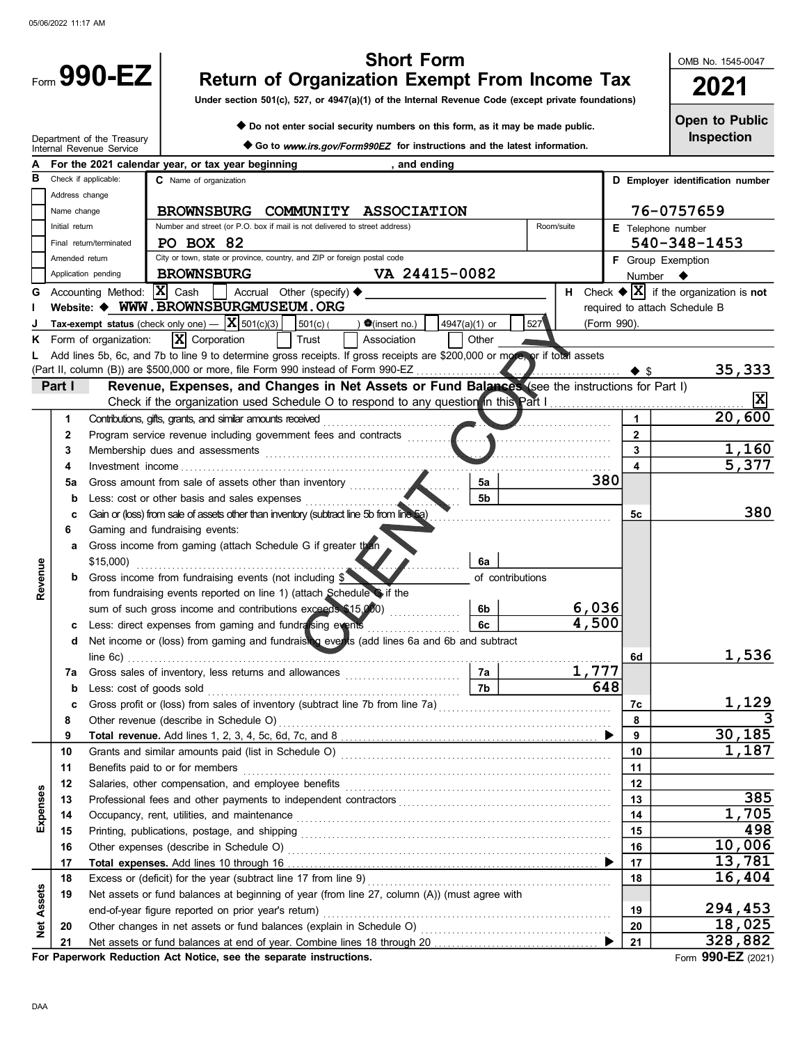| 05/06/2022 11:17 AM<br><b>Short Form</b><br>OMB No. 1545-0047<br>$_{\text{F} \text{orm}}$ 990-EZ<br>Return of Organization Exempt From Income Tax<br>2021<br>Under section 501(c), 527, or 4947(a)(1) of the Internal Revenue Code (except private foundations)<br><b>Open to Public</b><br>◆ Do not enter social security numbers on this form, as it may be made public.<br><b>Inspection</b><br>Department of the Treasury<br>♦ Go to www.irs.gov/Form990EZ for instructions and the latest information.<br>Internal Revenue Service<br>For the 2021 calendar year, or tax year beginning<br>, and ending<br>в<br>Check if applicable:<br>C Name of organization<br>D Employer identification number<br>Address change<br>76-0757659<br>Name change<br>BROWNSBURG COMMUNITY ASSOCIATION<br>Number and street (or P.O. box if mail is not delivered to street address)<br>Initial return<br>Room/suite<br>E Telephone number<br>540-348-1453<br>PO BOX 82<br>Final return/terminated<br>City or town, state or province, country, and ZIP or foreign postal code<br>Amended return<br>F Group Exemption<br>VA 24415-0082<br><b>BROWNSBURG</b><br>Application pending<br>Number $\blacklozenge$<br>$H$ Check $\blacklozenge \fbox{$\mathbf{X}$}$ if the organization is not<br>$\mathbf{X}$ Cash<br>Accrual Other (specify) $\blacklozenge$<br><b>Accounting Method:</b><br>G<br>Website: $\triangleleft$ WWW.BROWNSBURGMUSEUM.ORG<br>required to attach Schedule B<br>Tax-exempt status (check only one) $ \mathbf{X}$ 501(c)(3)<br>(Form 990).<br>527<br>$501(c)$ (<br><b>拳</b> (insert no.)<br>4947(a)(1) or<br>$\mathbf{X}$ Corporation<br>Trust<br>Other<br>Association<br>Form of organization:<br>Add lines 5b, 6c, and 7b to line 9 to determine gross receipts. If gross receipts are \$200,000 or more, or if total assets<br>35,333<br>(Part II, column (B)) are \$500,000 or more, file Form 990 instead of Form 990-EZ<br>$\bullet$ s<br>Revenue, Expenses, and Changes in Net Assets or Fund Balances (see the instructions for Part I)<br>Part I<br>$\overline{\mathbf{x}}$<br>Check if the organization used Schedule O to respond to any question in this Part I<br>20,600<br>Contributions, gifts, grants, and similar amounts received<br>$\mathbf 1$<br>Program service revenue including government fees and contracts<br>$\mathbf{2}$<br>2<br>1,160<br>3<br>Membership dues and assessments<br>3<br>5,377<br>4<br>4<br>380<br>Gross amount from sale of assets other than inventory<br>5а<br>5a<br>5 <sub>b</sub><br>Less: cost or other basis and sales expenses<br>b<br>380<br>Gain or (loss) from sale of assets other than inventory (subtract line 5b from line 5a)<br>5c<br>c<br>Gaming and fundraising events:<br>6<br>Gross income from gaming (attach Schedule G if greater than<br>a<br>6a<br>Revenue<br>\$15,000<br><b>b</b> Gross income from fundraising events (not including \$<br>of contributions<br>from fundraising events reported on line 1) (attach Schedule G if the<br>6,036<br>sum of such gross income and contributions exceeds \$15,000)<br>6b<br>.<br>4,500<br>c Less: direct expenses from gaming and fundra sing events<br>6c<br>Net income or (loss) from gaming and fundraising everyts (add lines 6a and 6b and subtract<br>d<br>1,536<br>6d<br>1,777<br>7а<br>648<br>Less: cost of goods sold<br>b<br>1,129<br>7c<br>8<br>Other revenue (describe in Schedule O) [[11] All and the contract of the schedule O and the contract of the contract of the contract of the contract of the contract of the contract of the contract of the contract of the co<br>8<br>30, 185<br>9<br>9<br>1,187<br>10<br>10<br>11<br>Benefits paid to or for members <b>contained a container and a container a container and container a</b><br>11<br>12<br>Salaries, other compensation, and employee benefits [11] content to content the compensation and employee benefits [11] content to content the content of the content of the content of the content of the content of the cont<br>12<br>Expenses<br>385<br>13<br>13<br>1,705<br>14<br>Occupancy, rent, utilities, and maintenance contained and according to the main contained and according to the<br>14<br>498<br>15<br>15<br>10,006<br>16<br>16<br>13,781<br>17<br>17<br>16,404<br>18<br>18<br>Assets<br>Net assets or fund balances at beginning of year (from line 27, column (A)) (must agree with<br>19<br>294,453<br>end-of-year figure reported on prior year's return)<br>19<br>18,025<br>20<br>$\frac{5}{2}$<br>20<br>21 |    |  |         |
|-----------------------------------------------------------------------------------------------------------------------------------------------------------------------------------------------------------------------------------------------------------------------------------------------------------------------------------------------------------------------------------------------------------------------------------------------------------------------------------------------------------------------------------------------------------------------------------------------------------------------------------------------------------------------------------------------------------------------------------------------------------------------------------------------------------------------------------------------------------------------------------------------------------------------------------------------------------------------------------------------------------------------------------------------------------------------------------------------------------------------------------------------------------------------------------------------------------------------------------------------------------------------------------------------------------------------------------------------------------------------------------------------------------------------------------------------------------------------------------------------------------------------------------------------------------------------------------------------------------------------------------------------------------------------------------------------------------------------------------------------------------------------------------------------------------------------------------------------------------------------------------------------------------------------------------------------------------------------------------------------------------------------------------------------------------------------------------------------------------------------------------------------------------------------------------------------------------------------------------------------------------------------------------------------------------------------------------------------------------------------------------------------------------------------------------------------------------------------------------------------------------------------------------------------------------------------------------------------------------------------------------------------------------------------------------------------------------------------------------------------------------------------------------------------------------------------------------------------------------------------------------------------------------------------------------------------------------------------------------------------------------------------------------------------------------------------------------------------------------------------------------------------------------------------------------------------------------------------------------------------------------------------------------------------------------------------------------------------------------------------------------------------------------------------------------------------------------------------------------------------------------------------------------------------------------------------------------------------------------------------------------------------------------------------------------------------------------------------------------------------------------------------------------------------------------------------------------------------------------------------------------------------------------------------------------------------------------------------------------------------------------------------------------------------------------------------------------------------------------------------------------------------------------------------------------------------------------------------------------------------------------------------------------------------------------------------------------------------------------------------------------------------------------------------------------------------------------------------------------------------------------------------------------------|----|--|---------|
|                                                                                                                                                                                                                                                                                                                                                                                                                                                                                                                                                                                                                                                                                                                                                                                                                                                                                                                                                                                                                                                                                                                                                                                                                                                                                                                                                                                                                                                                                                                                                                                                                                                                                                                                                                                                                                                                                                                                                                                                                                                                                                                                                                                                                                                                                                                                                                                                                                                                                                                                                                                                                                                                                                                                                                                                                                                                                                                                                                                                                                                                                                                                                                                                                                                                                                                                                                                                                                                                                                                                                                                                                                                                                                                                                                                                                                                                                                                                                                                                                                                                                                                                                                                                                                                                                                                                                                                                                                                                                                                                         |    |  |         |
|                                                                                                                                                                                                                                                                                                                                                                                                                                                                                                                                                                                                                                                                                                                                                                                                                                                                                                                                                                                                                                                                                                                                                                                                                                                                                                                                                                                                                                                                                                                                                                                                                                                                                                                                                                                                                                                                                                                                                                                                                                                                                                                                                                                                                                                                                                                                                                                                                                                                                                                                                                                                                                                                                                                                                                                                                                                                                                                                                                                                                                                                                                                                                                                                                                                                                                                                                                                                                                                                                                                                                                                                                                                                                                                                                                                                                                                                                                                                                                                                                                                                                                                                                                                                                                                                                                                                                                                                                                                                                                                                         |    |  |         |
|                                                                                                                                                                                                                                                                                                                                                                                                                                                                                                                                                                                                                                                                                                                                                                                                                                                                                                                                                                                                                                                                                                                                                                                                                                                                                                                                                                                                                                                                                                                                                                                                                                                                                                                                                                                                                                                                                                                                                                                                                                                                                                                                                                                                                                                                                                                                                                                                                                                                                                                                                                                                                                                                                                                                                                                                                                                                                                                                                                                                                                                                                                                                                                                                                                                                                                                                                                                                                                                                                                                                                                                                                                                                                                                                                                                                                                                                                                                                                                                                                                                                                                                                                                                                                                                                                                                                                                                                                                                                                                                                         |    |  |         |
|                                                                                                                                                                                                                                                                                                                                                                                                                                                                                                                                                                                                                                                                                                                                                                                                                                                                                                                                                                                                                                                                                                                                                                                                                                                                                                                                                                                                                                                                                                                                                                                                                                                                                                                                                                                                                                                                                                                                                                                                                                                                                                                                                                                                                                                                                                                                                                                                                                                                                                                                                                                                                                                                                                                                                                                                                                                                                                                                                                                                                                                                                                                                                                                                                                                                                                                                                                                                                                                                                                                                                                                                                                                                                                                                                                                                                                                                                                                                                                                                                                                                                                                                                                                                                                                                                                                                                                                                                                                                                                                                         |    |  |         |
|                                                                                                                                                                                                                                                                                                                                                                                                                                                                                                                                                                                                                                                                                                                                                                                                                                                                                                                                                                                                                                                                                                                                                                                                                                                                                                                                                                                                                                                                                                                                                                                                                                                                                                                                                                                                                                                                                                                                                                                                                                                                                                                                                                                                                                                                                                                                                                                                                                                                                                                                                                                                                                                                                                                                                                                                                                                                                                                                                                                                                                                                                                                                                                                                                                                                                                                                                                                                                                                                                                                                                                                                                                                                                                                                                                                                                                                                                                                                                                                                                                                                                                                                                                                                                                                                                                                                                                                                                                                                                                                                         |    |  |         |
|                                                                                                                                                                                                                                                                                                                                                                                                                                                                                                                                                                                                                                                                                                                                                                                                                                                                                                                                                                                                                                                                                                                                                                                                                                                                                                                                                                                                                                                                                                                                                                                                                                                                                                                                                                                                                                                                                                                                                                                                                                                                                                                                                                                                                                                                                                                                                                                                                                                                                                                                                                                                                                                                                                                                                                                                                                                                                                                                                                                                                                                                                                                                                                                                                                                                                                                                                                                                                                                                                                                                                                                                                                                                                                                                                                                                                                                                                                                                                                                                                                                                                                                                                                                                                                                                                                                                                                                                                                                                                                                                         |    |  |         |
|                                                                                                                                                                                                                                                                                                                                                                                                                                                                                                                                                                                                                                                                                                                                                                                                                                                                                                                                                                                                                                                                                                                                                                                                                                                                                                                                                                                                                                                                                                                                                                                                                                                                                                                                                                                                                                                                                                                                                                                                                                                                                                                                                                                                                                                                                                                                                                                                                                                                                                                                                                                                                                                                                                                                                                                                                                                                                                                                                                                                                                                                                                                                                                                                                                                                                                                                                                                                                                                                                                                                                                                                                                                                                                                                                                                                                                                                                                                                                                                                                                                                                                                                                                                                                                                                                                                                                                                                                                                                                                                                         |    |  |         |
|                                                                                                                                                                                                                                                                                                                                                                                                                                                                                                                                                                                                                                                                                                                                                                                                                                                                                                                                                                                                                                                                                                                                                                                                                                                                                                                                                                                                                                                                                                                                                                                                                                                                                                                                                                                                                                                                                                                                                                                                                                                                                                                                                                                                                                                                                                                                                                                                                                                                                                                                                                                                                                                                                                                                                                                                                                                                                                                                                                                                                                                                                                                                                                                                                                                                                                                                                                                                                                                                                                                                                                                                                                                                                                                                                                                                                                                                                                                                                                                                                                                                                                                                                                                                                                                                                                                                                                                                                                                                                                                                         |    |  |         |
|                                                                                                                                                                                                                                                                                                                                                                                                                                                                                                                                                                                                                                                                                                                                                                                                                                                                                                                                                                                                                                                                                                                                                                                                                                                                                                                                                                                                                                                                                                                                                                                                                                                                                                                                                                                                                                                                                                                                                                                                                                                                                                                                                                                                                                                                                                                                                                                                                                                                                                                                                                                                                                                                                                                                                                                                                                                                                                                                                                                                                                                                                                                                                                                                                                                                                                                                                                                                                                                                                                                                                                                                                                                                                                                                                                                                                                                                                                                                                                                                                                                                                                                                                                                                                                                                                                                                                                                                                                                                                                                                         |    |  |         |
|                                                                                                                                                                                                                                                                                                                                                                                                                                                                                                                                                                                                                                                                                                                                                                                                                                                                                                                                                                                                                                                                                                                                                                                                                                                                                                                                                                                                                                                                                                                                                                                                                                                                                                                                                                                                                                                                                                                                                                                                                                                                                                                                                                                                                                                                                                                                                                                                                                                                                                                                                                                                                                                                                                                                                                                                                                                                                                                                                                                                                                                                                                                                                                                                                                                                                                                                                                                                                                                                                                                                                                                                                                                                                                                                                                                                                                                                                                                                                                                                                                                                                                                                                                                                                                                                                                                                                                                                                                                                                                                                         |    |  |         |
|                                                                                                                                                                                                                                                                                                                                                                                                                                                                                                                                                                                                                                                                                                                                                                                                                                                                                                                                                                                                                                                                                                                                                                                                                                                                                                                                                                                                                                                                                                                                                                                                                                                                                                                                                                                                                                                                                                                                                                                                                                                                                                                                                                                                                                                                                                                                                                                                                                                                                                                                                                                                                                                                                                                                                                                                                                                                                                                                                                                                                                                                                                                                                                                                                                                                                                                                                                                                                                                                                                                                                                                                                                                                                                                                                                                                                                                                                                                                                                                                                                                                                                                                                                                                                                                                                                                                                                                                                                                                                                                                         |    |  |         |
|                                                                                                                                                                                                                                                                                                                                                                                                                                                                                                                                                                                                                                                                                                                                                                                                                                                                                                                                                                                                                                                                                                                                                                                                                                                                                                                                                                                                                                                                                                                                                                                                                                                                                                                                                                                                                                                                                                                                                                                                                                                                                                                                                                                                                                                                                                                                                                                                                                                                                                                                                                                                                                                                                                                                                                                                                                                                                                                                                                                                                                                                                                                                                                                                                                                                                                                                                                                                                                                                                                                                                                                                                                                                                                                                                                                                                                                                                                                                                                                                                                                                                                                                                                                                                                                                                                                                                                                                                                                                                                                                         |    |  |         |
|                                                                                                                                                                                                                                                                                                                                                                                                                                                                                                                                                                                                                                                                                                                                                                                                                                                                                                                                                                                                                                                                                                                                                                                                                                                                                                                                                                                                                                                                                                                                                                                                                                                                                                                                                                                                                                                                                                                                                                                                                                                                                                                                                                                                                                                                                                                                                                                                                                                                                                                                                                                                                                                                                                                                                                                                                                                                                                                                                                                                                                                                                                                                                                                                                                                                                                                                                                                                                                                                                                                                                                                                                                                                                                                                                                                                                                                                                                                                                                                                                                                                                                                                                                                                                                                                                                                                                                                                                                                                                                                                         |    |  |         |
|                                                                                                                                                                                                                                                                                                                                                                                                                                                                                                                                                                                                                                                                                                                                                                                                                                                                                                                                                                                                                                                                                                                                                                                                                                                                                                                                                                                                                                                                                                                                                                                                                                                                                                                                                                                                                                                                                                                                                                                                                                                                                                                                                                                                                                                                                                                                                                                                                                                                                                                                                                                                                                                                                                                                                                                                                                                                                                                                                                                                                                                                                                                                                                                                                                                                                                                                                                                                                                                                                                                                                                                                                                                                                                                                                                                                                                                                                                                                                                                                                                                                                                                                                                                                                                                                                                                                                                                                                                                                                                                                         |    |  |         |
|                                                                                                                                                                                                                                                                                                                                                                                                                                                                                                                                                                                                                                                                                                                                                                                                                                                                                                                                                                                                                                                                                                                                                                                                                                                                                                                                                                                                                                                                                                                                                                                                                                                                                                                                                                                                                                                                                                                                                                                                                                                                                                                                                                                                                                                                                                                                                                                                                                                                                                                                                                                                                                                                                                                                                                                                                                                                                                                                                                                                                                                                                                                                                                                                                                                                                                                                                                                                                                                                                                                                                                                                                                                                                                                                                                                                                                                                                                                                                                                                                                                                                                                                                                                                                                                                                                                                                                                                                                                                                                                                         |    |  |         |
|                                                                                                                                                                                                                                                                                                                                                                                                                                                                                                                                                                                                                                                                                                                                                                                                                                                                                                                                                                                                                                                                                                                                                                                                                                                                                                                                                                                                                                                                                                                                                                                                                                                                                                                                                                                                                                                                                                                                                                                                                                                                                                                                                                                                                                                                                                                                                                                                                                                                                                                                                                                                                                                                                                                                                                                                                                                                                                                                                                                                                                                                                                                                                                                                                                                                                                                                                                                                                                                                                                                                                                                                                                                                                                                                                                                                                                                                                                                                                                                                                                                                                                                                                                                                                                                                                                                                                                                                                                                                                                                                         |    |  |         |
|                                                                                                                                                                                                                                                                                                                                                                                                                                                                                                                                                                                                                                                                                                                                                                                                                                                                                                                                                                                                                                                                                                                                                                                                                                                                                                                                                                                                                                                                                                                                                                                                                                                                                                                                                                                                                                                                                                                                                                                                                                                                                                                                                                                                                                                                                                                                                                                                                                                                                                                                                                                                                                                                                                                                                                                                                                                                                                                                                                                                                                                                                                                                                                                                                                                                                                                                                                                                                                                                                                                                                                                                                                                                                                                                                                                                                                                                                                                                                                                                                                                                                                                                                                                                                                                                                                                                                                                                                                                                                                                                         |    |  |         |
|                                                                                                                                                                                                                                                                                                                                                                                                                                                                                                                                                                                                                                                                                                                                                                                                                                                                                                                                                                                                                                                                                                                                                                                                                                                                                                                                                                                                                                                                                                                                                                                                                                                                                                                                                                                                                                                                                                                                                                                                                                                                                                                                                                                                                                                                                                                                                                                                                                                                                                                                                                                                                                                                                                                                                                                                                                                                                                                                                                                                                                                                                                                                                                                                                                                                                                                                                                                                                                                                                                                                                                                                                                                                                                                                                                                                                                                                                                                                                                                                                                                                                                                                                                                                                                                                                                                                                                                                                                                                                                                                         |    |  |         |
|                                                                                                                                                                                                                                                                                                                                                                                                                                                                                                                                                                                                                                                                                                                                                                                                                                                                                                                                                                                                                                                                                                                                                                                                                                                                                                                                                                                                                                                                                                                                                                                                                                                                                                                                                                                                                                                                                                                                                                                                                                                                                                                                                                                                                                                                                                                                                                                                                                                                                                                                                                                                                                                                                                                                                                                                                                                                                                                                                                                                                                                                                                                                                                                                                                                                                                                                                                                                                                                                                                                                                                                                                                                                                                                                                                                                                                                                                                                                                                                                                                                                                                                                                                                                                                                                                                                                                                                                                                                                                                                                         |    |  |         |
|                                                                                                                                                                                                                                                                                                                                                                                                                                                                                                                                                                                                                                                                                                                                                                                                                                                                                                                                                                                                                                                                                                                                                                                                                                                                                                                                                                                                                                                                                                                                                                                                                                                                                                                                                                                                                                                                                                                                                                                                                                                                                                                                                                                                                                                                                                                                                                                                                                                                                                                                                                                                                                                                                                                                                                                                                                                                                                                                                                                                                                                                                                                                                                                                                                                                                                                                                                                                                                                                                                                                                                                                                                                                                                                                                                                                                                                                                                                                                                                                                                                                                                                                                                                                                                                                                                                                                                                                                                                                                                                                         |    |  |         |
|                                                                                                                                                                                                                                                                                                                                                                                                                                                                                                                                                                                                                                                                                                                                                                                                                                                                                                                                                                                                                                                                                                                                                                                                                                                                                                                                                                                                                                                                                                                                                                                                                                                                                                                                                                                                                                                                                                                                                                                                                                                                                                                                                                                                                                                                                                                                                                                                                                                                                                                                                                                                                                                                                                                                                                                                                                                                                                                                                                                                                                                                                                                                                                                                                                                                                                                                                                                                                                                                                                                                                                                                                                                                                                                                                                                                                                                                                                                                                                                                                                                                                                                                                                                                                                                                                                                                                                                                                                                                                                                                         |    |  |         |
|                                                                                                                                                                                                                                                                                                                                                                                                                                                                                                                                                                                                                                                                                                                                                                                                                                                                                                                                                                                                                                                                                                                                                                                                                                                                                                                                                                                                                                                                                                                                                                                                                                                                                                                                                                                                                                                                                                                                                                                                                                                                                                                                                                                                                                                                                                                                                                                                                                                                                                                                                                                                                                                                                                                                                                                                                                                                                                                                                                                                                                                                                                                                                                                                                                                                                                                                                                                                                                                                                                                                                                                                                                                                                                                                                                                                                                                                                                                                                                                                                                                                                                                                                                                                                                                                                                                                                                                                                                                                                                                                         |    |  |         |
|                                                                                                                                                                                                                                                                                                                                                                                                                                                                                                                                                                                                                                                                                                                                                                                                                                                                                                                                                                                                                                                                                                                                                                                                                                                                                                                                                                                                                                                                                                                                                                                                                                                                                                                                                                                                                                                                                                                                                                                                                                                                                                                                                                                                                                                                                                                                                                                                                                                                                                                                                                                                                                                                                                                                                                                                                                                                                                                                                                                                                                                                                                                                                                                                                                                                                                                                                                                                                                                                                                                                                                                                                                                                                                                                                                                                                                                                                                                                                                                                                                                                                                                                                                                                                                                                                                                                                                                                                                                                                                                                         |    |  |         |
|                                                                                                                                                                                                                                                                                                                                                                                                                                                                                                                                                                                                                                                                                                                                                                                                                                                                                                                                                                                                                                                                                                                                                                                                                                                                                                                                                                                                                                                                                                                                                                                                                                                                                                                                                                                                                                                                                                                                                                                                                                                                                                                                                                                                                                                                                                                                                                                                                                                                                                                                                                                                                                                                                                                                                                                                                                                                                                                                                                                                                                                                                                                                                                                                                                                                                                                                                                                                                                                                                                                                                                                                                                                                                                                                                                                                                                                                                                                                                                                                                                                                                                                                                                                                                                                                                                                                                                                                                                                                                                                                         |    |  |         |
|                                                                                                                                                                                                                                                                                                                                                                                                                                                                                                                                                                                                                                                                                                                                                                                                                                                                                                                                                                                                                                                                                                                                                                                                                                                                                                                                                                                                                                                                                                                                                                                                                                                                                                                                                                                                                                                                                                                                                                                                                                                                                                                                                                                                                                                                                                                                                                                                                                                                                                                                                                                                                                                                                                                                                                                                                                                                                                                                                                                                                                                                                                                                                                                                                                                                                                                                                                                                                                                                                                                                                                                                                                                                                                                                                                                                                                                                                                                                                                                                                                                                                                                                                                                                                                                                                                                                                                                                                                                                                                                                         |    |  |         |
|                                                                                                                                                                                                                                                                                                                                                                                                                                                                                                                                                                                                                                                                                                                                                                                                                                                                                                                                                                                                                                                                                                                                                                                                                                                                                                                                                                                                                                                                                                                                                                                                                                                                                                                                                                                                                                                                                                                                                                                                                                                                                                                                                                                                                                                                                                                                                                                                                                                                                                                                                                                                                                                                                                                                                                                                                                                                                                                                                                                                                                                                                                                                                                                                                                                                                                                                                                                                                                                                                                                                                                                                                                                                                                                                                                                                                                                                                                                                                                                                                                                                                                                                                                                                                                                                                                                                                                                                                                                                                                                                         |    |  |         |
|                                                                                                                                                                                                                                                                                                                                                                                                                                                                                                                                                                                                                                                                                                                                                                                                                                                                                                                                                                                                                                                                                                                                                                                                                                                                                                                                                                                                                                                                                                                                                                                                                                                                                                                                                                                                                                                                                                                                                                                                                                                                                                                                                                                                                                                                                                                                                                                                                                                                                                                                                                                                                                                                                                                                                                                                                                                                                                                                                                                                                                                                                                                                                                                                                                                                                                                                                                                                                                                                                                                                                                                                                                                                                                                                                                                                                                                                                                                                                                                                                                                                                                                                                                                                                                                                                                                                                                                                                                                                                                                                         |    |  |         |
|                                                                                                                                                                                                                                                                                                                                                                                                                                                                                                                                                                                                                                                                                                                                                                                                                                                                                                                                                                                                                                                                                                                                                                                                                                                                                                                                                                                                                                                                                                                                                                                                                                                                                                                                                                                                                                                                                                                                                                                                                                                                                                                                                                                                                                                                                                                                                                                                                                                                                                                                                                                                                                                                                                                                                                                                                                                                                                                                                                                                                                                                                                                                                                                                                                                                                                                                                                                                                                                                                                                                                                                                                                                                                                                                                                                                                                                                                                                                                                                                                                                                                                                                                                                                                                                                                                                                                                                                                                                                                                                                         |    |  |         |
|                                                                                                                                                                                                                                                                                                                                                                                                                                                                                                                                                                                                                                                                                                                                                                                                                                                                                                                                                                                                                                                                                                                                                                                                                                                                                                                                                                                                                                                                                                                                                                                                                                                                                                                                                                                                                                                                                                                                                                                                                                                                                                                                                                                                                                                                                                                                                                                                                                                                                                                                                                                                                                                                                                                                                                                                                                                                                                                                                                                                                                                                                                                                                                                                                                                                                                                                                                                                                                                                                                                                                                                                                                                                                                                                                                                                                                                                                                                                                                                                                                                                                                                                                                                                                                                                                                                                                                                                                                                                                                                                         |    |  |         |
|                                                                                                                                                                                                                                                                                                                                                                                                                                                                                                                                                                                                                                                                                                                                                                                                                                                                                                                                                                                                                                                                                                                                                                                                                                                                                                                                                                                                                                                                                                                                                                                                                                                                                                                                                                                                                                                                                                                                                                                                                                                                                                                                                                                                                                                                                                                                                                                                                                                                                                                                                                                                                                                                                                                                                                                                                                                                                                                                                                                                                                                                                                                                                                                                                                                                                                                                                                                                                                                                                                                                                                                                                                                                                                                                                                                                                                                                                                                                                                                                                                                                                                                                                                                                                                                                                                                                                                                                                                                                                                                                         |    |  |         |
|                                                                                                                                                                                                                                                                                                                                                                                                                                                                                                                                                                                                                                                                                                                                                                                                                                                                                                                                                                                                                                                                                                                                                                                                                                                                                                                                                                                                                                                                                                                                                                                                                                                                                                                                                                                                                                                                                                                                                                                                                                                                                                                                                                                                                                                                                                                                                                                                                                                                                                                                                                                                                                                                                                                                                                                                                                                                                                                                                                                                                                                                                                                                                                                                                                                                                                                                                                                                                                                                                                                                                                                                                                                                                                                                                                                                                                                                                                                                                                                                                                                                                                                                                                                                                                                                                                                                                                                                                                                                                                                                         |    |  |         |
|                                                                                                                                                                                                                                                                                                                                                                                                                                                                                                                                                                                                                                                                                                                                                                                                                                                                                                                                                                                                                                                                                                                                                                                                                                                                                                                                                                                                                                                                                                                                                                                                                                                                                                                                                                                                                                                                                                                                                                                                                                                                                                                                                                                                                                                                                                                                                                                                                                                                                                                                                                                                                                                                                                                                                                                                                                                                                                                                                                                                                                                                                                                                                                                                                                                                                                                                                                                                                                                                                                                                                                                                                                                                                                                                                                                                                                                                                                                                                                                                                                                                                                                                                                                                                                                                                                                                                                                                                                                                                                                                         |    |  |         |
|                                                                                                                                                                                                                                                                                                                                                                                                                                                                                                                                                                                                                                                                                                                                                                                                                                                                                                                                                                                                                                                                                                                                                                                                                                                                                                                                                                                                                                                                                                                                                                                                                                                                                                                                                                                                                                                                                                                                                                                                                                                                                                                                                                                                                                                                                                                                                                                                                                                                                                                                                                                                                                                                                                                                                                                                                                                                                                                                                                                                                                                                                                                                                                                                                                                                                                                                                                                                                                                                                                                                                                                                                                                                                                                                                                                                                                                                                                                                                                                                                                                                                                                                                                                                                                                                                                                                                                                                                                                                                                                                         |    |  |         |
|                                                                                                                                                                                                                                                                                                                                                                                                                                                                                                                                                                                                                                                                                                                                                                                                                                                                                                                                                                                                                                                                                                                                                                                                                                                                                                                                                                                                                                                                                                                                                                                                                                                                                                                                                                                                                                                                                                                                                                                                                                                                                                                                                                                                                                                                                                                                                                                                                                                                                                                                                                                                                                                                                                                                                                                                                                                                                                                                                                                                                                                                                                                                                                                                                                                                                                                                                                                                                                                                                                                                                                                                                                                                                                                                                                                                                                                                                                                                                                                                                                                                                                                                                                                                                                                                                                                                                                                                                                                                                                                                         |    |  |         |
|                                                                                                                                                                                                                                                                                                                                                                                                                                                                                                                                                                                                                                                                                                                                                                                                                                                                                                                                                                                                                                                                                                                                                                                                                                                                                                                                                                                                                                                                                                                                                                                                                                                                                                                                                                                                                                                                                                                                                                                                                                                                                                                                                                                                                                                                                                                                                                                                                                                                                                                                                                                                                                                                                                                                                                                                                                                                                                                                                                                                                                                                                                                                                                                                                                                                                                                                                                                                                                                                                                                                                                                                                                                                                                                                                                                                                                                                                                                                                                                                                                                                                                                                                                                                                                                                                                                                                                                                                                                                                                                                         |    |  |         |
|                                                                                                                                                                                                                                                                                                                                                                                                                                                                                                                                                                                                                                                                                                                                                                                                                                                                                                                                                                                                                                                                                                                                                                                                                                                                                                                                                                                                                                                                                                                                                                                                                                                                                                                                                                                                                                                                                                                                                                                                                                                                                                                                                                                                                                                                                                                                                                                                                                                                                                                                                                                                                                                                                                                                                                                                                                                                                                                                                                                                                                                                                                                                                                                                                                                                                                                                                                                                                                                                                                                                                                                                                                                                                                                                                                                                                                                                                                                                                                                                                                                                                                                                                                                                                                                                                                                                                                                                                                                                                                                                         |    |  |         |
|                                                                                                                                                                                                                                                                                                                                                                                                                                                                                                                                                                                                                                                                                                                                                                                                                                                                                                                                                                                                                                                                                                                                                                                                                                                                                                                                                                                                                                                                                                                                                                                                                                                                                                                                                                                                                                                                                                                                                                                                                                                                                                                                                                                                                                                                                                                                                                                                                                                                                                                                                                                                                                                                                                                                                                                                                                                                                                                                                                                                                                                                                                                                                                                                                                                                                                                                                                                                                                                                                                                                                                                                                                                                                                                                                                                                                                                                                                                                                                                                                                                                                                                                                                                                                                                                                                                                                                                                                                                                                                                                         |    |  |         |
|                                                                                                                                                                                                                                                                                                                                                                                                                                                                                                                                                                                                                                                                                                                                                                                                                                                                                                                                                                                                                                                                                                                                                                                                                                                                                                                                                                                                                                                                                                                                                                                                                                                                                                                                                                                                                                                                                                                                                                                                                                                                                                                                                                                                                                                                                                                                                                                                                                                                                                                                                                                                                                                                                                                                                                                                                                                                                                                                                                                                                                                                                                                                                                                                                                                                                                                                                                                                                                                                                                                                                                                                                                                                                                                                                                                                                                                                                                                                                                                                                                                                                                                                                                                                                                                                                                                                                                                                                                                                                                                                         |    |  |         |
|                                                                                                                                                                                                                                                                                                                                                                                                                                                                                                                                                                                                                                                                                                                                                                                                                                                                                                                                                                                                                                                                                                                                                                                                                                                                                                                                                                                                                                                                                                                                                                                                                                                                                                                                                                                                                                                                                                                                                                                                                                                                                                                                                                                                                                                                                                                                                                                                                                                                                                                                                                                                                                                                                                                                                                                                                                                                                                                                                                                                                                                                                                                                                                                                                                                                                                                                                                                                                                                                                                                                                                                                                                                                                                                                                                                                                                                                                                                                                                                                                                                                                                                                                                                                                                                                                                                                                                                                                                                                                                                                         |    |  |         |
|                                                                                                                                                                                                                                                                                                                                                                                                                                                                                                                                                                                                                                                                                                                                                                                                                                                                                                                                                                                                                                                                                                                                                                                                                                                                                                                                                                                                                                                                                                                                                                                                                                                                                                                                                                                                                                                                                                                                                                                                                                                                                                                                                                                                                                                                                                                                                                                                                                                                                                                                                                                                                                                                                                                                                                                                                                                                                                                                                                                                                                                                                                                                                                                                                                                                                                                                                                                                                                                                                                                                                                                                                                                                                                                                                                                                                                                                                                                                                                                                                                                                                                                                                                                                                                                                                                                                                                                                                                                                                                                                         |    |  |         |
|                                                                                                                                                                                                                                                                                                                                                                                                                                                                                                                                                                                                                                                                                                                                                                                                                                                                                                                                                                                                                                                                                                                                                                                                                                                                                                                                                                                                                                                                                                                                                                                                                                                                                                                                                                                                                                                                                                                                                                                                                                                                                                                                                                                                                                                                                                                                                                                                                                                                                                                                                                                                                                                                                                                                                                                                                                                                                                                                                                                                                                                                                                                                                                                                                                                                                                                                                                                                                                                                                                                                                                                                                                                                                                                                                                                                                                                                                                                                                                                                                                                                                                                                                                                                                                                                                                                                                                                                                                                                                                                                         |    |  |         |
|                                                                                                                                                                                                                                                                                                                                                                                                                                                                                                                                                                                                                                                                                                                                                                                                                                                                                                                                                                                                                                                                                                                                                                                                                                                                                                                                                                                                                                                                                                                                                                                                                                                                                                                                                                                                                                                                                                                                                                                                                                                                                                                                                                                                                                                                                                                                                                                                                                                                                                                                                                                                                                                                                                                                                                                                                                                                                                                                                                                                                                                                                                                                                                                                                                                                                                                                                                                                                                                                                                                                                                                                                                                                                                                                                                                                                                                                                                                                                                                                                                                                                                                                                                                                                                                                                                                                                                                                                                                                                                                                         |    |  |         |
|                                                                                                                                                                                                                                                                                                                                                                                                                                                                                                                                                                                                                                                                                                                                                                                                                                                                                                                                                                                                                                                                                                                                                                                                                                                                                                                                                                                                                                                                                                                                                                                                                                                                                                                                                                                                                                                                                                                                                                                                                                                                                                                                                                                                                                                                                                                                                                                                                                                                                                                                                                                                                                                                                                                                                                                                                                                                                                                                                                                                                                                                                                                                                                                                                                                                                                                                                                                                                                                                                                                                                                                                                                                                                                                                                                                                                                                                                                                                                                                                                                                                                                                                                                                                                                                                                                                                                                                                                                                                                                                                         |    |  |         |
|                                                                                                                                                                                                                                                                                                                                                                                                                                                                                                                                                                                                                                                                                                                                                                                                                                                                                                                                                                                                                                                                                                                                                                                                                                                                                                                                                                                                                                                                                                                                                                                                                                                                                                                                                                                                                                                                                                                                                                                                                                                                                                                                                                                                                                                                                                                                                                                                                                                                                                                                                                                                                                                                                                                                                                                                                                                                                                                                                                                                                                                                                                                                                                                                                                                                                                                                                                                                                                                                                                                                                                                                                                                                                                                                                                                                                                                                                                                                                                                                                                                                                                                                                                                                                                                                                                                                                                                                                                                                                                                                         |    |  |         |
|                                                                                                                                                                                                                                                                                                                                                                                                                                                                                                                                                                                                                                                                                                                                                                                                                                                                                                                                                                                                                                                                                                                                                                                                                                                                                                                                                                                                                                                                                                                                                                                                                                                                                                                                                                                                                                                                                                                                                                                                                                                                                                                                                                                                                                                                                                                                                                                                                                                                                                                                                                                                                                                                                                                                                                                                                                                                                                                                                                                                                                                                                                                                                                                                                                                                                                                                                                                                                                                                                                                                                                                                                                                                                                                                                                                                                                                                                                                                                                                                                                                                                                                                                                                                                                                                                                                                                                                                                                                                                                                                         |    |  |         |
|                                                                                                                                                                                                                                                                                                                                                                                                                                                                                                                                                                                                                                                                                                                                                                                                                                                                                                                                                                                                                                                                                                                                                                                                                                                                                                                                                                                                                                                                                                                                                                                                                                                                                                                                                                                                                                                                                                                                                                                                                                                                                                                                                                                                                                                                                                                                                                                                                                                                                                                                                                                                                                                                                                                                                                                                                                                                                                                                                                                                                                                                                                                                                                                                                                                                                                                                                                                                                                                                                                                                                                                                                                                                                                                                                                                                                                                                                                                                                                                                                                                                                                                                                                                                                                                                                                                                                                                                                                                                                                                                         |    |  |         |
|                                                                                                                                                                                                                                                                                                                                                                                                                                                                                                                                                                                                                                                                                                                                                                                                                                                                                                                                                                                                                                                                                                                                                                                                                                                                                                                                                                                                                                                                                                                                                                                                                                                                                                                                                                                                                                                                                                                                                                                                                                                                                                                                                                                                                                                                                                                                                                                                                                                                                                                                                                                                                                                                                                                                                                                                                                                                                                                                                                                                                                                                                                                                                                                                                                                                                                                                                                                                                                                                                                                                                                                                                                                                                                                                                                                                                                                                                                                                                                                                                                                                                                                                                                                                                                                                                                                                                                                                                                                                                                                                         |    |  |         |
|                                                                                                                                                                                                                                                                                                                                                                                                                                                                                                                                                                                                                                                                                                                                                                                                                                                                                                                                                                                                                                                                                                                                                                                                                                                                                                                                                                                                                                                                                                                                                                                                                                                                                                                                                                                                                                                                                                                                                                                                                                                                                                                                                                                                                                                                                                                                                                                                                                                                                                                                                                                                                                                                                                                                                                                                                                                                                                                                                                                                                                                                                                                                                                                                                                                                                                                                                                                                                                                                                                                                                                                                                                                                                                                                                                                                                                                                                                                                                                                                                                                                                                                                                                                                                                                                                                                                                                                                                                                                                                                                         |    |  |         |
|                                                                                                                                                                                                                                                                                                                                                                                                                                                                                                                                                                                                                                                                                                                                                                                                                                                                                                                                                                                                                                                                                                                                                                                                                                                                                                                                                                                                                                                                                                                                                                                                                                                                                                                                                                                                                                                                                                                                                                                                                                                                                                                                                                                                                                                                                                                                                                                                                                                                                                                                                                                                                                                                                                                                                                                                                                                                                                                                                                                                                                                                                                                                                                                                                                                                                                                                                                                                                                                                                                                                                                                                                                                                                                                                                                                                                                                                                                                                                                                                                                                                                                                                                                                                                                                                                                                                                                                                                                                                                                                                         |    |  |         |
|                                                                                                                                                                                                                                                                                                                                                                                                                                                                                                                                                                                                                                                                                                                                                                                                                                                                                                                                                                                                                                                                                                                                                                                                                                                                                                                                                                                                                                                                                                                                                                                                                                                                                                                                                                                                                                                                                                                                                                                                                                                                                                                                                                                                                                                                                                                                                                                                                                                                                                                                                                                                                                                                                                                                                                                                                                                                                                                                                                                                                                                                                                                                                                                                                                                                                                                                                                                                                                                                                                                                                                                                                                                                                                                                                                                                                                                                                                                                                                                                                                                                                                                                                                                                                                                                                                                                                                                                                                                                                                                                         | 21 |  | 328,882 |

For Paperwork Reduction Act Notice, see the separate instructions.

Form 990-EZ (2021)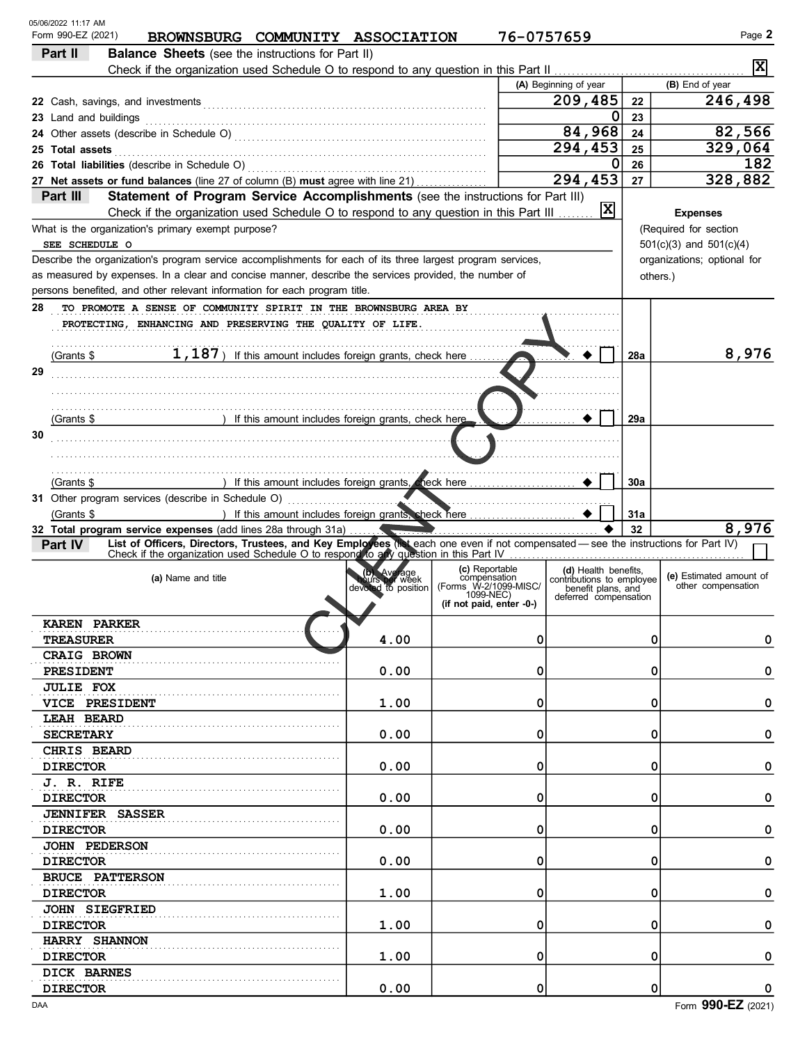| Form 990-EZ (2021)<br>BROWNSBURG COMMUNITY ASSOCIATION<br><b>Balance Sheets</b> (see the instructions for Part II)<br>Part II                                                                                                         |                                                           |                     |                                                                      |                                               |            |                                                                                                                    |
|---------------------------------------------------------------------------------------------------------------------------------------------------------------------------------------------------------------------------------------|-----------------------------------------------------------|---------------------|----------------------------------------------------------------------|-----------------------------------------------|------------|--------------------------------------------------------------------------------------------------------------------|
| Check if the organization used Schedule O to respond to any question in this Part II.                                                                                                                                                 |                                                           |                     |                                                                      |                                               |            | $\mathbf{x}$                                                                                                       |
|                                                                                                                                                                                                                                       |                                                           |                     |                                                                      | (A) Beginning of year<br>$\boxed{209,485}$ 22 |            | (B) End of year<br>246,498                                                                                         |
| 23 Land and buildings <b>constant and analyzing and analyzing and analyzing and analyzing analyzing and analyzing analyzing and analyzing and analyzing and analyzing and analyzing and analyzing and analyzing and analyzing an</b>  |                                                           |                     |                                                                      | $\overline{O}$<br>$84,968$ 24                 | 23         | 82,566                                                                                                             |
| 25 Total assets                                                                                                                                                                                                                       |                                                           |                     |                                                                      | 294, 453                                      | 25         | 329,064                                                                                                            |
| 26 Total liabilities (describe in Schedule O)<br>27 Net assets or fund balances (line 27 of column (B) must agree with line 21).                                                                                                      |                                                           |                     |                                                                      | 01<br>294, 453                                | 26<br>27   | 182<br>328,882                                                                                                     |
| Statement of Program Service Accomplishments (see the instructions for Part III)<br>Part III                                                                                                                                          |                                                           |                     |                                                                      |                                               |            |                                                                                                                    |
| Check if the organization used Schedule O to respond to any question in this Part III<br>What is the organization's primary exempt purpose?                                                                                           |                                                           |                     |                                                                      | $\mathbf{x}$                                  |            | <b>Expenses</b><br>(Required for section                                                                           |
| SEE SCHEDULE O                                                                                                                                                                                                                        |                                                           |                     |                                                                      |                                               |            | $501(c)(3)$ and $501(c)(4)$                                                                                        |
| Describe the organization's program service accomplishments for each of its three largest program services,<br>as measured by expenses. In a clear and concise manner, describe the services provided, the number of                  |                                                           |                     |                                                                      |                                               |            | organizations; optional for<br>others.)                                                                            |
| persons benefited, and other relevant information for each program title.<br>28<br>TO PROMOTE A SENSE OF COMMUNITY SPIRIT IN THE BROWNSBURG AREA BY                                                                                   |                                                           |                     |                                                                      |                                               |            |                                                                                                                    |
| PROTECTING, ENHANCING AND PRESERVING THE QUALITY OF LIFE.                                                                                                                                                                             |                                                           |                     |                                                                      |                                               |            |                                                                                                                    |
|                                                                                                                                                                                                                                       | 1,187) If this amount includes foreign grants, check here |                     |                                                                      |                                               | 28a        | 8,976                                                                                                              |
| (Grants \$<br>29                                                                                                                                                                                                                      |                                                           |                     |                                                                      |                                               |            |                                                                                                                    |
|                                                                                                                                                                                                                                       |                                                           |                     |                                                                      |                                               |            |                                                                                                                    |
| (Grants \$                                                                                                                                                                                                                            | If this amount includes foreign grants, check here        |                     |                                                                      |                                               | 29a        |                                                                                                                    |
|                                                                                                                                                                                                                                       |                                                           |                     |                                                                      |                                               |            |                                                                                                                    |
|                                                                                                                                                                                                                                       |                                                           |                     |                                                                      |                                               |            |                                                                                                                    |
|                                                                                                                                                                                                                                       |                                                           |                     |                                                                      |                                               |            |                                                                                                                    |
| (Grants \$                                                                                                                                                                                                                            | If this amount includes foreign grants,                   |                     | heck here                                                            |                                               | 30a        |                                                                                                                    |
| (Grants \$                                                                                                                                                                                                                            | ) If this amount includes foreign grants, check here      |                     |                                                                      |                                               | <b>31a</b> |                                                                                                                    |
| 30<br>31 Other program services (describe in Schedule O)<br>32 Total program service expenses (add lines 28a through 31a)                                                                                                             |                                                           |                     |                                                                      |                                               | 32         | 8,976                                                                                                              |
| List of Officers, Directors, Trustees, and Key Employees (let each one even if not compensated — see the instructions for Part IV)<br>Check if the organization used Schedule O to respond to any question in this Part IV<br>Part IV |                                                           |                     |                                                                      |                                               |            |                                                                                                                    |
| (a) Name and title                                                                                                                                                                                                                    |                                                           | week<br>to position | (c) Reportable<br>compensation<br>(Forms W-2/1099-MISC/<br>1099-NEC) | deferred compensation                         |            | (d) Health benefits,<br>contributions to employee (e) Estimated amount of<br>penefit plans, and other compensation |
| <b>KAREN PARKER</b>                                                                                                                                                                                                                   |                                                           |                     | (if not paid, enter -0-)                                             |                                               |            |                                                                                                                    |
| <b>TREASURER</b>                                                                                                                                                                                                                      | 4.00                                                      |                     |                                                                      |                                               |            | Ω<br>∩                                                                                                             |
| CRAIG BROWN                                                                                                                                                                                                                           |                                                           |                     | ∩                                                                    |                                               |            | O<br><sup>n</sup>                                                                                                  |
| <b>PRESIDENT</b><br><b>JULIE FOX</b>                                                                                                                                                                                                  | 0.00                                                      |                     |                                                                      |                                               |            |                                                                                                                    |
| VICE PRESIDENT                                                                                                                                                                                                                        | 1.00                                                      |                     | ∩                                                                    |                                               |            | $\Omega$<br>∩                                                                                                      |
| LEAH BEARD<br><b>SECRETARY</b>                                                                                                                                                                                                        | 0.00                                                      |                     | ∩                                                                    |                                               |            | $\Omega$                                                                                                           |
| CHRIS BEARD                                                                                                                                                                                                                           |                                                           |                     |                                                                      |                                               |            |                                                                                                                    |
| <b>DIRECTOR</b><br>J. R. RIFE                                                                                                                                                                                                         | 0.00                                                      |                     | ∩                                                                    |                                               |            | O                                                                                                                  |
| <b>DIRECTOR</b>                                                                                                                                                                                                                       | 0.00                                                      |                     | ∩                                                                    |                                               |            | $\Omega$                                                                                                           |
| <b>JENNIFER SASSER</b><br><b>DIRECTOR</b>                                                                                                                                                                                             | 0.00                                                      |                     | ∩                                                                    |                                               |            | O                                                                                                                  |
| JOHN PEDERSON                                                                                                                                                                                                                         |                                                           |                     |                                                                      |                                               |            |                                                                                                                    |
| <b>DIRECTOR</b><br><b>BRUCE PATTERSON</b>                                                                                                                                                                                             | 0.00                                                      |                     | O                                                                    |                                               |            | $\Omega$                                                                                                           |
| <b>DIRECTOR</b>                                                                                                                                                                                                                       | 1.00                                                      |                     |                                                                      |                                               |            |                                                                                                                    |
| <b>JOHN SIEGFRIED</b>                                                                                                                                                                                                                 |                                                           |                     | 0                                                                    |                                               |            | Ω                                                                                                                  |
| <b>DIRECTOR</b><br>HARRY SHANNON                                                                                                                                                                                                      | 1.00                                                      |                     |                                                                      |                                               |            |                                                                                                                    |
| <b>DIRECTOR</b>                                                                                                                                                                                                                       | 1.00                                                      |                     | O                                                                    |                                               |            | O                                                                                                                  |
| DICK BARNES<br><b>DIRECTOR</b>                                                                                                                                                                                                        | 0.00                                                      |                     | ∩                                                                    |                                               |            | 0                                                                                                                  |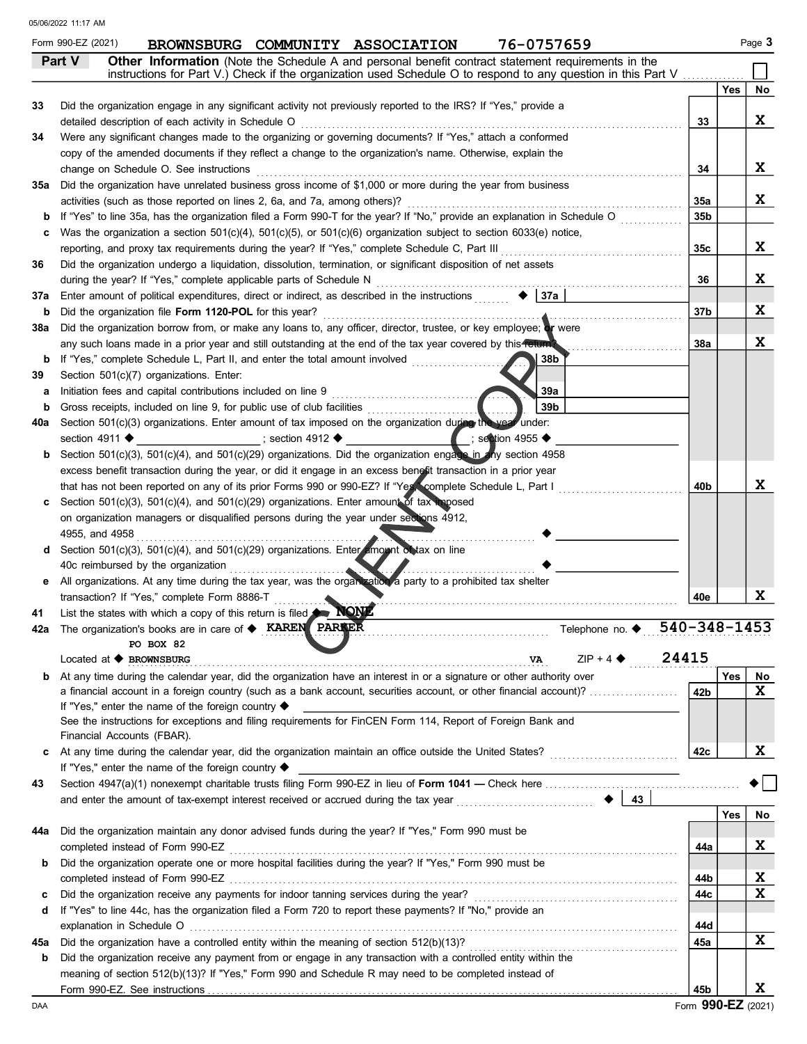|    | 05/06/2022 11:17 AM                                                                                                                                                                                                                  |              |                   |
|----|--------------------------------------------------------------------------------------------------------------------------------------------------------------------------------------------------------------------------------------|--------------|-------------------|
|    | Form 990-EZ (2021)<br>76-0757659<br>BROWNSBURG COMMUNITY ASSOCIATION<br>Part V<br>Other Information (Note the Schedule A and personal benefit contract statement requirements in the                                                 |              | Page 3            |
|    | instructions for Part V.) Check if the organization used Schedule O to respond to any question in this Part V                                                                                                                        |              | Yes<br>No         |
| 33 | Did the organization engage in any significant activity not previously reported to the IRS? If "Yes," provide a                                                                                                                      |              |                   |
|    |                                                                                                                                                                                                                                      | 33           | X                 |
| 34 | Were any significant changes made to the organizing or governing documents? If "Yes," attach a conformed<br>copy of the amended documents if they reflect a change to the organization's name. Otherwise, explain the                |              |                   |
|    | change on Schedule O. See instructions<br>35a Did the organization have unrelated business gross income of \$1,000 or more during the year from business                                                                             | 34           | X                 |
|    | activities (such as those reported on lines 2, 6a, and 7a, among others)?                                                                                                                                                            | <b>35a</b>   | X                 |
|    | b If "Yes" to line 35a, has the organization filed a Form 990-T for the year? If "No," provide an explanation in Schedule O                                                                                                          | 35b          |                   |
|    | c Was the organization a section $501(c)(4)$ , $501(c)(5)$ , or $501(c)(6)$ organization subject to section 6033(e) notice,<br>reporting, and proxy tax requirements during the year? If "Yes," complete Schedule C, Part III        | 35c          | X                 |
| 36 | Did the organization undergo a liquidation, dissolution, termination, or significant disposition of net assets                                                                                                                       |              |                   |
|    | during the year? If "Yes," complete applicable parts of Schedule N<br>37a Enter amount of political expenditures, direct or indirect, as described in the instructions $\bullet$ 37a                                                 | 36           | X                 |
|    | Did the organization file Form 1120-POL for this year?                                                                                                                                                                               | 37b          |                   |
|    | 38a Did the organization borrow from, or make any loans to, any officer, director, trustee, or key employee; or were<br>any such loans made in a prior year and still outstanding at the end of the tax year covered by this fetural | <b>38a</b>   | X                 |
|    | <b>b</b> If "Yes," complete Schedule L, Part II, and enter the total amount involved<br>38b                                                                                                                                          |              |                   |
| 39 | Section 501(c)(7) organizations. Enter:<br>Initiation fees and capital contributions included on line 9<br>39a                                                                                                                       |              |                   |
|    | 39b<br>Gross receipts, included on line 9, for public use of club facilities                                                                                                                                                         |              |                   |
|    | 40a Section 501(c)(3) organizations. Enter amount of tax imposed on the organization during the year under:<br>; section 4955 $\blacklozenge$<br>section 4911 $\blacklozenge$<br>; section 4912 ♦                                    |              |                   |
|    | <b>b</b> Section 501(c)(3), 501(c)(4), and 501(c)(29) organizations. Did the organization engage in 2ny section 4958                                                                                                                 |              |                   |
|    | excess benefit transaction during the year, or did it engage in an excess benefit transaction in a prior year                                                                                                                        |              |                   |
|    | that has not been reported on any of its prior Forms 990 or 990-EZ? If "Yes" complete Schedule L, Part I<br>c Section 501(c)(3), 501(c)(4), and 501(c)(29) organizations. Enter amount of tax imposed                                | 40b          | X                 |
|    | on organization managers or disqualified persons during the year under sections 4912,                                                                                                                                                |              |                   |
|    | 4955, and 4958<br>d Section 501(c)(3), 501(c)(4), and 501(c)(29) organizations. Enter amount of tax on line                                                                                                                          |              |                   |
|    | 40c reimbursed by the organization                                                                                                                                                                                                   |              |                   |
|    | e All organizations. At any time during the tax year, was the organization a party to a prohibited tax shelter<br>transaction? If "Yes," complete Form 8886-T                                                                        | 40e          | X                 |
| 41 | List the states with which a copy of this return is filed NONE                                                                                                                                                                       |              |                   |
|    | 42a The organization's books are in care of ♦ KAREN PARKER<br>Telephone no. $\blacklozenge$<br>PO BOX 82                                                                                                                             | 540-348-1453 |                   |
|    | $ZIP + 4$ ♦<br>Located at $\blacklozenge$ BROWNSBURG<br>VA                                                                                                                                                                           | 24415        |                   |
|    | <b>b</b> At any time during the calendar year, did the organization have an interest in or a signature or other authority over                                                                                                       |              | Yes<br>No<br>X    |
|    | a financial account in a foreign country (such as a bank account, securities account, or other financial account)?<br>If "Yes," enter the name of the foreign country ♦                                                              | l 42b        |                   |
|    | See the instructions for exceptions and filing requirements for FinCEN Form 114, Report of Foreign Bank and<br>Financial Accounts (FBAR).                                                                                            |              |                   |
|    | c At any time during the calendar year, did the organization maintain an office outside the United States?                                                                                                                           | 42c          | X                 |
|    | If "Yes," enter the name of the foreign country ♦                                                                                                                                                                                    |              |                   |
| 43 | and enter the amount of tax-exempt interest received or accrued during the tax year<br>43                                                                                                                                            |              |                   |
|    |                                                                                                                                                                                                                                      |              | No<br>Yes         |
|    | 44a Did the organization maintain any donor advised funds during the year? If "Yes," Form 990 must be<br>completed instead of Form 990-EZ                                                                                            | 44a          | X                 |
|    | Did the organization operate one or more hospital facilities during the year? If "Yes," Form 990 must be                                                                                                                             |              |                   |
|    | completed instead of Form 990-EZ<br>Did the organization receive any payments for indoor tanning services during the year?                                                                                                           | 44b<br>44c   | X<br>$\mathbf{x}$ |
|    | d If "Yes" to line 44c, has the organization filed a Form 720 to report these payments? If "No," provide an                                                                                                                          |              |                   |
|    |                                                                                                                                                                                                                                      | 44d          |                   |
|    | 45a Did the organization have a controlled entity within the meaning of section 512(b)(13)?<br><b>b</b> Did the organization receive any payment from or engage in any transaction with a controlled entity within the               | 45a          | $\mathbf{x}$      |
|    | meaning of section 512(b)(13)? If "Yes," Form 990 and Schedule R may need to be completed instead of                                                                                                                                 |              |                   |
|    |                                                                                                                                                                                                                                      | 45b          | $\mathbf x$       |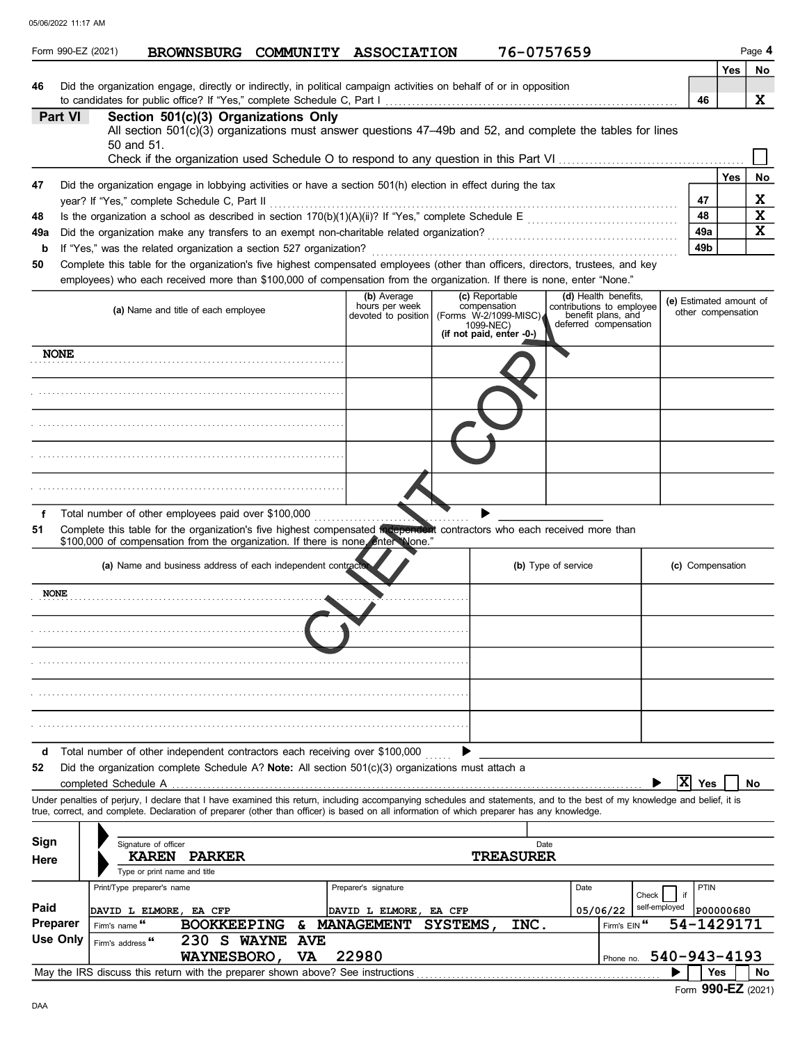| 05/06/2022 11:17 AM<br>46<br><b>Part VI</b> | Form 990-EZ (2021)<br>BROWNSBURG COMMUNITY ASSOCIATION<br>Did the organization engage, directly or indirectly, in political campaign activities on behalf of or in opposition                                                                               |                               |                                                                                                                             |                                                                                                  |                                               |      |                            |
|---------------------------------------------|-------------------------------------------------------------------------------------------------------------------------------------------------------------------------------------------------------------------------------------------------------------|-------------------------------|-----------------------------------------------------------------------------------------------------------------------------|--------------------------------------------------------------------------------------------------|-----------------------------------------------|------|----------------------------|
|                                             |                                                                                                                                                                                                                                                             |                               |                                                                                                                             |                                                                                                  |                                               |      |                            |
|                                             |                                                                                                                                                                                                                                                             |                               |                                                                                                                             |                                                                                                  |                                               |      |                            |
|                                             |                                                                                                                                                                                                                                                             |                               |                                                                                                                             | 76-0757659                                                                                       |                                               |      | Page 4<br>Yes<br>No        |
|                                             |                                                                                                                                                                                                                                                             |                               |                                                                                                                             |                                                                                                  |                                               |      |                            |
|                                             | Section 501(c)(3) Organizations Only                                                                                                                                                                                                                        |                               |                                                                                                                             |                                                                                                  | 46                                            |      | X                          |
|                                             | All section 501(c)(3) organizations must answer questions 47–49b and 52, and complete the tables for lines<br>50 and 51.                                                                                                                                    |                               |                                                                                                                             |                                                                                                  |                                               |      |                            |
|                                             |                                                                                                                                                                                                                                                             |                               |                                                                                                                             |                                                                                                  |                                               |      | Yes<br>No                  |
| 47                                          | Did the organization engage in lobbying activities or have a section 501(h) election in effect during the tax<br>year? If "Yes," complete Schedule C, Part II                                                                                               |                               |                                                                                                                             |                                                                                                  | 47                                            |      | $\mathbf x$                |
| 48<br>49а                                   | Is the organization a school as described in section $170(b)(1)(A)(ii)$ ? If "Yes," complete Schedule E                                                                                                                                                     |                               |                                                                                                                             |                                                                                                  | 48<br>49a                                     |      | $\mathbf x$<br>$\mathbf x$ |
| b                                           | If "Yes," was the related organization a section 527 organization?                                                                                                                                                                                          |                               |                                                                                                                             |                                                                                                  | 49b                                           |      |                            |
| 50                                          | Complete this table for the organization's five highest compensated employees (other than officers, directors, trustees, and key<br>employees) who each received more than \$100,000 of compensation from the organization. If there is none, enter "None." |                               |                                                                                                                             |                                                                                                  |                                               |      |                            |
|                                             | (a) Name and title of each employee                                                                                                                                                                                                                         | (b) Average<br>hours per week | (c) Reportable<br>compensation<br>devoted to position (Forms W-2/1099-MISC)<br>1099-NEC)<br><b>(if not paid, enter -0-)</b> | (d) Health benefits.<br>contributions to employee<br>benefit plans, and<br>deferred compensation | (e) Estimated amount of<br>other compensation |      |                            |
| <b>NONE</b>                                 |                                                                                                                                                                                                                                                             |                               |                                                                                                                             |                                                                                                  |                                               |      |                            |
|                                             |                                                                                                                                                                                                                                                             |                               |                                                                                                                             |                                                                                                  |                                               |      |                            |
|                                             |                                                                                                                                                                                                                                                             |                               |                                                                                                                             |                                                                                                  |                                               |      |                            |
|                                             |                                                                                                                                                                                                                                                             |                               |                                                                                                                             |                                                                                                  |                                               |      |                            |
|                                             |                                                                                                                                                                                                                                                             |                               |                                                                                                                             |                                                                                                  |                                               |      |                            |
| 51                                          | Total number of other employees paid over \$100,000<br>Complete this table for the organization's five highest compensated independent contractors who each received more than                                                                              |                               |                                                                                                                             |                                                                                                  |                                               |      |                            |
|                                             | \$100,000 of compensation from the organization. If there is none, enter "None."                                                                                                                                                                            |                               |                                                                                                                             |                                                                                                  |                                               |      |                            |
|                                             | (a) Name and business address of each independent contract                                                                                                                                                                                                  |                               |                                                                                                                             | (b) Type of service                                                                              | (c) Compensation                              |      |                            |
| <b>NONE</b>                                 |                                                                                                                                                                                                                                                             |                               |                                                                                                                             |                                                                                                  |                                               |      |                            |
|                                             |                                                                                                                                                                                                                                                             |                               |                                                                                                                             |                                                                                                  |                                               |      |                            |
|                                             |                                                                                                                                                                                                                                                             |                               |                                                                                                                             |                                                                                                  |                                               |      |                            |
|                                             |                                                                                                                                                                                                                                                             |                               |                                                                                                                             |                                                                                                  |                                               |      |                            |
|                                             |                                                                                                                                                                                                                                                             |                               |                                                                                                                             |                                                                                                  |                                               |      |                            |
|                                             | d Total number of other independent contractors each receiving over \$100,000                                                                                                                                                                               |                               | ▶                                                                                                                           |                                                                                                  |                                               |      |                            |
| 52                                          | Did the organization complete Schedule A? Note: All section 501(c)(3) organizations must attach a                                                                                                                                                           |                               |                                                                                                                             |                                                                                                  |                                               |      |                            |
|                                             | completed Schedule A<br>Under penalties of perjury, I declare that I have examined this return, including accompanying schedules and statements, and to the best of my knowledge and belief, it is                                                          |                               |                                                                                                                             |                                                                                                  | $\boxed{\mathbf{X}}$ Yes $\boxed{\ }$<br>▶    |      | No                         |
|                                             | true, correct, and complete. Declaration of preparer (other than officer) is based on all information of which preparer has any knowledge.                                                                                                                  |                               |                                                                                                                             |                                                                                                  |                                               |      |                            |
| Sign<br>Here                                | Signature of officer<br><b>KAREN PARKER</b>                                                                                                                                                                                                                 |                               | <b>TREASURER</b>                                                                                                            | Date                                                                                             |                                               |      |                            |
|                                             | Type or print name and title                                                                                                                                                                                                                                |                               |                                                                                                                             |                                                                                                  |                                               |      |                            |
| Paid                                        | Print/Type preparer's name<br>DAVID L ELMORE, EA CFP                                                                                                                                                                                                        | Preparer's signature          |                                                                                                                             | Date<br>  05/06/22                                                                               | Check  <br>self-employed P00000680            | PTIN |                            |
|                                             | Preparer   Firm's name "<br>BOOKKEEPING & MANAGEMENT SYSTEMS,                                                                                                                                                                                               | DAVID L ELMORE, EA CFP        | INC.                                                                                                                        | Firm's EIN <sup>66</sup>                                                                         | 54-1429171                                    |      |                            |
|                                             | Use Only $\sqrt{\frac{1}{1 + \frac{1}{1 + \frac{1}{1 + \cdots}}}}$ address "<br>230 S WAYNE AVE<br>WAYNESBORO, VA 22980                                                                                                                                     |                               |                                                                                                                             |                                                                                                  | Phone no. 540-943-4193                        |      |                            |
|                                             | May the IRS discuss this return with the preparer shown above? See instructions                                                                                                                                                                             |                               |                                                                                                                             |                                                                                                  | $\blacktriangleright \blacksquare$ Yes        |      | No<br>Form 990-EZ (2021)   |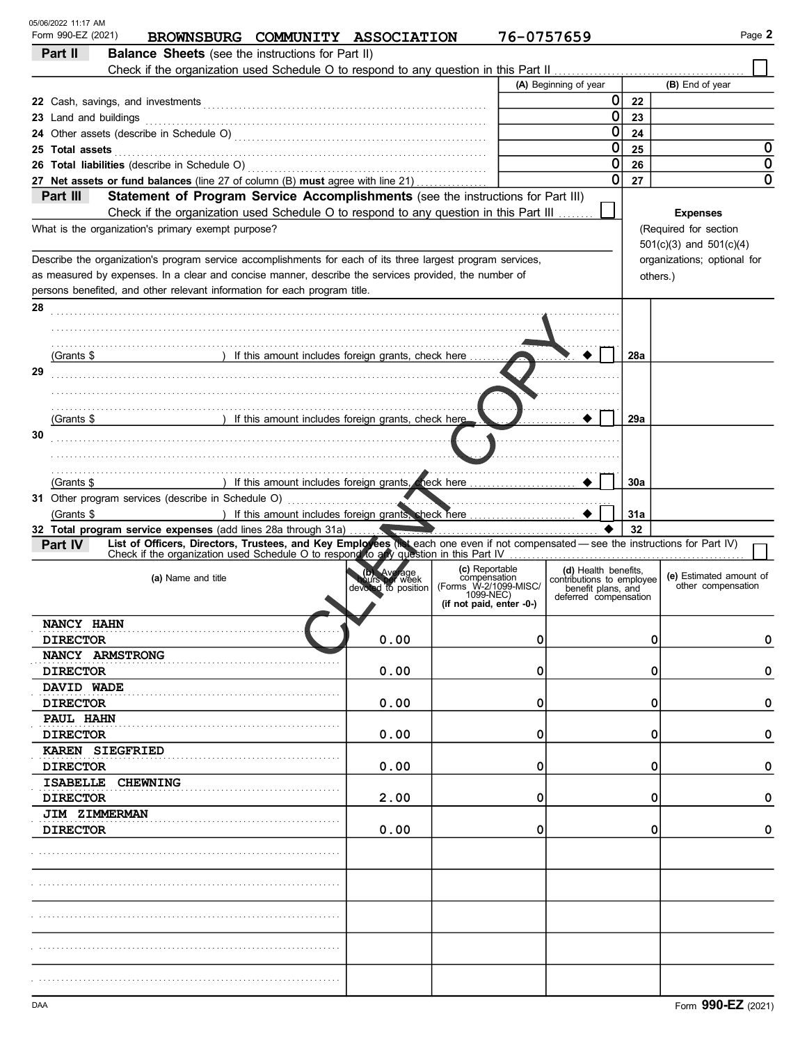| 05/06/2022 11:17 AM<br>Form 990-EZ (2021)<br>BROWNSBURG COMMUNITY ASSOCIATION<br><b>Balance Sheets</b> (see the instructions for Part II)<br>Part II                                                                                                                                              |                    |                                                                                | 76-0757659                                                                                       |                         |                                               | Page 2 |
|---------------------------------------------------------------------------------------------------------------------------------------------------------------------------------------------------------------------------------------------------------------------------------------------------|--------------------|--------------------------------------------------------------------------------|--------------------------------------------------------------------------------------------------|-------------------------|-----------------------------------------------|--------|
|                                                                                                                                                                                                                                                                                                   |                    |                                                                                | (A) Beginning of year                                                                            |                         | (B) End of year                               |        |
|                                                                                                                                                                                                                                                                                                   |                    |                                                                                | 0                                                                                                | $0 \vert 22$<br>23      |                                               |        |
|                                                                                                                                                                                                                                                                                                   |                    |                                                                                | 0                                                                                                | 24                      |                                               |        |
| 25 Total assets                                                                                                                                                                                                                                                                                   |                    |                                                                                | 0                                                                                                | 25                      |                                               |        |
| 26 Total liabilities (describe in Schedule O)<br>27 Net assets or fund balances (line 27 of column (B) must agree with line 21)                                                                                                                                                                   |                    |                                                                                | 0                                                                                                | 26<br>$\overline{0}$ 27 |                                               |        |
| Statement of Program Service Accomplishments (see the instructions for Part III)<br>Part III                                                                                                                                                                                                      |                    |                                                                                |                                                                                                  |                         |                                               |        |
| Check if the organization used Schedule O to respond to any question in this Part III<br>What is the organization's primary exempt purpose?                                                                                                                                                       |                    |                                                                                |                                                                                                  |                         | <b>Expenses</b><br>(Required for section      |        |
|                                                                                                                                                                                                                                                                                                   |                    |                                                                                |                                                                                                  |                         | $501(c)(3)$ and $501(c)(4)$                   |        |
| Describe the organization's program service accomplishments for each of its three largest program services,<br>as measured by expenses. In a clear and concise manner, describe the services provided, the number of<br>persons benefited, and other relevant information for each program title. |                    |                                                                                |                                                                                                  |                         | organizations; optional for<br>others.)       |        |
| 28                                                                                                                                                                                                                                                                                                |                    |                                                                                |                                                                                                  |                         |                                               |        |
|                                                                                                                                                                                                                                                                                                   |                    |                                                                                |                                                                                                  |                         |                                               |        |
| If this amount includes foreign grants, check here<br>(Grants \$                                                                                                                                                                                                                                  |                    |                                                                                | ◆                                                                                                | 28a                     |                                               |        |
| 29                                                                                                                                                                                                                                                                                                |                    |                                                                                |                                                                                                  |                         |                                               |        |
|                                                                                                                                                                                                                                                                                                   |                    |                                                                                |                                                                                                  |                         |                                               |        |
| If this amount includes foreign grants, check here<br>(Grants \$                                                                                                                                                                                                                                  |                    |                                                                                |                                                                                                  | 29a                     |                                               |        |
| 30                                                                                                                                                                                                                                                                                                |                    |                                                                                |                                                                                                  |                         |                                               |        |
|                                                                                                                                                                                                                                                                                                   |                    |                                                                                |                                                                                                  |                         |                                               |        |
| .<br>If this amount includes foreign grants,<br>(Grants \$                                                                                                                                                                                                                                        |                    | .<br>ieck here                                                                 |                                                                                                  | 30a                     |                                               |        |
| 31 Other program services (describe in Schedule O)                                                                                                                                                                                                                                                |                    |                                                                                |                                                                                                  |                         |                                               |        |
| ) If this amount includes foreign grants, check here<br>(Grants \$                                                                                                                                                                                                                                |                    |                                                                                |                                                                                                  | 31a                     |                                               |        |
| 32 Total program service expenses (add lines 28a through 31a)<br><b>Part IV</b>                                                                                                                                                                                                                   |                    |                                                                                |                                                                                                  | 32                      |                                               |        |
| List of Officers, Directors, Trustees, and Key Employees (k) each one even if not compensated — see the instructions for Part IV)<br>Check if the organization used Schedule O to respond to any question in this Part IV                                                                         |                    | (c) Reportable                                                                 |                                                                                                  |                         |                                               |        |
| (a) Name and title                                                                                                                                                                                                                                                                                | week<br>ზ position | compensation<br>(Forms W-2/1099-MISC/<br>1099-NEC)<br>(if not paid, enter -0-) | (d) Health benefits,<br>contributions to employee<br>benefit plans, and<br>deferred compensation |                         | (e) Estimated amount of<br>other compensation |        |
| NANCY HAHN                                                                                                                                                                                                                                                                                        |                    |                                                                                |                                                                                                  |                         |                                               |        |
| <b>DIRECTOR</b><br>NANCY ARMSTRONG                                                                                                                                                                                                                                                                | 0.00               |                                                                                |                                                                                                  | $\Omega$                |                                               |        |
| <b>DIRECTOR</b>                                                                                                                                                                                                                                                                                   | 0.00               |                                                                                |                                                                                                  | $\Omega$                |                                               |        |
| DAVID WADE                                                                                                                                                                                                                                                                                        |                    |                                                                                |                                                                                                  | $\Omega$                |                                               |        |
| <b>DIRECTOR</b><br>PAUL HAHN                                                                                                                                                                                                                                                                      | 0.00               |                                                                                |                                                                                                  |                         |                                               |        |
| <b>DIRECTOR</b>                                                                                                                                                                                                                                                                                   | 0.00               |                                                                                |                                                                                                  | $\Omega$                |                                               |        |
| KAREN SIEGFRIED<br><b>DIRECTOR</b>                                                                                                                                                                                                                                                                | 0.00               |                                                                                |                                                                                                  | $\Omega$                |                                               |        |
| ISABELLE CHEWNING                                                                                                                                                                                                                                                                                 |                    |                                                                                |                                                                                                  |                         |                                               |        |
| <b>DIRECTOR</b>                                                                                                                                                                                                                                                                                   | 2.00               |                                                                                |                                                                                                  | $\Omega$                |                                               |        |
| JIM ZIMMERMAN<br><b>DIRECTOR</b>                                                                                                                                                                                                                                                                  | 0.00               |                                                                                |                                                                                                  | $\Omega$                |                                               |        |
|                                                                                                                                                                                                                                                                                                   |                    |                                                                                |                                                                                                  |                         |                                               |        |
|                                                                                                                                                                                                                                                                                                   |                    |                                                                                |                                                                                                  |                         |                                               |        |
|                                                                                                                                                                                                                                                                                                   |                    |                                                                                |                                                                                                  |                         |                                               |        |
|                                                                                                                                                                                                                                                                                                   |                    |                                                                                |                                                                                                  |                         |                                               |        |
|                                                                                                                                                                                                                                                                                                   |                    |                                                                                |                                                                                                  |                         |                                               |        |
|                                                                                                                                                                                                                                                                                                   |                    |                                                                                |                                                                                                  |                         |                                               |        |
|                                                                                                                                                                                                                                                                                                   |                    |                                                                                |                                                                                                  |                         |                                               |        |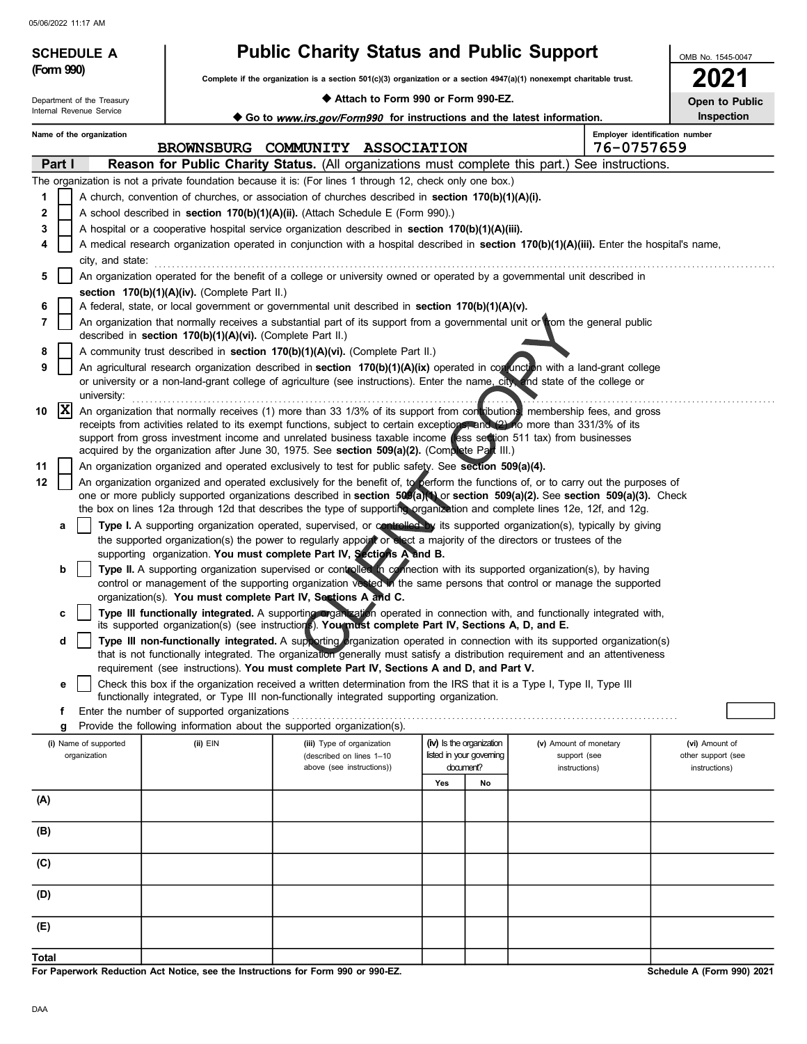| UUIUUI LULLE III.II                   |                                                            |                                                                                                                                                                                                                                                                       |                                                                   |                                                         |                                              |                                                       |
|---------------------------------------|------------------------------------------------------------|-----------------------------------------------------------------------------------------------------------------------------------------------------------------------------------------------------------------------------------------------------------------------|-------------------------------------------------------------------|---------------------------------------------------------|----------------------------------------------|-------------------------------------------------------|
| <b>SCHEDULE A</b>                     |                                                            | <b>Public Charity Status and Public Support</b>                                                                                                                                                                                                                       |                                                                   |                                                         |                                              | OMB No. 1545-0047                                     |
| (Form 990)                            |                                                            | Complete if the organization is a section $501(c)(3)$ organization or a section $4947(a)(1)$ nonexempt charitable trust.                                                                                                                                              |                                                                   |                                                         |                                              | 2021                                                  |
| Department of the Treasury            |                                                            | ♦ Attach to Form 990 or Form 990-EZ.                                                                                                                                                                                                                                  |                                                                   |                                                         |                                              | Open to Public                                        |
| Internal Revenue Service              |                                                            | ♦ Go to www.irs.gov/Form990 for instructions and the latest information.                                                                                                                                                                                              |                                                                   |                                                         |                                              | Inspection                                            |
| Name of the organization              |                                                            | BROWNSBURG COMMUNITY ASSOCIATION                                                                                                                                                                                                                                      |                                                                   |                                                         | Employer identification number<br>76-0757659 |                                                       |
| Part I                                |                                                            | <b>Reason for Public Charity Status.</b> (All organizations must complete this part.) See instructions.                                                                                                                                                               |                                                                   |                                                         |                                              |                                                       |
|                                       |                                                            | The organization is not a private foundation because it is: (For lines 1 through 12, check only one box.)                                                                                                                                                             |                                                                   |                                                         |                                              |                                                       |
| 1                                     |                                                            | A church, convention of churches, or association of churches described in <b>section 170(b)(1)(A)(i).</b>                                                                                                                                                             |                                                                   |                                                         |                                              |                                                       |
| 2<br>3                                |                                                            | A school described in section 170(b)(1)(A)(ii). (Attach Schedule E (Form 990).)<br>A hospital or a cooperative hospital service organization described in section 170(b)(1)(A)(iii).                                                                                  |                                                                   |                                                         |                                              |                                                       |
| 4                                     |                                                            | A medical research organization operated in conjunction with a hospital described in section 170(b)(1)(A)(iii). Enter the hospital's name,                                                                                                                            |                                                                   |                                                         |                                              |                                                       |
| city, and state:                      |                                                            |                                                                                                                                                                                                                                                                       |                                                                   |                                                         |                                              |                                                       |
| $5^{\circ}$                           | section 170(b)(1)(A)(iv). (Complete Part II.)              | An organization operated for the benefit of a college or university owned or operated by a governmental unit described in                                                                                                                                             |                                                                   |                                                         |                                              |                                                       |
| 6                                     |                                                            | A federal, state, or local government or governmental unit described in section 170(b)(1)(A)(v).                                                                                                                                                                      |                                                                   |                                                         |                                              |                                                       |
| $\overline{7}$                        | described in section 170(b)(1)(A)(vi). (Complete Part II.) | An organization that normally receives a substantial part of its support from a governmental unit or tom the general public                                                                                                                                           |                                                                   |                                                         |                                              |                                                       |
| 8                                     |                                                            | A community trust described in section 170(b)(1)(A)(vi). (Complete Part II.)                                                                                                                                                                                          |                                                                   |                                                         |                                              |                                                       |
| 9<br>university:                      |                                                            | An agricultural research organization described in section 170(b)(1)(A)(ix) operated in conunction with a land-grant college<br>or university or a non-land-grant college of agriculture (see instructions). Enter the name, city, and state of the college or        |                                                                   |                                                         |                                              |                                                       |
| 10 $ \mathbf{X} $                     |                                                            | An organization that normally receives (1) more than 33 1/3% of its support from contributions, membership fees, and gross                                                                                                                                            |                                                                   |                                                         |                                              |                                                       |
|                                       |                                                            | receipts from activities related to its exempt functions, subject to certain exceptions, and (2) no more than 331/3% of its<br>support from gross investment income and unrelated business taxable income (ess section 511 tax) from businesses                       |                                                                   |                                                         |                                              |                                                       |
|                                       |                                                            | acquired by the organization after June 30, 1975. See section 509(a)(2). (Complete Part III.)                                                                                                                                                                         |                                                                   |                                                         |                                              |                                                       |
| 11                                    |                                                            | An organization organized and operated exclusively to test for public safety. See section 509(a)(4).                                                                                                                                                                  |                                                                   |                                                         |                                              |                                                       |
| 12 <sup>1</sup>                       |                                                            | An organization organized and operated exclusively for the benefit of, to perform the functions of, or to carry out the purposes of<br>one or more publicly supported organizations described in section 509(a)(a) or section 509(a)(2). See section 509(a)(3). Check |                                                                   |                                                         |                                              |                                                       |
|                                       |                                                            | the box on lines 12a through 12d that describes the type of supporting organization and complete lines 12e, 12f, and 12g.                                                                                                                                             |                                                                   |                                                         |                                              |                                                       |
| a                                     |                                                            | Type I. A supporting organization operated, supervised, or controlled by its supported organization(s), typically by giving<br>the supported organization(s) the power to regularly appoint or elect a majority of the directors or trustees of the                   |                                                                   |                                                         |                                              |                                                       |
|                                       |                                                            | supporting organization. You must complete Part IV, Sections A and B.                                                                                                                                                                                                 |                                                                   |                                                         |                                              |                                                       |
| $\mathbf{b}$<br>$\blacksquare$        |                                                            | Type II. A supporting organization supervised or controlled in connection with its supported organization(s), by having                                                                                                                                               |                                                                   |                                                         |                                              |                                                       |
|                                       |                                                            | control or management of the supporting organization vected in the same persons that control or manage the supported<br>organization(s). You must complete Part IV, Sections A and C.                                                                                 |                                                                   |                                                         |                                              |                                                       |
| $c -$                                 |                                                            | Type III functionally integrated. A supporting organization operated in connection with, and functionally integrated with,                                                                                                                                            |                                                                   |                                                         |                                              |                                                       |
|                                       |                                                            | its supported organization(s) (see instructions). You must complete Part IV, Sections A, D, and E.                                                                                                                                                                    |                                                                   |                                                         |                                              |                                                       |
| $d \mid \mid$                         |                                                            | Type III non-functionally integrated. A supporting prganization operated in connection with its supported organization(s)<br>that is not functionally integrated. The organization generally must satisfy a distribution requirement and an attentiveness             |                                                                   |                                                         |                                              |                                                       |
|                                       |                                                            | requirement (see instructions). You must complete Part IV, Sections A and D, and Part V.                                                                                                                                                                              |                                                                   |                                                         |                                              |                                                       |
| e                                     |                                                            | Check this box if the organization received a written determination from the IRS that it is a Type I, Type II, Type III<br>functionally integrated, or Type III non-functionally integrated supporting organization.                                                  |                                                                   |                                                         |                                              |                                                       |
| f                                     | Enter the number of supported organizations                |                                                                                                                                                                                                                                                                       |                                                                   |                                                         |                                              |                                                       |
| g                                     |                                                            | Provide the following information about the supported organization(s).                                                                                                                                                                                                |                                                                   |                                                         |                                              |                                                       |
| (i) Name of supported<br>organization | $(ii)$ EIN                                                 | (iii) Type of organization<br>(described on lines 1-10<br>above (see instructions))                                                                                                                                                                                   | (iv) Is the organization<br>listed in your governing<br>document? | (v) Amount of monetary<br>support (see<br>instructions) |                                              | (vi) Amount of<br>other support (see<br>instructions) |
|                                       |                                                            |                                                                                                                                                                                                                                                                       | Yes<br>No                                                         |                                                         |                                              |                                                       |
| (A)                                   |                                                            |                                                                                                                                                                                                                                                                       |                                                                   |                                                         |                                              |                                                       |
| (B)                                   |                                                            |                                                                                                                                                                                                                                                                       |                                                                   |                                                         |                                              |                                                       |
| (C)                                   |                                                            |                                                                                                                                                                                                                                                                       |                                                                   |                                                         |                                              |                                                       |
| (D)                                   |                                                            |                                                                                                                                                                                                                                                                       |                                                                   |                                                         |                                              |                                                       |
| (E)                                   |                                                            |                                                                                                                                                                                                                                                                       |                                                                   |                                                         |                                              |                                                       |
| Total                                 |                                                            |                                                                                                                                                                                                                                                                       |                                                                   |                                                         |                                              |                                                       |

For Paperwork Reduction Act Notice, see the Instructions for Form 990 or 990-EZ.

Schedule A (Form 990) 2021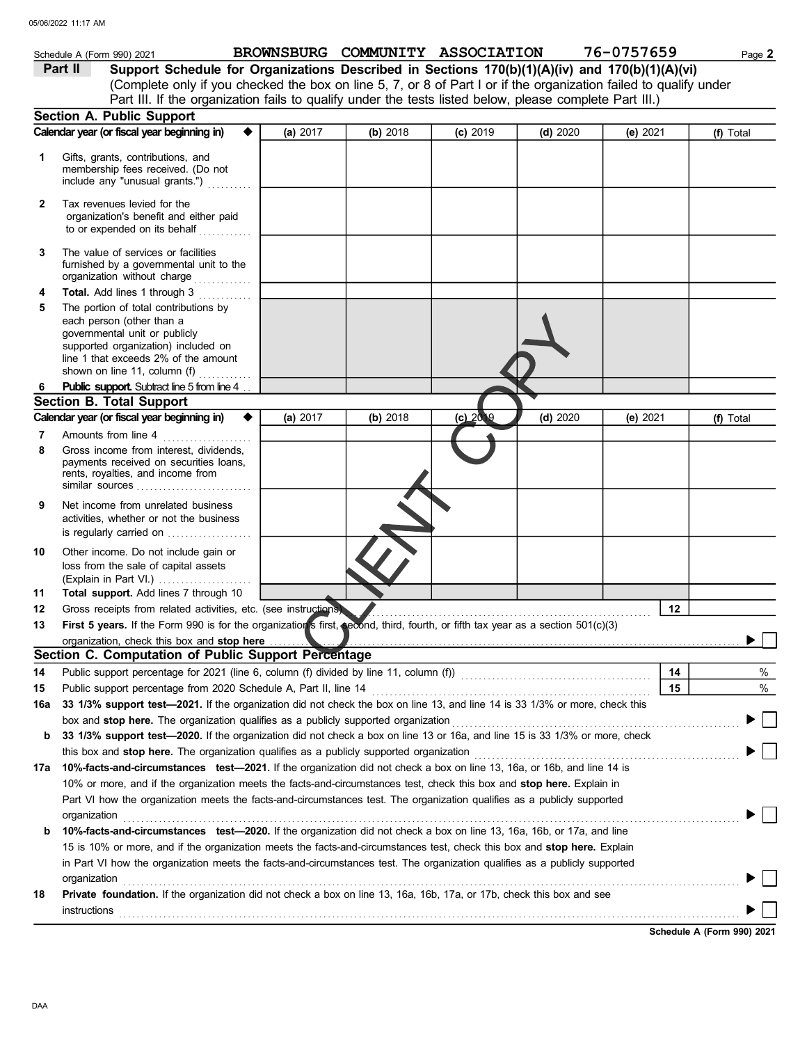|          |                                                                                                                                                                                                                              |          |          |            |            | Support Schedule for Organizations Described in Sections 170(b)(1)(A)(iv) and 170(b)(1)(A)(vi) |                                |
|----------|------------------------------------------------------------------------------------------------------------------------------------------------------------------------------------------------------------------------------|----------|----------|------------|------------|------------------------------------------------------------------------------------------------|--------------------------------|
|          | (Complete only if you checked the box on line 5, 7, or 8 of Part I or if the organization failed to qualify under<br>Part III. If the organization fails to qualify under the tests listed below, please complete Part III.) |          |          |            |            |                                                                                                |                                |
|          | <b>Section A. Public Support</b>                                                                                                                                                                                             |          |          |            |            |                                                                                                |                                |
|          | Calendar year (or fiscal year beginning in)<br>$\bullet$                                                                                                                                                                     | (a) 2017 | (b) 2018 | $(c)$ 2019 | (d) 2020   | (e) $2021$                                                                                     | (f) Total                      |
| 1        | Gifts, grants, contributions, and<br>membership fees received. (Do not<br>include any "unusual grants.")                                                                                                                     |          |          |            |            |                                                                                                |                                |
|          | Tax revenues levied for the<br>organization's benefit and either paid<br>to or expended on its behalf                                                                                                                        |          |          |            |            |                                                                                                |                                |
| 3        | The value of services or facilities<br>furnished by a governmental unit to the<br>organization without charge                                                                                                                |          |          |            |            |                                                                                                |                                |
|          | Total. Add lines 1 through 3<br>The portion of total contributions by<br>each person (other than a<br>governmental unit or publicly<br>supported organization) included on<br>line 1 that exceeds 2% of the amount           |          |          |            |            |                                                                                                |                                |
|          | shown on line 11, column (f)<br><b>Public support.</b> Subtract line 5 from line 4                                                                                                                                           |          |          |            |            |                                                                                                |                                |
|          | <b>Section B. Total Support</b>                                                                                                                                                                                              |          |          |            |            |                                                                                                |                                |
|          | Calendar year (or fiscal year beginning in)                                                                                                                                                                                  | (a) 2017 | (b) 2018 | $(c)$ 20   | $(d)$ 2020 | (e) 2021                                                                                       | (f) Total                      |
|          | Amounts from line 4                                                                                                                                                                                                          |          |          |            |            |                                                                                                |                                |
|          | Gross income from interest, dividends.<br>payments received on securities loans,<br>rents, royalties, and income from<br>similar sources                                                                                     |          |          |            |            |                                                                                                |                                |
|          | Net income from unrelated business<br>activities, whether or not the business<br>is regularly carried on                                                                                                                     |          |          |            |            |                                                                                                |                                |
| 10       | Other income. Do not include gain or<br>loss from the sale of capital assets<br>(Explain in Part VI.)                                                                                                                        |          |          |            |            |                                                                                                |                                |
| 11<br>12 | Total support. Add lines 7 through 10<br>Gross receipts from related activities, etc. (see instructions                                                                                                                      |          |          |            |            | 12                                                                                             |                                |
| 13       | First 5 years. If the Form 990 is for the organization's first, econd, third, fourth, or fifth tax year as a section 501(c)(3)                                                                                               |          |          |            |            |                                                                                                |                                |
|          | organization, check this box and stop here                                                                                                                                                                                   |          |          |            |            |                                                                                                |                                |
|          | Section C. Computation of Public Support Percentage                                                                                                                                                                          |          |          |            |            |                                                                                                |                                |
| 14       | Public support percentage for 2021 (line 6, column (f) divided by line 11, column (f)) [[[[[[[[[[[[[[[[[[[[[[                                                                                                                |          |          |            |            | 14                                                                                             | $\%$                           |
| 15       | Public support percentage from 2020 Schedule A, Part II, line 14                                                                                                                                                             |          |          |            |            | 15                                                                                             | $\%$                           |
|          | 16a 33 1/3% support test-2021. If the organization did not check the box on line 13, and line 14 is 33 1/3% or more, check this                                                                                              |          |          |            |            |                                                                                                |                                |
|          | box and stop here. The organization qualifies as a publicly supported organization                                                                                                                                           |          |          |            |            |                                                                                                | $\blacktriangleright$ $\vdash$ |
|          | b 33 1/3% support test-2020. If the organization did not check a box on line 13 or 16a, and line 15 is 33 1/3% or more, check                                                                                                |          |          |            |            |                                                                                                |                                |
|          | this box and stop here. The organization qualifies as a publicly supported organization                                                                                                                                      |          |          |            |            |                                                                                                | $\blacktriangleright$ $\Box$   |
|          | 17a 10%-facts-and-circumstances test-2021. If the organization did not check a box on line 13, 16a, or 16b, and line 14 is                                                                                                   |          |          |            |            |                                                                                                |                                |
|          | 10% or more, and if the organization meets the facts-and-circumstances test, check this box and stop here. Explain in                                                                                                        |          |          |            |            |                                                                                                |                                |
|          | Part VI how the organization meets the facts-and-circumstances test. The organization qualifies as a publicly supported                                                                                                      |          |          |            |            |                                                                                                |                                |
|          | organization<br>b 10%-facts-and-circumstances test-2020. If the organization did not check a box on line 13, 16a, 16b, or 17a, and line                                                                                      |          |          |            |            |                                                                                                |                                |
|          | 15 is 10% or more, and if the organization meets the facts-and-circumstances test, check this box and stop here. Explain                                                                                                     |          |          |            |            |                                                                                                |                                |
|          | in Part VI how the organization meets the facts-and-circumstances test. The organization qualifies as a publicly supported                                                                                                   |          |          |            |            |                                                                                                |                                |
|          | organization                                                                                                                                                                                                                 |          |          |            |            |                                                                                                | $\blacktriangleright$ $\vdash$ |
|          | Private foundation. If the organization did not check a box on line 13, 16a, 16b, 17a, or 17b, check this box and see                                                                                                        |          |          |            |            |                                                                                                |                                |
| 18       |                                                                                                                                                                                                                              |          |          |            |            |                                                                                                |                                |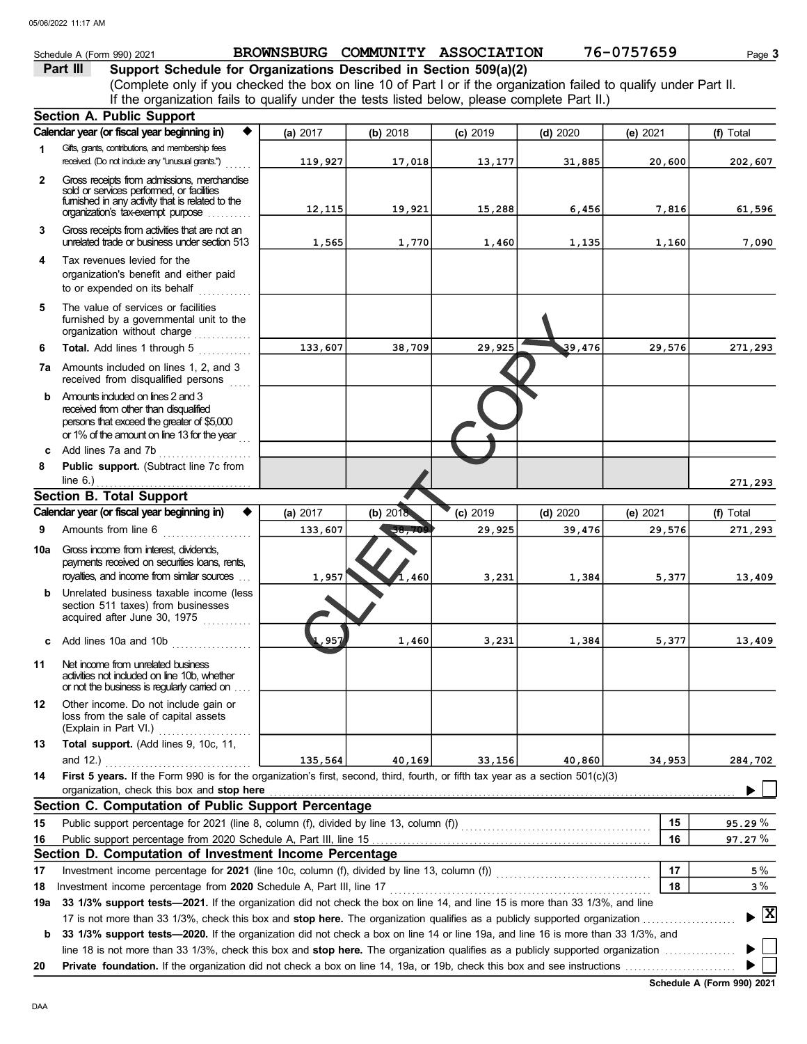| Part III<br>Support Schedule for Organizations Described in Section 509(a)(2)<br>(Complete only if you checked the box on line 10 of Part I or if the organization failed to qualify under Part II.<br>If the organization fails to qualify under the tests listed below, please complete Part II.)<br><b>Section A. Public Support</b><br>$\bullet$<br>Calendar year (or fiscal year beginning in)<br>(a) 2017<br>(b) 2018<br>$(c)$ 2019<br>$(d)$ 2020<br>(e) 2021<br>(f) Total<br>Gifts, grants, contributions, and membership fees<br>received. (Do not include any "unusual grants.")<br>119,927<br>17,018<br>13,177<br>31,885<br>20,600<br>Gross receipts from admissions, merchandise<br>sold or services performed, or facilities<br>fumished in any activity that is related to the<br>12,115<br>19,921<br>15,288<br>6,456<br>7,816<br>organization's tax-exempt purpose<br>Gross receipts from activities that are not an<br>3<br>unrelated trade or business under section 513<br>1,565<br>1,770<br>1,460<br>1,135<br>1,160<br>Tax revenues levied for the<br>organization's benefit and either paid<br>to or expended on its behalf<br>.<br>The value of services or facilities<br>furnished by a governmental unit to the<br>organization without charge<br>Total. Add lines 1 through 5<br>133,607<br>39,476<br>38,709<br>29,925<br>29,576<br>7a Amounts included on lines 1, 2, and 3<br>received from disqualified persons<br><b>b</b> Amounts included on lines 2 and 3<br>received from other than disqualified<br>persons that exceed the greater of \$5,000<br>or 1% of the amount on line 13 for the year<br>c Add lines 7a and 7b<br>.<br>Public support. (Subtract line 7c from<br>8<br>line $6.$ )<br><b>Section B. Total Support</b><br>Calendar year (or fiscal year beginning in) $\blacklozenge$<br>(b) 2018<br>(a) 2017<br>(c) 2019<br>$(d)$ 2020<br>(e) 2021<br>(f) Total<br>Amounts from line 6<br>38,709<br>133,607<br>29,925<br>9<br>39,476<br>29,576<br>Gross income from interest, dividends,<br>payments received on securities loans, rents,<br>royalties, and income from similar sources<br>1,957<br>3,231<br>1,384<br>5,377<br>. 460<br><b>b</b> Unrelated business taxable income (less<br>section 511 taxes) from businesses<br>acquired after June 30, 1975<br>, 957<br>c Add lines 10a and 10b $\ldots$<br>1,460<br>3,231<br>5,377<br>1,384<br>Net income from unrelated business<br>activities not included on line 10b, whether<br>or not the business is regularly carried on<br>Other income. Do not include gain or<br>loss from the sale of capital assets<br>Total support. (Add lines 9, 10c, 11,<br>and 12.) $\ldots$ [<br>135,564<br>40,169<br>33,156<br>40,860<br>34,953<br>First 5 years. If the Form 990 is for the organization's first, second, third, fourth, or fifth tax year as a section 501(c)(3)<br>14<br>organization, check this box and stop here<br>Section C. Computation of Public Support Percentage<br>15<br>16<br>Section D. Computation of Investment Income Percentage<br>17<br>Investment income percentage for 2021 (line 10c, column (f), divided by line 13, column (f)) [[[[[[[[[[[[[[[[<br>18<br>18 Investment income percentage from 2020 Schedule A, Part III, line 17<br>19a 33 1/3% support tests—2021. If the organization did not check the box on line 14, and line 15 is more than 33 1/3%, and line<br>17 is not more than 33 1/3%, check this box and stop here. The organization qualifies as a publicly supported organization<br><b>b</b> 33 1/3% support tests—2020. If the organization did not check a box on line 14 or line 19a, and line 16 is more than 33 1/3%, and<br>line 18 is not more than 33 1/3%, check this box and stop here. The organization qualifies as a publicly supported organization |              | Schedule A (Form 990) 2021 | <b>BROWNSBURG</b> | COMMUNITY ASSOCIATION |  | 76-0757659 | Page 3 |
|---------------------------------------------------------------------------------------------------------------------------------------------------------------------------------------------------------------------------------------------------------------------------------------------------------------------------------------------------------------------------------------------------------------------------------------------------------------------------------------------------------------------------------------------------------------------------------------------------------------------------------------------------------------------------------------------------------------------------------------------------------------------------------------------------------------------------------------------------------------------------------------------------------------------------------------------------------------------------------------------------------------------------------------------------------------------------------------------------------------------------------------------------------------------------------------------------------------------------------------------------------------------------------------------------------------------------------------------------------------------------------------------------------------------------------------------------------------------------------------------------------------------------------------------------------------------------------------------------------------------------------------------------------------------------------------------------------------------------------------------------------------------------------------------------------------------------------------------------------------------------------------------------------------------------------------------------------------------------------------------------------------------------------------------------------------------------------------------------------------------------------------------------------------------------------------------------------------------------------------------------------------------------------------------------------------------------------------------------------------------------------------------------------------------------------------------------------------------------------------------------------------------------------------------------------------------------------------------------------------------------------------------------------------------------------------------------------------------------------------------------------------------------------------------------------------------------------------------------------------------------------------------------------------------------------------------------------------------------------------------------------------------------------------------------------------------------------------------------------------------------------------------------------------------------------------------------------------------------------------------------------------------------------------------------------------------------------------------------------------------------------------------------------------------------------------------------------------------------------------------------------------------------------------------------------------------------------------------------------------------------------------------------------------------------------------------------------------------------------------------------------------------------------------------------------------|--------------|----------------------------|-------------------|-----------------------|--|------------|--------|
| 95.29%<br>97.27%<br>5%<br>3%<br>$\blacktriangleright$ $\sqsubset$<br>$\blacktriangleright$                                                                                                                                                                                                                                                                                                                                                                                                                                                                                                                                                                                                                                                                                                                                                                                                                                                                                                                                                                                                                                                                                                                                                                                                                                                                                                                                                                                                                                                                                                                                                                                                                                                                                                                                                                                                                                                                                                                                                                                                                                                                                                                                                                                                                                                                                                                                                                                                                                                                                                                                                                                                                                                                                                                                                                                                                                                                                                                                                                                                                                                                                                                                                                                                                                                                                                                                                                                                                                                                                                                                                                                                                                                                                                                    |              |                            |                   |                       |  |            |        |
| 202,607<br>61,596<br>7,090<br>271,293<br>271,293<br>271,293<br>13,409<br>13,409<br>284,702                                                                                                                                                                                                                                                                                                                                                                                                                                                                                                                                                                                                                                                                                                                                                                                                                                                                                                                                                                                                                                                                                                                                                                                                                                                                                                                                                                                                                                                                                                                                                                                                                                                                                                                                                                                                                                                                                                                                                                                                                                                                                                                                                                                                                                                                                                                                                                                                                                                                                                                                                                                                                                                                                                                                                                                                                                                                                                                                                                                                                                                                                                                                                                                                                                                                                                                                                                                                                                                                                                                                                                                                                                                                                                                    |              |                            |                   |                       |  |            |        |
|                                                                                                                                                                                                                                                                                                                                                                                                                                                                                                                                                                                                                                                                                                                                                                                                                                                                                                                                                                                                                                                                                                                                                                                                                                                                                                                                                                                                                                                                                                                                                                                                                                                                                                                                                                                                                                                                                                                                                                                                                                                                                                                                                                                                                                                                                                                                                                                                                                                                                                                                                                                                                                                                                                                                                                                                                                                                                                                                                                                                                                                                                                                                                                                                                                                                                                                                                                                                                                                                                                                                                                                                                                                                                                                                                                                                               |              |                            |                   |                       |  |            |        |
|                                                                                                                                                                                                                                                                                                                                                                                                                                                                                                                                                                                                                                                                                                                                                                                                                                                                                                                                                                                                                                                                                                                                                                                                                                                                                                                                                                                                                                                                                                                                                                                                                                                                                                                                                                                                                                                                                                                                                                                                                                                                                                                                                                                                                                                                                                                                                                                                                                                                                                                                                                                                                                                                                                                                                                                                                                                                                                                                                                                                                                                                                                                                                                                                                                                                                                                                                                                                                                                                                                                                                                                                                                                                                                                                                                                                               |              |                            |                   |                       |  |            |        |
|                                                                                                                                                                                                                                                                                                                                                                                                                                                                                                                                                                                                                                                                                                                                                                                                                                                                                                                                                                                                                                                                                                                                                                                                                                                                                                                                                                                                                                                                                                                                                                                                                                                                                                                                                                                                                                                                                                                                                                                                                                                                                                                                                                                                                                                                                                                                                                                                                                                                                                                                                                                                                                                                                                                                                                                                                                                                                                                                                                                                                                                                                                                                                                                                                                                                                                                                                                                                                                                                                                                                                                                                                                                                                                                                                                                                               | 1            |                            |                   |                       |  |            |        |
|                                                                                                                                                                                                                                                                                                                                                                                                                                                                                                                                                                                                                                                                                                                                                                                                                                                                                                                                                                                                                                                                                                                                                                                                                                                                                                                                                                                                                                                                                                                                                                                                                                                                                                                                                                                                                                                                                                                                                                                                                                                                                                                                                                                                                                                                                                                                                                                                                                                                                                                                                                                                                                                                                                                                                                                                                                                                                                                                                                                                                                                                                                                                                                                                                                                                                                                                                                                                                                                                                                                                                                                                                                                                                                                                                                                                               | $\mathbf{2}$ |                            |                   |                       |  |            |        |
|                                                                                                                                                                                                                                                                                                                                                                                                                                                                                                                                                                                                                                                                                                                                                                                                                                                                                                                                                                                                                                                                                                                                                                                                                                                                                                                                                                                                                                                                                                                                                                                                                                                                                                                                                                                                                                                                                                                                                                                                                                                                                                                                                                                                                                                                                                                                                                                                                                                                                                                                                                                                                                                                                                                                                                                                                                                                                                                                                                                                                                                                                                                                                                                                                                                                                                                                                                                                                                                                                                                                                                                                                                                                                                                                                                                                               |              |                            |                   |                       |  |            |        |
|                                                                                                                                                                                                                                                                                                                                                                                                                                                                                                                                                                                                                                                                                                                                                                                                                                                                                                                                                                                                                                                                                                                                                                                                                                                                                                                                                                                                                                                                                                                                                                                                                                                                                                                                                                                                                                                                                                                                                                                                                                                                                                                                                                                                                                                                                                                                                                                                                                                                                                                                                                                                                                                                                                                                                                                                                                                                                                                                                                                                                                                                                                                                                                                                                                                                                                                                                                                                                                                                                                                                                                                                                                                                                                                                                                                                               |              |                            |                   |                       |  |            |        |
| $\blacktriangleright \boxed{\text{X}}$                                                                                                                                                                                                                                                                                                                                                                                                                                                                                                                                                                                                                                                                                                                                                                                                                                                                                                                                                                                                                                                                                                                                                                                                                                                                                                                                                                                                                                                                                                                                                                                                                                                                                                                                                                                                                                                                                                                                                                                                                                                                                                                                                                                                                                                                                                                                                                                                                                                                                                                                                                                                                                                                                                                                                                                                                                                                                                                                                                                                                                                                                                                                                                                                                                                                                                                                                                                                                                                                                                                                                                                                                                                                                                                                                                        |              |                            |                   |                       |  |            |        |
|                                                                                                                                                                                                                                                                                                                                                                                                                                                                                                                                                                                                                                                                                                                                                                                                                                                                                                                                                                                                                                                                                                                                                                                                                                                                                                                                                                                                                                                                                                                                                                                                                                                                                                                                                                                                                                                                                                                                                                                                                                                                                                                                                                                                                                                                                                                                                                                                                                                                                                                                                                                                                                                                                                                                                                                                                                                                                                                                                                                                                                                                                                                                                                                                                                                                                                                                                                                                                                                                                                                                                                                                                                                                                                                                                                                                               | 4            |                            |                   |                       |  |            |        |
|                                                                                                                                                                                                                                                                                                                                                                                                                                                                                                                                                                                                                                                                                                                                                                                                                                                                                                                                                                                                                                                                                                                                                                                                                                                                                                                                                                                                                                                                                                                                                                                                                                                                                                                                                                                                                                                                                                                                                                                                                                                                                                                                                                                                                                                                                                                                                                                                                                                                                                                                                                                                                                                                                                                                                                                                                                                                                                                                                                                                                                                                                                                                                                                                                                                                                                                                                                                                                                                                                                                                                                                                                                                                                                                                                                                                               | 5            |                            |                   |                       |  |            |        |
|                                                                                                                                                                                                                                                                                                                                                                                                                                                                                                                                                                                                                                                                                                                                                                                                                                                                                                                                                                                                                                                                                                                                                                                                                                                                                                                                                                                                                                                                                                                                                                                                                                                                                                                                                                                                                                                                                                                                                                                                                                                                                                                                                                                                                                                                                                                                                                                                                                                                                                                                                                                                                                                                                                                                                                                                                                                                                                                                                                                                                                                                                                                                                                                                                                                                                                                                                                                                                                                                                                                                                                                                                                                                                                                                                                                                               | 6.           |                            |                   |                       |  |            |        |
|                                                                                                                                                                                                                                                                                                                                                                                                                                                                                                                                                                                                                                                                                                                                                                                                                                                                                                                                                                                                                                                                                                                                                                                                                                                                                                                                                                                                                                                                                                                                                                                                                                                                                                                                                                                                                                                                                                                                                                                                                                                                                                                                                                                                                                                                                                                                                                                                                                                                                                                                                                                                                                                                                                                                                                                                                                                                                                                                                                                                                                                                                                                                                                                                                                                                                                                                                                                                                                                                                                                                                                                                                                                                                                                                                                                                               |              |                            |                   |                       |  |            |        |
|                                                                                                                                                                                                                                                                                                                                                                                                                                                                                                                                                                                                                                                                                                                                                                                                                                                                                                                                                                                                                                                                                                                                                                                                                                                                                                                                                                                                                                                                                                                                                                                                                                                                                                                                                                                                                                                                                                                                                                                                                                                                                                                                                                                                                                                                                                                                                                                                                                                                                                                                                                                                                                                                                                                                                                                                                                                                                                                                                                                                                                                                                                                                                                                                                                                                                                                                                                                                                                                                                                                                                                                                                                                                                                                                                                                                               |              |                            |                   |                       |  |            |        |
|                                                                                                                                                                                                                                                                                                                                                                                                                                                                                                                                                                                                                                                                                                                                                                                                                                                                                                                                                                                                                                                                                                                                                                                                                                                                                                                                                                                                                                                                                                                                                                                                                                                                                                                                                                                                                                                                                                                                                                                                                                                                                                                                                                                                                                                                                                                                                                                                                                                                                                                                                                                                                                                                                                                                                                                                                                                                                                                                                                                                                                                                                                                                                                                                                                                                                                                                                                                                                                                                                                                                                                                                                                                                                                                                                                                                               |              |                            |                   |                       |  |            |        |
|                                                                                                                                                                                                                                                                                                                                                                                                                                                                                                                                                                                                                                                                                                                                                                                                                                                                                                                                                                                                                                                                                                                                                                                                                                                                                                                                                                                                                                                                                                                                                                                                                                                                                                                                                                                                                                                                                                                                                                                                                                                                                                                                                                                                                                                                                                                                                                                                                                                                                                                                                                                                                                                                                                                                                                                                                                                                                                                                                                                                                                                                                                                                                                                                                                                                                                                                                                                                                                                                                                                                                                                                                                                                                                                                                                                                               |              |                            |                   |                       |  |            |        |
|                                                                                                                                                                                                                                                                                                                                                                                                                                                                                                                                                                                                                                                                                                                                                                                                                                                                                                                                                                                                                                                                                                                                                                                                                                                                                                                                                                                                                                                                                                                                                                                                                                                                                                                                                                                                                                                                                                                                                                                                                                                                                                                                                                                                                                                                                                                                                                                                                                                                                                                                                                                                                                                                                                                                                                                                                                                                                                                                                                                                                                                                                                                                                                                                                                                                                                                                                                                                                                                                                                                                                                                                                                                                                                                                                                                                               |              |                            |                   |                       |  |            |        |
|                                                                                                                                                                                                                                                                                                                                                                                                                                                                                                                                                                                                                                                                                                                                                                                                                                                                                                                                                                                                                                                                                                                                                                                                                                                                                                                                                                                                                                                                                                                                                                                                                                                                                                                                                                                                                                                                                                                                                                                                                                                                                                                                                                                                                                                                                                                                                                                                                                                                                                                                                                                                                                                                                                                                                                                                                                                                                                                                                                                                                                                                                                                                                                                                                                                                                                                                                                                                                                                                                                                                                                                                                                                                                                                                                                                                               |              |                            |                   |                       |  |            |        |
|                                                                                                                                                                                                                                                                                                                                                                                                                                                                                                                                                                                                                                                                                                                                                                                                                                                                                                                                                                                                                                                                                                                                                                                                                                                                                                                                                                                                                                                                                                                                                                                                                                                                                                                                                                                                                                                                                                                                                                                                                                                                                                                                                                                                                                                                                                                                                                                                                                                                                                                                                                                                                                                                                                                                                                                                                                                                                                                                                                                                                                                                                                                                                                                                                                                                                                                                                                                                                                                                                                                                                                                                                                                                                                                                                                                                               | 10a          |                            |                   |                       |  |            |        |
|                                                                                                                                                                                                                                                                                                                                                                                                                                                                                                                                                                                                                                                                                                                                                                                                                                                                                                                                                                                                                                                                                                                                                                                                                                                                                                                                                                                                                                                                                                                                                                                                                                                                                                                                                                                                                                                                                                                                                                                                                                                                                                                                                                                                                                                                                                                                                                                                                                                                                                                                                                                                                                                                                                                                                                                                                                                                                                                                                                                                                                                                                                                                                                                                                                                                                                                                                                                                                                                                                                                                                                                                                                                                                                                                                                                                               |              |                            |                   |                       |  |            |        |
|                                                                                                                                                                                                                                                                                                                                                                                                                                                                                                                                                                                                                                                                                                                                                                                                                                                                                                                                                                                                                                                                                                                                                                                                                                                                                                                                                                                                                                                                                                                                                                                                                                                                                                                                                                                                                                                                                                                                                                                                                                                                                                                                                                                                                                                                                                                                                                                                                                                                                                                                                                                                                                                                                                                                                                                                                                                                                                                                                                                                                                                                                                                                                                                                                                                                                                                                                                                                                                                                                                                                                                                                                                                                                                                                                                                                               |              |                            |                   |                       |  |            |        |
|                                                                                                                                                                                                                                                                                                                                                                                                                                                                                                                                                                                                                                                                                                                                                                                                                                                                                                                                                                                                                                                                                                                                                                                                                                                                                                                                                                                                                                                                                                                                                                                                                                                                                                                                                                                                                                                                                                                                                                                                                                                                                                                                                                                                                                                                                                                                                                                                                                                                                                                                                                                                                                                                                                                                                                                                                                                                                                                                                                                                                                                                                                                                                                                                                                                                                                                                                                                                                                                                                                                                                                                                                                                                                                                                                                                                               |              |                            |                   |                       |  |            |        |
|                                                                                                                                                                                                                                                                                                                                                                                                                                                                                                                                                                                                                                                                                                                                                                                                                                                                                                                                                                                                                                                                                                                                                                                                                                                                                                                                                                                                                                                                                                                                                                                                                                                                                                                                                                                                                                                                                                                                                                                                                                                                                                                                                                                                                                                                                                                                                                                                                                                                                                                                                                                                                                                                                                                                                                                                                                                                                                                                                                                                                                                                                                                                                                                                                                                                                                                                                                                                                                                                                                                                                                                                                                                                                                                                                                                                               | 11           |                            |                   |                       |  |            |        |
|                                                                                                                                                                                                                                                                                                                                                                                                                                                                                                                                                                                                                                                                                                                                                                                                                                                                                                                                                                                                                                                                                                                                                                                                                                                                                                                                                                                                                                                                                                                                                                                                                                                                                                                                                                                                                                                                                                                                                                                                                                                                                                                                                                                                                                                                                                                                                                                                                                                                                                                                                                                                                                                                                                                                                                                                                                                                                                                                                                                                                                                                                                                                                                                                                                                                                                                                                                                                                                                                                                                                                                                                                                                                                                                                                                                                               | 12           |                            |                   |                       |  |            |        |
|                                                                                                                                                                                                                                                                                                                                                                                                                                                                                                                                                                                                                                                                                                                                                                                                                                                                                                                                                                                                                                                                                                                                                                                                                                                                                                                                                                                                                                                                                                                                                                                                                                                                                                                                                                                                                                                                                                                                                                                                                                                                                                                                                                                                                                                                                                                                                                                                                                                                                                                                                                                                                                                                                                                                                                                                                                                                                                                                                                                                                                                                                                                                                                                                                                                                                                                                                                                                                                                                                                                                                                                                                                                                                                                                                                                                               | 13           |                            |                   |                       |  |            |        |
|                                                                                                                                                                                                                                                                                                                                                                                                                                                                                                                                                                                                                                                                                                                                                                                                                                                                                                                                                                                                                                                                                                                                                                                                                                                                                                                                                                                                                                                                                                                                                                                                                                                                                                                                                                                                                                                                                                                                                                                                                                                                                                                                                                                                                                                                                                                                                                                                                                                                                                                                                                                                                                                                                                                                                                                                                                                                                                                                                                                                                                                                                                                                                                                                                                                                                                                                                                                                                                                                                                                                                                                                                                                                                                                                                                                                               |              |                            |                   |                       |  |            |        |
|                                                                                                                                                                                                                                                                                                                                                                                                                                                                                                                                                                                                                                                                                                                                                                                                                                                                                                                                                                                                                                                                                                                                                                                                                                                                                                                                                                                                                                                                                                                                                                                                                                                                                                                                                                                                                                                                                                                                                                                                                                                                                                                                                                                                                                                                                                                                                                                                                                                                                                                                                                                                                                                                                                                                                                                                                                                                                                                                                                                                                                                                                                                                                                                                                                                                                                                                                                                                                                                                                                                                                                                                                                                                                                                                                                                                               |              |                            |                   |                       |  |            |        |
|                                                                                                                                                                                                                                                                                                                                                                                                                                                                                                                                                                                                                                                                                                                                                                                                                                                                                                                                                                                                                                                                                                                                                                                                                                                                                                                                                                                                                                                                                                                                                                                                                                                                                                                                                                                                                                                                                                                                                                                                                                                                                                                                                                                                                                                                                                                                                                                                                                                                                                                                                                                                                                                                                                                                                                                                                                                                                                                                                                                                                                                                                                                                                                                                                                                                                                                                                                                                                                                                                                                                                                                                                                                                                                                                                                                                               |              |                            |                   |                       |  |            |        |
|                                                                                                                                                                                                                                                                                                                                                                                                                                                                                                                                                                                                                                                                                                                                                                                                                                                                                                                                                                                                                                                                                                                                                                                                                                                                                                                                                                                                                                                                                                                                                                                                                                                                                                                                                                                                                                                                                                                                                                                                                                                                                                                                                                                                                                                                                                                                                                                                                                                                                                                                                                                                                                                                                                                                                                                                                                                                                                                                                                                                                                                                                                                                                                                                                                                                                                                                                                                                                                                                                                                                                                                                                                                                                                                                                                                                               | 15           |                            |                   |                       |  |            |        |
|                                                                                                                                                                                                                                                                                                                                                                                                                                                                                                                                                                                                                                                                                                                                                                                                                                                                                                                                                                                                                                                                                                                                                                                                                                                                                                                                                                                                                                                                                                                                                                                                                                                                                                                                                                                                                                                                                                                                                                                                                                                                                                                                                                                                                                                                                                                                                                                                                                                                                                                                                                                                                                                                                                                                                                                                                                                                                                                                                                                                                                                                                                                                                                                                                                                                                                                                                                                                                                                                                                                                                                                                                                                                                                                                                                                                               | 16           |                            |                   |                       |  |            |        |
|                                                                                                                                                                                                                                                                                                                                                                                                                                                                                                                                                                                                                                                                                                                                                                                                                                                                                                                                                                                                                                                                                                                                                                                                                                                                                                                                                                                                                                                                                                                                                                                                                                                                                                                                                                                                                                                                                                                                                                                                                                                                                                                                                                                                                                                                                                                                                                                                                                                                                                                                                                                                                                                                                                                                                                                                                                                                                                                                                                                                                                                                                                                                                                                                                                                                                                                                                                                                                                                                                                                                                                                                                                                                                                                                                                                                               | 17           |                            |                   |                       |  |            |        |
|                                                                                                                                                                                                                                                                                                                                                                                                                                                                                                                                                                                                                                                                                                                                                                                                                                                                                                                                                                                                                                                                                                                                                                                                                                                                                                                                                                                                                                                                                                                                                                                                                                                                                                                                                                                                                                                                                                                                                                                                                                                                                                                                                                                                                                                                                                                                                                                                                                                                                                                                                                                                                                                                                                                                                                                                                                                                                                                                                                                                                                                                                                                                                                                                                                                                                                                                                                                                                                                                                                                                                                                                                                                                                                                                                                                                               |              |                            |                   |                       |  |            |        |
|                                                                                                                                                                                                                                                                                                                                                                                                                                                                                                                                                                                                                                                                                                                                                                                                                                                                                                                                                                                                                                                                                                                                                                                                                                                                                                                                                                                                                                                                                                                                                                                                                                                                                                                                                                                                                                                                                                                                                                                                                                                                                                                                                                                                                                                                                                                                                                                                                                                                                                                                                                                                                                                                                                                                                                                                                                                                                                                                                                                                                                                                                                                                                                                                                                                                                                                                                                                                                                                                                                                                                                                                                                                                                                                                                                                                               |              |                            |                   |                       |  |            |        |
|                                                                                                                                                                                                                                                                                                                                                                                                                                                                                                                                                                                                                                                                                                                                                                                                                                                                                                                                                                                                                                                                                                                                                                                                                                                                                                                                                                                                                                                                                                                                                                                                                                                                                                                                                                                                                                                                                                                                                                                                                                                                                                                                                                                                                                                                                                                                                                                                                                                                                                                                                                                                                                                                                                                                                                                                                                                                                                                                                                                                                                                                                                                                                                                                                                                                                                                                                                                                                                                                                                                                                                                                                                                                                                                                                                                                               |              |                            |                   |                       |  |            |        |
|                                                                                                                                                                                                                                                                                                                                                                                                                                                                                                                                                                                                                                                                                                                                                                                                                                                                                                                                                                                                                                                                                                                                                                                                                                                                                                                                                                                                                                                                                                                                                                                                                                                                                                                                                                                                                                                                                                                                                                                                                                                                                                                                                                                                                                                                                                                                                                                                                                                                                                                                                                                                                                                                                                                                                                                                                                                                                                                                                                                                                                                                                                                                                                                                                                                                                                                                                                                                                                                                                                                                                                                                                                                                                                                                                                                                               |              |                            |                   |                       |  |            |        |
|                                                                                                                                                                                                                                                                                                                                                                                                                                                                                                                                                                                                                                                                                                                                                                                                                                                                                                                                                                                                                                                                                                                                                                                                                                                                                                                                                                                                                                                                                                                                                                                                                                                                                                                                                                                                                                                                                                                                                                                                                                                                                                                                                                                                                                                                                                                                                                                                                                                                                                                                                                                                                                                                                                                                                                                                                                                                                                                                                                                                                                                                                                                                                                                                                                                                                                                                                                                                                                                                                                                                                                                                                                                                                                                                                                                                               | 20           |                            |                   |                       |  |            |        |
| Schedule A (Form 990) 2021                                                                                                                                                                                                                                                                                                                                                                                                                                                                                                                                                                                                                                                                                                                                                                                                                                                                                                                                                                                                                                                                                                                                                                                                                                                                                                                                                                                                                                                                                                                                                                                                                                                                                                                                                                                                                                                                                                                                                                                                                                                                                                                                                                                                                                                                                                                                                                                                                                                                                                                                                                                                                                                                                                                                                                                                                                                                                                                                                                                                                                                                                                                                                                                                                                                                                                                                                                                                                                                                                                                                                                                                                                                                                                                                                                                    |              |                            |                   |                       |  |            |        |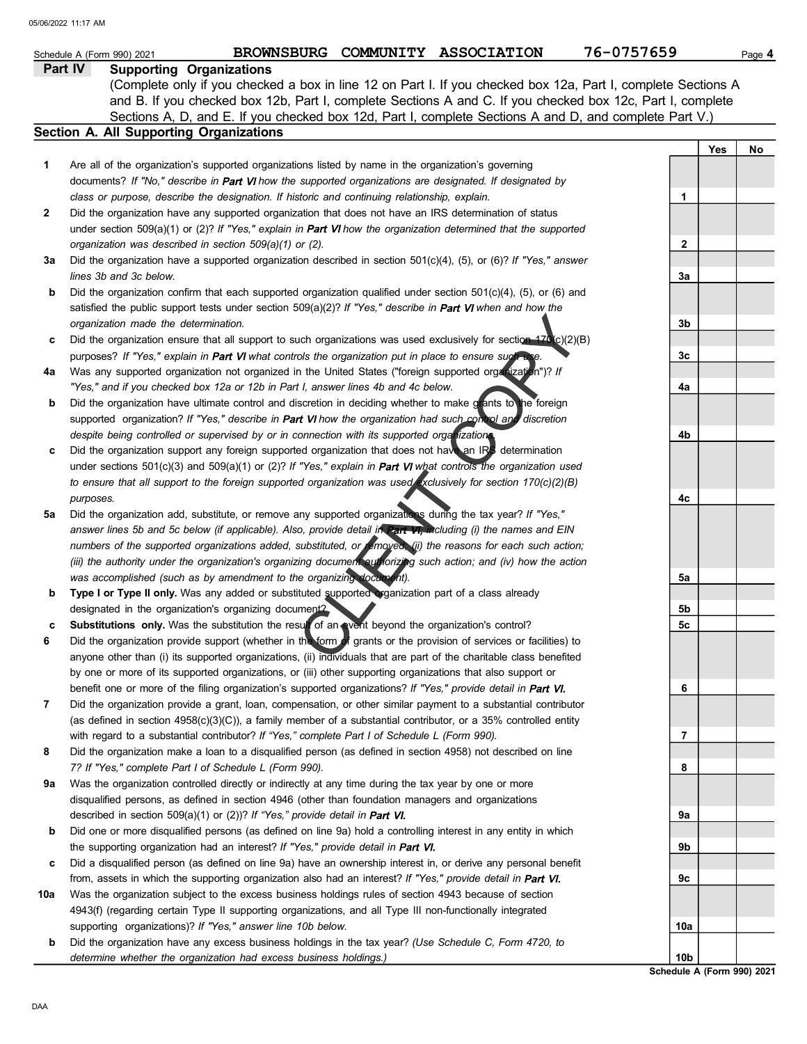#### Part IV Supporting Organizations

Sections A, D, and E. If you checked box 12d, Part I, complete Sections A and D, and complete Part V.) SCOGER 11:17 AM<br>
Schedule A (Form 990) 2021<br> **EROWNSBURG COMMUNITY ASSOCIATION** 76-0757659 Page 4<br>
(Complete only if you checked a box in line 12 on Part I. If you checked box 12a, Part I, complete Sections A<br>
and B. If yo (Complete only if you checked a box in line 12 on Part I. If you checked box 12a, Part I, complete Sections A and B. If you checked box 12b, Part I, complete Sections A and C. If you checked box 12c, Part I, complete BROWNSBURG COMMUNITY ASSOCIATION 76-0757659 Page 4<br>
checked a box in line 12 on Part I. If you checked box 12a, Part I, complete Sections A<br>
d box 12b, Part I, complete Sections A and C. If you checked box 12c, Part I, com

#### Section A. All Supporting Organizations

- Are all of the organization's supported organizations listed by name in the organization's governing 1 documents? If "No," describe in Part VI how the supported organizations are designated. If designated by class or purpose, describe the designation. If historic and continuing relationship, explain.
- Did the organization have any supported organization that does not have an IRS determination of status 2 under section 509(a)(1) or (2)? If "Yes," explain in **Part VI** how the organization determined that the supported organization was described in section 509(a)(1) or (2).
- **3a** Did the organization have a supported organization described in section 501(c)(4), (5), or (6)? If "Yes," answer lines 3b and 3c below.
- **b** Did the organization confirm that each supported organization qualified under section 501(c)(4), (5), or (6) and satisfied the public support tests under section  $509(a)(2)?$  If "Yes," describe in Part VI when and how the organization made the determination.
- **c** Did the organization ensure that all support to such organizations was used exclusively for section  $170(c)(2)(B)$ purposes? If "Yes," explain in Part VI what controls the organization put in place to ensure sug
- 4a Was any supported organization not organized in the United States ("foreign supported organization")? If "Yes," and if you checked box 12a or 12b in Part I, answer lines 4b and 4c below.
- **b** Did the organization have ultimate control and discretion in deciding whether to make g<sup>r</sup>ants to the foreign whether the control and the foreign when the control and the foreign when the control and the control of the supported organization? If "Yes," describe in Part VI how the organization had such control and discretion despite being controlled or supervised by or in connection with its supported organizations.
- c Did the organization support any foreign supported organization that does not have an IRS determination under sections 501(c)(3) and 509(a)(1) or (2)? If "Yes," explain in Part VI what controls the organization used to ensure that all support to the foreign supported organization was used exclusively for section 170(c)(2)(B) purposes.
- **5a** Did the organization add, substitute, or remove any supported organizations during the tax year? If "Yes," **The Container and State** answer lines 5b and 5c below (if applicable). Also, provide detail in Part VI, including (i) the names and EIN numbers of the supported organizations added, substituted, or removed, (ii) the reasons for each such action; (iii) the authority under the organization's organizing document authorizing such action; and (iv) how the action was accomplished (such as by amendment to the organizing document).
- **b** Type I or Type II only. Was any added or substituted supported organization part of a class already **but a** controlled the state of a class already **but a** controlled the state of a class already **but a** controlled the designated in the organization's organizing document?
- c Substitutions only. Was the substitution the result of an event beyond the organization's control?
- 6 Did the organization provide support (whether in the form of grants or the provision of services or facilities) to **Form 1** anyone other than (i) its supported organizations, (ii) individuals that are part of the charitable class benefited by one or more of its supported organizations, or (iii) other supporting organizations that also support or benefit one or more of the filing organization's supported organizations? If "Yes," provide detail in Part VI.
- 7 Did the organization provide a grant, loan, compensation, or other similar payment to a substantial contributor (as defined in section 4958(c)(3)(C)), a family member of a substantial contributor, or a 35% controlled entity with regard to a substantial contributor? If "Yes," complete Part I of Schedule L (Form 990).
- 8 Did the organization make a loan to a disqualified person (as defined in section 4958) not described on line 7? If "Yes," complete Part I of Schedule L (Form 990).
- **9a** Was the organization controlled directly or indirectly at any time during the tax year by one or more disqualified persons, as defined in section 4946 (other than foundation managers and organizations described in section 509(a)(1) or (2))? If "Yes," provide detail in Part VI.
- b Did one or more disqualified persons (as defined on line 9a) hold a controlling interest in any entity in which the supporting organization had an interest? If "Yes," provide detail in Part VI.
- c Did a disqualified person (as defined on line 9a) have an ownership interest in, or derive any personal benefit from, assets in which the supporting organization also had an interest? If "Yes," provide detail in Part VI.
- 10a Was the organization subject to the excess business holdings rules of section 4943 because of section 4943(f) (regarding certain Type II supporting organizations, and all Type III non-functionally integrated supporting organizations)? If "Yes," answer line 10b below.
- **b** Did the organization have any excess business holdings in the tax year? (Use Schedule C, Form 4720, to determine whether the organization had excess business holdings.)

| <u>59</u> |                 |                                              | Page 4    |
|-----------|-----------------|----------------------------------------------|-----------|
|           |                 | te Sections A<br>t I, complete<br>· Part V.) |           |
|           |                 | Yes                                          | <u>No</u> |
|           | $\mathbf{1}$    |                                              |           |
|           |                 |                                              |           |
|           | $\overline{2}$  |                                              |           |
|           | 3a              |                                              |           |
|           | 3 <sub>b</sub>  |                                              |           |
|           | 3c              |                                              |           |
|           | 4a              |                                              |           |
|           |                 |                                              |           |
|           | 4 <sub>b</sub>  |                                              |           |
|           |                 |                                              |           |
|           | $4\mathrm{c}$   |                                              |           |
|           |                 |                                              |           |
|           | 5a              |                                              |           |
|           | 5 <sub>b</sub>  |                                              |           |
|           | ${\bf 5c}$      |                                              |           |
|           |                 |                                              |           |
|           | $\bf 6$         |                                              |           |
|           | $\overline{7}$  |                                              |           |
|           | $\bf8$          |                                              |           |
|           |                 |                                              |           |
|           | 9a              |                                              |           |
|           | $9b$            |                                              |           |
|           | $9c$            |                                              |           |
|           | 10a             |                                              |           |
|           | 10 <sub>b</sub> |                                              |           |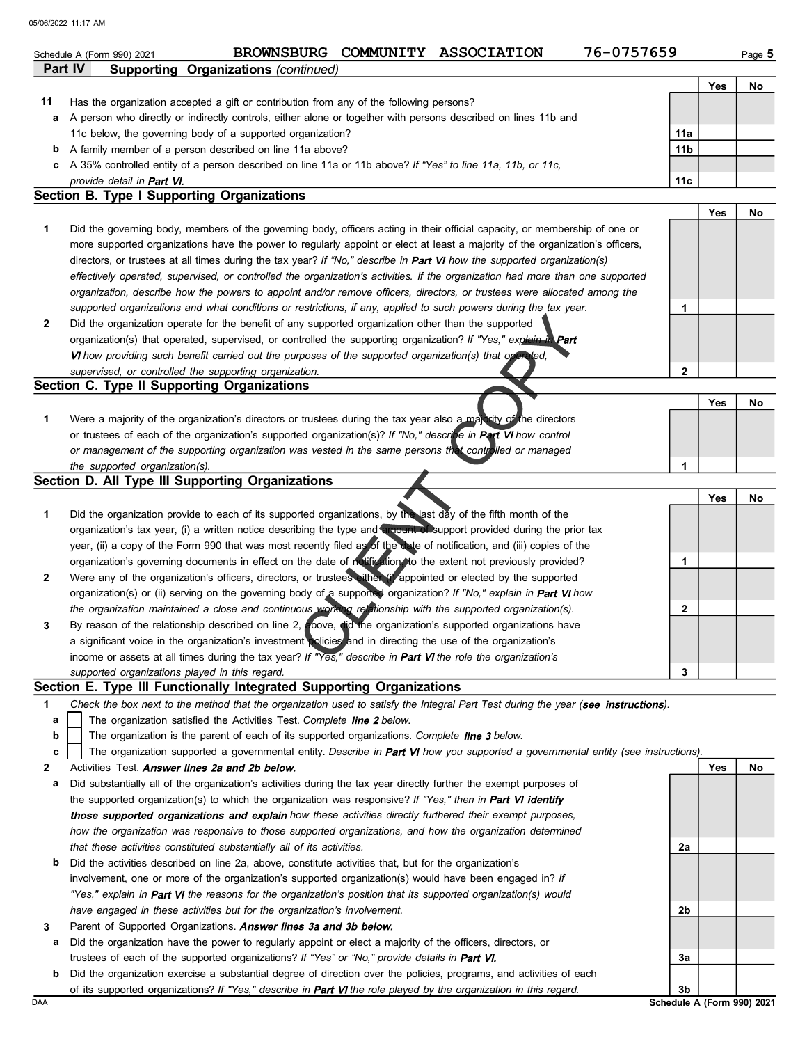| 05/06/2022 11:17 AM                                                                                                                                                                                                                                       |                 |     |        |
|-----------------------------------------------------------------------------------------------------------------------------------------------------------------------------------------------------------------------------------------------------------|-----------------|-----|--------|
|                                                                                                                                                                                                                                                           |                 |     |        |
|                                                                                                                                                                                                                                                           |                 |     |        |
|                                                                                                                                                                                                                                                           |                 |     |        |
|                                                                                                                                                                                                                                                           |                 |     |        |
|                                                                                                                                                                                                                                                           |                 |     |        |
|                                                                                                                                                                                                                                                           |                 |     |        |
|                                                                                                                                                                                                                                                           |                 |     |        |
|                                                                                                                                                                                                                                                           |                 |     |        |
| 76-0757659<br><b>BROWNSBURG</b><br>COMMUNITY<br><b>ASSOCIATION</b><br>Schedule A (Form 990) 2021                                                                                                                                                          |                 |     | Page 5 |
| <b>Part IV</b><br><b>Supporting Organizations (continued)</b>                                                                                                                                                                                             |                 | Yes | No     |
| Has the organization accepted a gift or contribution from any of the following persons?<br>11                                                                                                                                                             |                 |     |        |
| A person who directly or indirectly controls, either alone or together with persons described on lines 11b and<br>a<br>11c below, the governing body of a supported organization?                                                                         | 11a             |     |        |
| A family member of a person described on line 11a above?<br>b                                                                                                                                                                                             | 11 <sub>b</sub> |     |        |
| c A 35% controlled entity of a person described on line 11a or 11b above? If "Yes" to line 11a, 11b, or 11c,<br>provide detail in <b>Part VI.</b>                                                                                                         | 11c             |     |        |
| <b>Section B. Type I Supporting Organizations</b>                                                                                                                                                                                                         |                 |     |        |
| Did the governing body, members of the governing body, officers acting in their official capacity, or membership of one or                                                                                                                                |                 | Yes | No     |
| more supported organizations have the power to regularly appoint or elect at least a majority of the organization's officers,                                                                                                                             |                 |     |        |
| directors, or trustees at all times during the tax year? If "No," describe in Part VI how the supported organization(s)<br>effectively operated, supervised, or controlled the organization's activities. If the organization had more than one supported |                 |     |        |
| organization, describe how the powers to appoint and/or remove officers, directors, or trustees were allocated among the                                                                                                                                  |                 |     |        |
| supported organizations and what conditions or restrictions, if any, applied to such powers during the tax year.<br>Did the organization operate for the benefit of any supported organization other than the supported<br>$\mathbf{2}$                   |                 |     |        |
| organization(s) that operated, supervised, or controlled the supporting organization? If "Yes," explain in Part                                                                                                                                           |                 |     |        |
| VI how providing such benefit carried out the purposes of the supported organization(s) that operated,<br>supervised, or controlled the supporting organization.                                                                                          | $\overline{2}$  |     |        |
| <b>Section C. Type II Supporting Organizations</b>                                                                                                                                                                                                        |                 |     |        |
| Were a majority of the organization's directors or trustees during the tax year also a majority of the directors                                                                                                                                          |                 | Yes | No     |
| or trustees of each of the organization's supported organization(s)? If "No," descrive in Part VI how control                                                                                                                                             |                 |     |        |
| or management of the supporting organization was vested in the same persons that controlled or managed                                                                                                                                                    |                 |     |        |
| the supported organization(s).<br>Section D. All Type III Supporting Organizations                                                                                                                                                                        |                 |     |        |
| Did the organization provide to each of its supported organizations, by the last day of the fifth month of the                                                                                                                                            |                 | Yes | No     |
| organization's tax year, (i) a written notice describing the type and amount of support provided during the prior tax                                                                                                                                     |                 |     |        |
| year, (ii) a copy of the Form 990 that was most recently filed as of the date of notification, and (iii) copies of the                                                                                                                                    |                 |     |        |
| organization's governing documents in effect on the date of notification to the extent not previously provided?<br>Were any of the organization's officers, directors, or trustees wither (i) appointed or elected by the supported<br>$\mathbf{2}$       |                 |     |        |
| organization(s) or (ii) serving on the governing body of a supported organization? If "No," explain in Part VI how                                                                                                                                        |                 |     |        |
| the organization maintained a close and continuous working relationship with the supported organization(s).<br>By reason of the relationship described on line 2, above, did the organization's supported organizations have<br>3                         | $\mathbf{2}$    |     |        |
| a significant voice in the organization's investment policies and in directing the use of the organization's                                                                                                                                              |                 |     |        |
| income or assets at all times during the tax year? If "Yes," describe in Part VI the role the organization's                                                                                                                                              |                 |     |        |
| supported organizations played in this regard.<br>Section E. Type III Functionally Integrated Supporting Organizations                                                                                                                                    | 3               |     |        |
| Check the box next to the method that the organization used to satisfy the Integral Part Test during the year (see instructions).                                                                                                                         |                 |     |        |
| The organization satisfied the Activities Test. Complete line 2 below.<br>a<br>The organization is the parent of each of its supported organizations. Complete line 3 below.<br>b                                                                         |                 |     |        |
| The organization supported a governmental entity. Describe in Part VI how you supported a governmental entity (see instructions).<br>C                                                                                                                    |                 |     |        |
| Activities Test. Answer lines 2a and 2b below.<br>Did substantially all of the organization's activities during the tax year directly further the exempt purposes of                                                                                      |                 | Yes | No     |
| the supported organization(s) to which the organization was responsive? If "Yes," then in Part VI identify                                                                                                                                                |                 |     |        |
| those supported organizations and explain how these activities directly furthered their exempt purposes,                                                                                                                                                  |                 |     |        |
| how the organization was responsive to those supported organizations, and how the organization determined<br>that these activities constituted substantially all of its activities.                                                                       | 2a              |     |        |
| Did the activities described on line 2a, above, constitute activities that, but for the organization's                                                                                                                                                    |                 |     |        |
| involvement, one or more of the organization's supported organization(s) would have been engaged in? If<br>"Yes," explain in Part VI the reasons for the organization's position that its supported organization(s) would                                 |                 |     |        |
| have engaged in these activities but for the organization's involvement.                                                                                                                                                                                  | 2b              |     |        |
| Parent of Supported Organizations. Answer lines 3a and 3b below.<br>3                                                                                                                                                                                     |                 |     |        |
| a Did the organization have the power to regularly appoint or elect a majority of the officers, directors, or<br>trustees of each of the supported organizations? If "Yes" or "No," provide details in Part VI.                                           | За              |     |        |
|                                                                                                                                                                                                                                                           |                 |     |        |

|     | Did the organization exercise a substantial degree of direction over the policies, programs, and activities of each |                            |  |
|-----|---------------------------------------------------------------------------------------------------------------------|----------------------------|--|
|     | of its supported organizations? If "Yes." describe in Part VI the role played by the organization in this regard.   | 3b                         |  |
| DAA |                                                                                                                     | Schedule A (Form 990) 2021 |  |

 $3b$  |  $\qquad$  |  $\qquad$  |  $\qquad$  |  $\qquad$  |  $\qquad$  |  $\qquad$  |  $\qquad$  |  $\qquad$  |  $\qquad$  |  $\qquad$  |  $\qquad$  |  $\qquad$  |  $\qquad$  |  $\qquad$  |  $\qquad$  |  $\qquad$  |  $\qquad$  |  $\qquad$  |  $\qquad$  |  $\qquad$  |  $\qquad$  |  $\qquad$  |  $\qquad$  |  $\qquad$  |  $\qquad$  |  $\qquad$  |  $\qquad$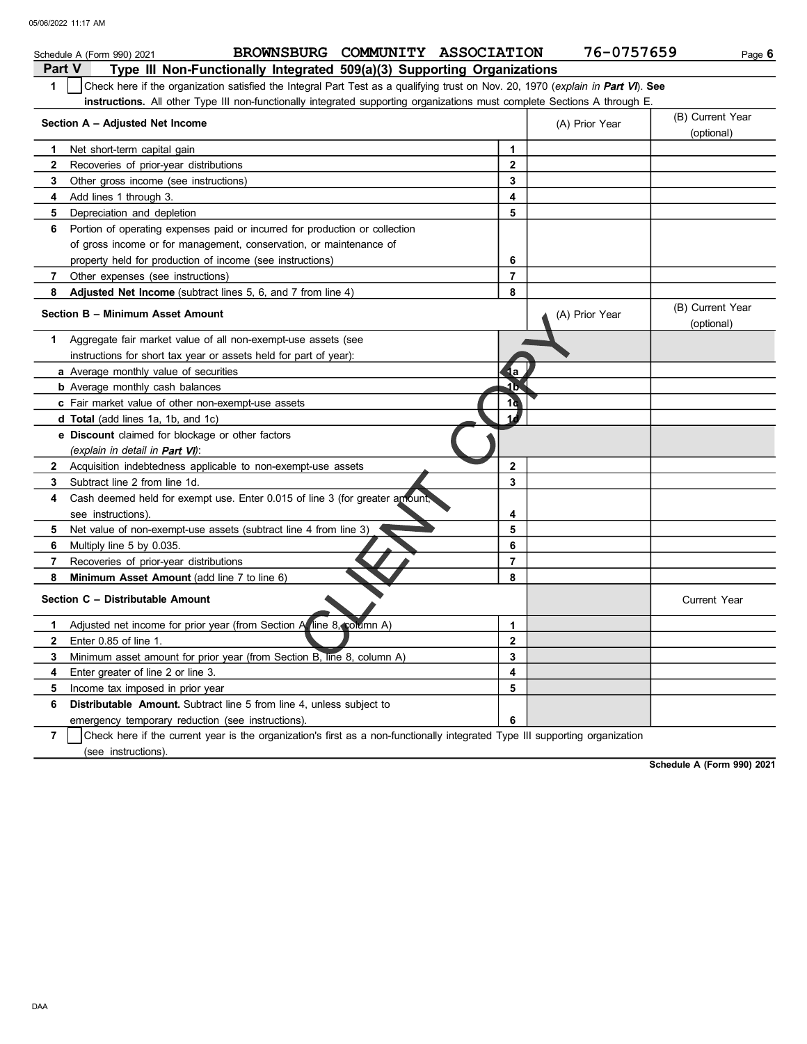| 05/06/2022 11:17 AM                                                                                                                                                                                                                                                          |                         |                |                                |
|------------------------------------------------------------------------------------------------------------------------------------------------------------------------------------------------------------------------------------------------------------------------------|-------------------------|----------------|--------------------------------|
|                                                                                                                                                                                                                                                                              |                         |                |                                |
| BROWNSBURG COMMUNITY ASSOCIATION<br>Schedule A (Form 990) 2021                                                                                                                                                                                                               |                         | 76-0757659     | Page 6                         |
| Part V<br>Type III Non-Functionally Integrated 509(a)(3) Supporting Organizations                                                                                                                                                                                            |                         |                |                                |
| Check here if the organization satisfied the Integral Part Test as a qualifying trust on Nov. 20, 1970 (explain in Part VI). See<br>$\mathbf 1$<br>instructions. All other Type III non-functionally integrated supporting organizations must complete Sections A through E. |                         |                |                                |
|                                                                                                                                                                                                                                                                              |                         |                | (B) Current Year               |
| Section A - Adjusted Net Income                                                                                                                                                                                                                                              |                         | (A) Prior Year | (optional)                     |
| Net short-term capital gain<br>$\mathbf 1$                                                                                                                                                                                                                                   | $\mathbf 1$             |                |                                |
| 2 Recoveries of prior-year distributions                                                                                                                                                                                                                                     | $\mathbf{2}$            |                |                                |
| 3 Other gross income (see instructions)                                                                                                                                                                                                                                      | 3                       |                |                                |
| 4 Add lines 1 through 3.                                                                                                                                                                                                                                                     | 4                       |                |                                |
| 5 Depreciation and depletion                                                                                                                                                                                                                                                 | 5                       |                |                                |
| 6 Portion of operating expenses paid or incurred for production or collection<br>of gross income or for management, conservation, or maintenance of                                                                                                                          |                         |                |                                |
| property held for production of income (see instructions)                                                                                                                                                                                                                    | 6                       |                |                                |
| 7 Other expenses (see instructions)                                                                                                                                                                                                                                          | $\overline{7}$          |                |                                |
| 8 Adjusted Net Income (subtract lines 5, 6, and 7 from line 4)                                                                                                                                                                                                               | 8                       |                |                                |
| Section B - Minimum Asset Amount                                                                                                                                                                                                                                             |                         | (A) Prior Year | (B) Current Year<br>(optional) |
| Aggregate fair market value of all non-exempt-use assets (see<br>$\mathbf 1$                                                                                                                                                                                                 |                         |                |                                |
| instructions for short tax year or assets held for part of year):                                                                                                                                                                                                            |                         |                |                                |
| a Average monthly value of securities                                                                                                                                                                                                                                        | $\sqrt{a}$              |                |                                |
| <b>b</b> Average monthly cash balances                                                                                                                                                                                                                                       | 1 <sub>0</sub>          |                |                                |
| c Fair market value of other non-exempt-use assets<br>d Total (add lines 1a, 1b, and 1c)                                                                                                                                                                                     |                         |                |                                |
| e Discount claimed for blockage or other factors                                                                                                                                                                                                                             |                         |                |                                |
| (explain in detail in Part VI):                                                                                                                                                                                                                                              |                         |                |                                |
| 2 Acquisition indebtedness applicable to non-exempt-use assets                                                                                                                                                                                                               | $\mathbf{2}$            |                |                                |
| 3 Subtract line 2 from line 1d.                                                                                                                                                                                                                                              | 3                       |                |                                |
| 4 Cash deemed held for exempt use. Enter 0.015 of line 3 (for greater amount,                                                                                                                                                                                                |                         |                |                                |
| see instructions).<br>5 Net value of non-exempt-use assets (subtract line 4 from line 3)                                                                                                                                                                                     | 4<br>5                  |                |                                |
| 6 Multiply line 5 by 0.035.                                                                                                                                                                                                                                                  | 6                       |                |                                |
| 7 Recoveries of prior-year distributions                                                                                                                                                                                                                                     | $\overline{7}$          |                |                                |
| 8 Minimum Asset Amount (add line 7 to line 6)                                                                                                                                                                                                                                | 8                       |                |                                |
| Section C - Distributable Amount                                                                                                                                                                                                                                             |                         |                | Current Year                   |
| Adjusted net income for prior year (from Section A line 8, column A)<br>1.                                                                                                                                                                                                   | $\mathbf{1}$            |                |                                |
| 2 Enter 0.85 of line 1.                                                                                                                                                                                                                                                      | $\overline{\mathbf{2}}$ |                |                                |
| 3 Minimum asset amount for prior year (from Section B, line 8, column A)                                                                                                                                                                                                     | 3                       |                |                                |
| 4 Enter greater of line 2 or line 3.                                                                                                                                                                                                                                         | 4                       |                |                                |
| 5 Income tax imposed in prior year                                                                                                                                                                                                                                           | 5                       |                |                                |
| 6 Distributable Amount. Subtract line 5 from line 4, unless subject to                                                                                                                                                                                                       | 6                       |                |                                |
| emergency temporary reduction (see instructions).<br>7 <sup>1</sup><br>Check here if the current year is the organization's first as a non-functionally integrated Type III supporting organization                                                                          |                         |                |                                |
| (see instructions).                                                                                                                                                                                                                                                          |                         |                |                                |

Schedule A (Form 990) 2021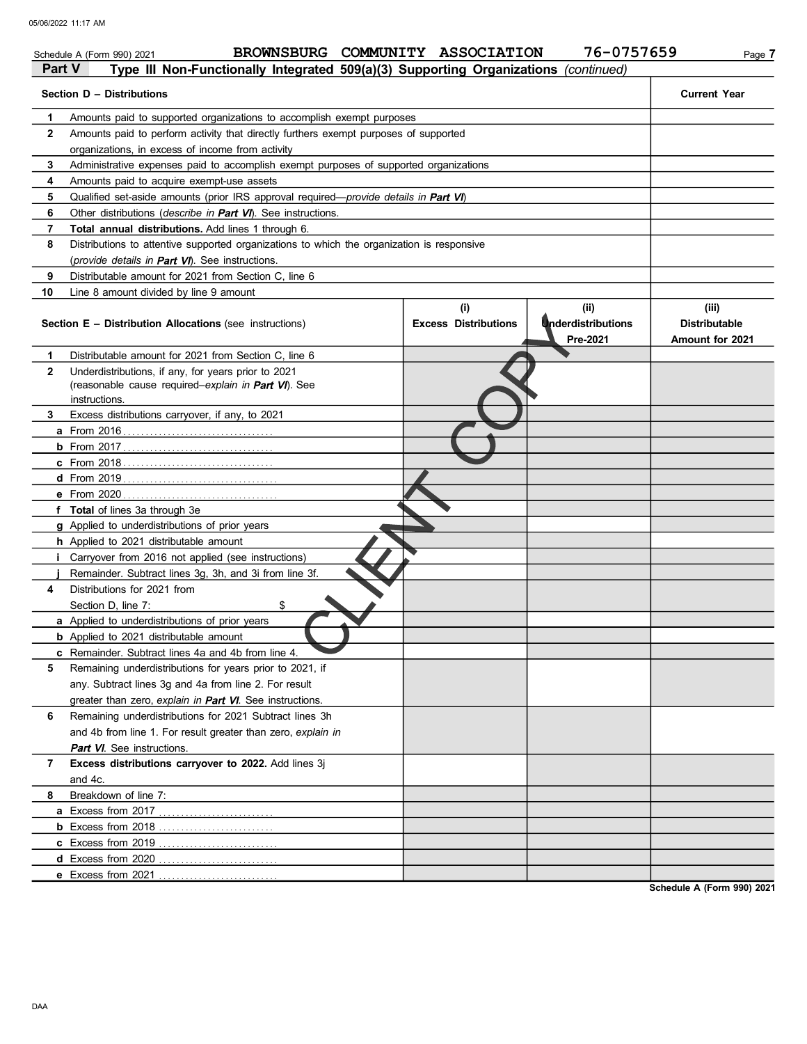| 05/06/2022 11:17 AM                                                                                                         |                                    |                                               |                                                  |
|-----------------------------------------------------------------------------------------------------------------------------|------------------------------------|-----------------------------------------------|--------------------------------------------------|
| <b>BROWNSBURG</b>                                                                                                           | COMMUNITY ASSOCIATION              | 76-0757659                                    |                                                  |
| Schedule A (Form 990) 2021<br>Part V<br>Type III Non-Functionally Integrated 509(a)(3) Supporting Organizations (continued) |                                    |                                               | Page 7                                           |
|                                                                                                                             |                                    |                                               |                                                  |
| Section D - Distributions                                                                                                   |                                    |                                               | <b>Current Year</b>                              |
| Amounts paid to supported organizations to accomplish exempt purposes<br>$\mathbf 1$                                        |                                    |                                               |                                                  |
| Amounts paid to perform activity that directly furthers exempt purposes of supported<br>$\mathbf{2}$                        |                                    |                                               |                                                  |
| organizations, in excess of income from activity                                                                            |                                    |                                               |                                                  |
| Administrative expenses paid to accomplish exempt purposes of supported organizations<br>3                                  |                                    |                                               |                                                  |
| Amounts paid to acquire exempt-use assets<br>4                                                                              |                                    |                                               |                                                  |
| Qualified set-aside amounts (prior IRS approval required-provide details in Part VI)<br>5                                   |                                    |                                               |                                                  |
| Other distributions (describe in Part VI). See instructions.<br>6                                                           |                                    |                                               |                                                  |
| Total annual distributions. Add lines 1 through 6.<br>7                                                                     |                                    |                                               |                                                  |
| Distributions to attentive supported organizations to which the organization is responsive<br>8                             |                                    |                                               |                                                  |
| (provide details in Part VI). See instructions.                                                                             |                                    |                                               |                                                  |
| Distributable amount for 2021 from Section C, line 6<br>9                                                                   |                                    |                                               |                                                  |
| Line 8 amount divided by line 9 amount<br>10                                                                                |                                    |                                               |                                                  |
| Section E - Distribution Allocations (see instructions)                                                                     | (i)<br><b>Excess Distributions</b> | (ii)<br><b>Underdistributions</b><br>Pre-2021 | (iii)<br><b>Distributable</b><br>Amount for 2021 |
| Distributable amount for 2021 from Section C, line 6                                                                        |                                    |                                               |                                                  |
| Underdistributions, if any, for years prior to 2021<br>$\mathbf{2}$                                                         |                                    |                                               |                                                  |
| (reasonable cause required-explain in Part VI). See                                                                         |                                    |                                               |                                                  |
| instructions.                                                                                                               |                                    |                                               |                                                  |
| Excess distributions carryover, if any, to 2021<br>3                                                                        |                                    |                                               |                                                  |
| a From 2016                                                                                                                 |                                    |                                               |                                                  |
|                                                                                                                             |                                    |                                               |                                                  |
|                                                                                                                             |                                    |                                               |                                                  |
|                                                                                                                             |                                    |                                               |                                                  |
| e From 2020                                                                                                                 |                                    |                                               |                                                  |
| f Total of lines 3a through 3e                                                                                              |                                    |                                               |                                                  |
| g Applied to underdistributions of prior years                                                                              |                                    |                                               |                                                  |
| h Applied to 2021 distributable amount                                                                                      |                                    |                                               |                                                  |
| Carryover from 2016 not applied (see instructions)                                                                          |                                    |                                               |                                                  |
| Remainder. Subtract lines 3g, 3h, and 3i from line 3f.                                                                      |                                    |                                               |                                                  |
| Distributions for 2021 from<br>4                                                                                            |                                    |                                               |                                                  |
| Section D, line 7:<br>\$                                                                                                    |                                    |                                               |                                                  |
| a Applied to underdistributions of prior years                                                                              |                                    |                                               |                                                  |
| <b>b</b> Applied to 2021 distributable amount                                                                               |                                    |                                               |                                                  |
| c Remainder. Subtract lines 4a and 4b from line 4.                                                                          |                                    |                                               |                                                  |
| Remaining underdistributions for years prior to 2021, if<br>5                                                               |                                    |                                               |                                                  |
| any. Subtract lines 3g and 4a from line 2. For result                                                                       |                                    |                                               |                                                  |
| greater than zero, explain in Part VI. See instructions.                                                                    |                                    |                                               |                                                  |
| Remaining underdistributions for 2021 Subtract lines 3h<br>6                                                                |                                    |                                               |                                                  |
| and 4b from line 1. For result greater than zero, explain in                                                                |                                    |                                               |                                                  |
| Part VI. See instructions.                                                                                                  |                                    |                                               |                                                  |
|                                                                                                                             |                                    |                                               |                                                  |
| Excess distributions carryover to 2022. Add lines 3j<br>$\overline{7}$                                                      |                                    |                                               |                                                  |

Schedule A (Form 990) 2021

8 Breakdown of line 7:

e Excess from 2021

c Excess from 2019

and 4c.

ab Excess from 2018 . . . . . . . . . . . . . . . . . . . . . . . . . .

cd Excess from 2020 . . . . . . . . . . . . . . . . . . . . . . . . . . .

Excess from 2021 . . . . . . . . . . . . . . . . . . . . . . . . . . . Excess from 2017 . . . . . . . . . . . . . . . . . . . . . . . . . .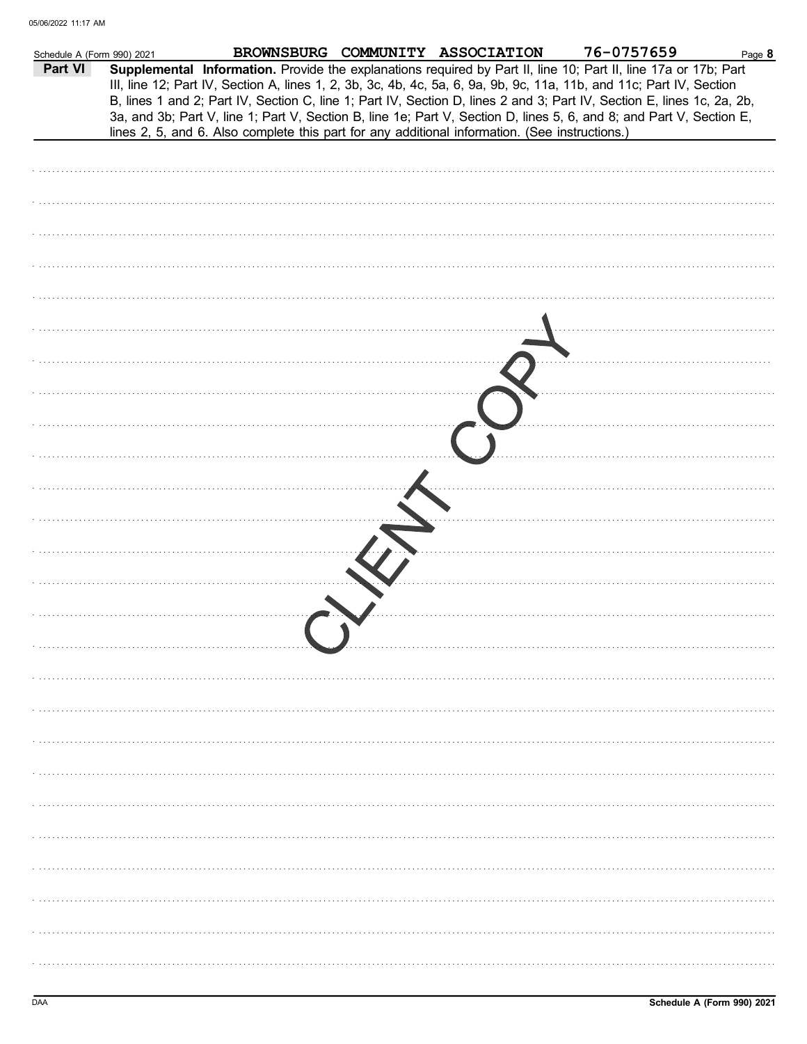| Schedule A (Form 990) 2021 |                                                                                                                                                                                                                                                                                                                                                                                                                                                                                                                                                                                             | BROWNSBURG COMMUNITY ASSOCIATION | 76-0757659 | Page 8 |
|----------------------------|---------------------------------------------------------------------------------------------------------------------------------------------------------------------------------------------------------------------------------------------------------------------------------------------------------------------------------------------------------------------------------------------------------------------------------------------------------------------------------------------------------------------------------------------------------------------------------------------|----------------------------------|------------|--------|
| Part VI                    | Supplemental Information. Provide the explanations required by Part II, line 10; Part II, line 17a or 17b; Part<br>III, line 12; Part IV, Section A, lines 1, 2, 3b, 3c, 4b, 4c, 5a, 6, 9a, 9b, 9c, 11a, 11b, and 11c; Part IV, Section<br>B, lines 1 and 2; Part IV, Section C, line 1; Part IV, Section D, lines 2 and 3; Part IV, Section E, lines 1c, 2a, 2b,<br>3a, and 3b; Part V, line 1; Part V, Section B, line 1e; Part V, Section D, lines 5, 6, and 8; and Part V, Section E,<br>lines 2, 5, and 6. Also complete this part for any additional information. (See instructions.) |                                  |            |        |
|                            |                                                                                                                                                                                                                                                                                                                                                                                                                                                                                                                                                                                             |                                  |            |        |
|                            |                                                                                                                                                                                                                                                                                                                                                                                                                                                                                                                                                                                             |                                  |            |        |
|                            |                                                                                                                                                                                                                                                                                                                                                                                                                                                                                                                                                                                             |                                  |            |        |
|                            |                                                                                                                                                                                                                                                                                                                                                                                                                                                                                                                                                                                             |                                  |            |        |
|                            |                                                                                                                                                                                                                                                                                                                                                                                                                                                                                                                                                                                             |                                  |            |        |
|                            |                                                                                                                                                                                                                                                                                                                                                                                                                                                                                                                                                                                             |                                  |            |        |
|                            |                                                                                                                                                                                                                                                                                                                                                                                                                                                                                                                                                                                             |                                  |            |        |
|                            |                                                                                                                                                                                                                                                                                                                                                                                                                                                                                                                                                                                             |                                  |            |        |
|                            |                                                                                                                                                                                                                                                                                                                                                                                                                                                                                                                                                                                             |                                  |            |        |
|                            |                                                                                                                                                                                                                                                                                                                                                                                                                                                                                                                                                                                             |                                  |            |        |
|                            |                                                                                                                                                                                                                                                                                                                                                                                                                                                                                                                                                                                             |                                  |            |        |
|                            |                                                                                                                                                                                                                                                                                                                                                                                                                                                                                                                                                                                             |                                  |            |        |
|                            |                                                                                                                                                                                                                                                                                                                                                                                                                                                                                                                                                                                             |                                  |            |        |
|                            |                                                                                                                                                                                                                                                                                                                                                                                                                                                                                                                                                                                             |                                  |            |        |
|                            |                                                                                                                                                                                                                                                                                                                                                                                                                                                                                                                                                                                             |                                  |            |        |
|                            |                                                                                                                                                                                                                                                                                                                                                                                                                                                                                                                                                                                             |                                  |            |        |
|                            |                                                                                                                                                                                                                                                                                                                                                                                                                                                                                                                                                                                             |                                  |            |        |
|                            |                                                                                                                                                                                                                                                                                                                                                                                                                                                                                                                                                                                             |                                  |            |        |
|                            |                                                                                                                                                                                                                                                                                                                                                                                                                                                                                                                                                                                             |                                  |            |        |
|                            |                                                                                                                                                                                                                                                                                                                                                                                                                                                                                                                                                                                             |                                  |            |        |
|                            |                                                                                                                                                                                                                                                                                                                                                                                                                                                                                                                                                                                             |                                  |            |        |
|                            |                                                                                                                                                                                                                                                                                                                                                                                                                                                                                                                                                                                             |                                  |            |        |
|                            |                                                                                                                                                                                                                                                                                                                                                                                                                                                                                                                                                                                             |                                  |            |        |
|                            |                                                                                                                                                                                                                                                                                                                                                                                                                                                                                                                                                                                             |                                  |            |        |
|                            |                                                                                                                                                                                                                                                                                                                                                                                                                                                                                                                                                                                             |                                  |            |        |
|                            |                                                                                                                                                                                                                                                                                                                                                                                                                                                                                                                                                                                             |                                  |            |        |
|                            |                                                                                                                                                                                                                                                                                                                                                                                                                                                                                                                                                                                             |                                  |            |        |
|                            |                                                                                                                                                                                                                                                                                                                                                                                                                                                                                                                                                                                             |                                  |            |        |
|                            |                                                                                                                                                                                                                                                                                                                                                                                                                                                                                                                                                                                             |                                  |            |        |
|                            |                                                                                                                                                                                                                                                                                                                                                                                                                                                                                                                                                                                             |                                  |            |        |
|                            |                                                                                                                                                                                                                                                                                                                                                                                                                                                                                                                                                                                             |                                  |            |        |
|                            |                                                                                                                                                                                                                                                                                                                                                                                                                                                                                                                                                                                             |                                  |            |        |
|                            |                                                                                                                                                                                                                                                                                                                                                                                                                                                                                                                                                                                             |                                  |            |        |
|                            |                                                                                                                                                                                                                                                                                                                                                                                                                                                                                                                                                                                             |                                  |            |        |
|                            |                                                                                                                                                                                                                                                                                                                                                                                                                                                                                                                                                                                             |                                  |            |        |
|                            |                                                                                                                                                                                                                                                                                                                                                                                                                                                                                                                                                                                             |                                  |            |        |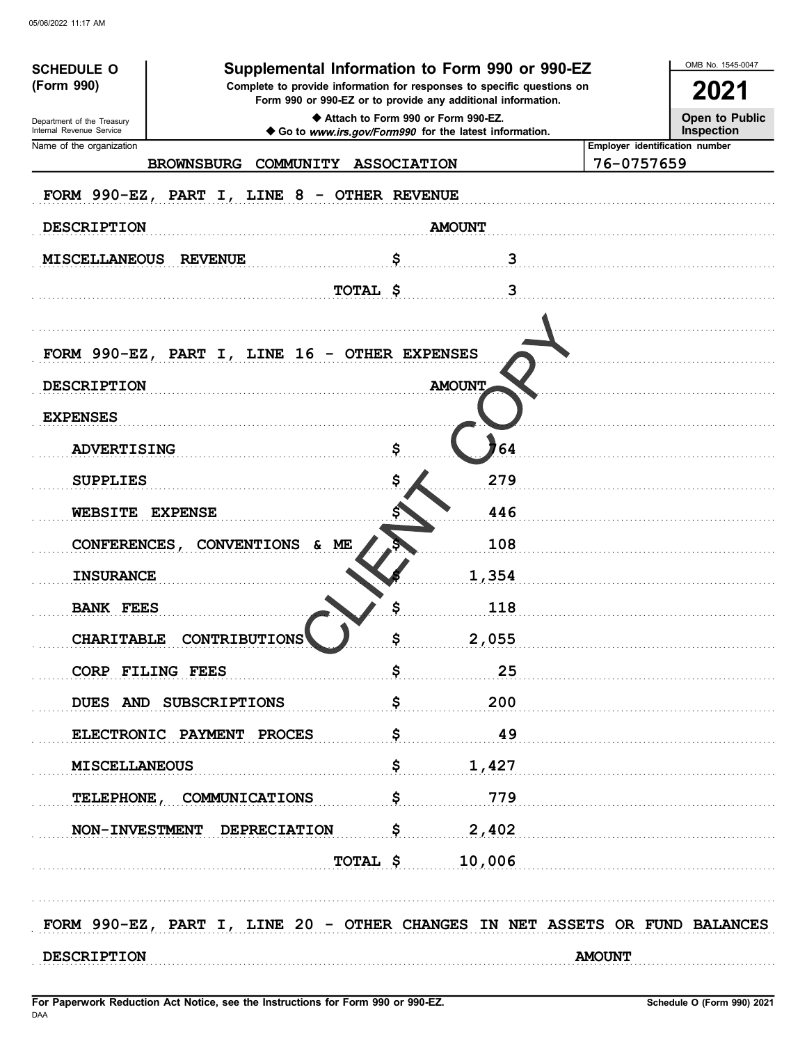| <b>SCHEDULE O</b>                                                           | Supplemental Information to Form 990 or 990-EZ                         |                                      |                                                              |               | OMB No. 1545-0047                            |
|-----------------------------------------------------------------------------|------------------------------------------------------------------------|--------------------------------------|--------------------------------------------------------------|---------------|----------------------------------------------|
| (Form 990)                                                                  | Complete to provide information for responses to specific questions on |                                      | Form 990 or 990-EZ or to provide any additional information. |               | 2021                                         |
| Department of the Treasury                                                  |                                                                        | ♦ Attach to Form 990 or Form 990-EZ. |                                                              |               | <b>Open to Public</b>                        |
| Internal Revenue Service<br>Name of the organization                        |                                                                        |                                      | ♦ Go to www.irs.gov/Form990 for the latest information.      |               | Inspection<br>Employer identification number |
| <b>BROWNSBURG</b>                                                           | COMMUNITY                                                              | <b>ASSOCIATION</b>                   |                                                              |               | 76-0757659                                   |
| FORM 990-EZ, PART I, LINE 8 - OTHER REVENUE                                 |                                                                        |                                      |                                                              |               |                                              |
| <b>DESCRIPTION</b>                                                          |                                                                        |                                      | <b>AMOUNT</b>                                                |               |                                              |
|                                                                             |                                                                        |                                      | 3                                                            |               |                                              |
| <b>MISCELLANEOUS</b><br><b>REVENUE</b>                                      |                                                                        | \$                                   |                                                              |               |                                              |
|                                                                             |                                                                        | TOTAL \$                             | 3                                                            |               |                                              |
|                                                                             |                                                                        |                                      |                                                              |               |                                              |
| FORM 990-EZ, PART I, LINE 16 -                                              |                                                                        | <b>OTHER EXPENSES</b>                |                                                              |               |                                              |
| <b>DESCRIPTION</b>                                                          |                                                                        |                                      | <b>AMOUNT</b>                                                |               |                                              |
| <b>EXPENSES</b>                                                             |                                                                        |                                      |                                                              |               |                                              |
| <b>ADVERTISING</b>                                                          |                                                                        | \$                                   | 64                                                           |               |                                              |
| <b>SUPPLIES</b>                                                             |                                                                        | S                                    | 279                                                          |               |                                              |
| WEBSITE EXPENSE                                                             |                                                                        |                                      | 446                                                          |               |                                              |
| <b>CONFERENCES</b>                                                          | CONVENTIONS & ME                                                       |                                      | 108                                                          |               |                                              |
|                                                                             |                                                                        |                                      |                                                              |               |                                              |
| <b>INSURANCE</b>                                                            |                                                                        |                                      | 1,354                                                        |               |                                              |
| <b>BANK FEES</b>                                                            |                                                                        | \$                                   | 118                                                          |               |                                              |
| <b>CHARITABLE</b>                                                           | <b>CONTRIBUTIONS</b>                                                   | \$                                   | 2,055                                                        |               |                                              |
| CORP FILING FEES                                                            |                                                                        | \$                                   | 25                                                           |               |                                              |
| DUES AND SUBSCRIPTIONS                                                      |                                                                        | \$                                   | 200                                                          |               |                                              |
| ELECTRONIC PAYMENT PROCES                                                   |                                                                        | \$                                   | 49                                                           |               |                                              |
| <b>MISCELLANEOUS</b>                                                        |                                                                        | \$                                   | 1,427                                                        |               |                                              |
| TELEPHONE, COMMUNICATIONS                                                   |                                                                        | \$                                   | 779                                                          |               |                                              |
| <b>NON-INVESTMENT</b>                                                       | <b>DEPRECIATION</b>                                                    | \$                                   | 2,402                                                        |               |                                              |
|                                                                             |                                                                        |                                      |                                                              |               |                                              |
|                                                                             |                                                                        | TOTAL \$                             | 10,006                                                       |               |                                              |
|                                                                             |                                                                        |                                      |                                                              |               |                                              |
| FORM 990-EZ, PART I, LINE 20 - OTHER CHANGES IN NET ASSETS OR FUND BALANCES |                                                                        |                                      |                                                              |               |                                              |
| <b>DESCRIPTION</b>                                                          |                                                                        |                                      |                                                              | <b>AMOUNT</b> |                                              |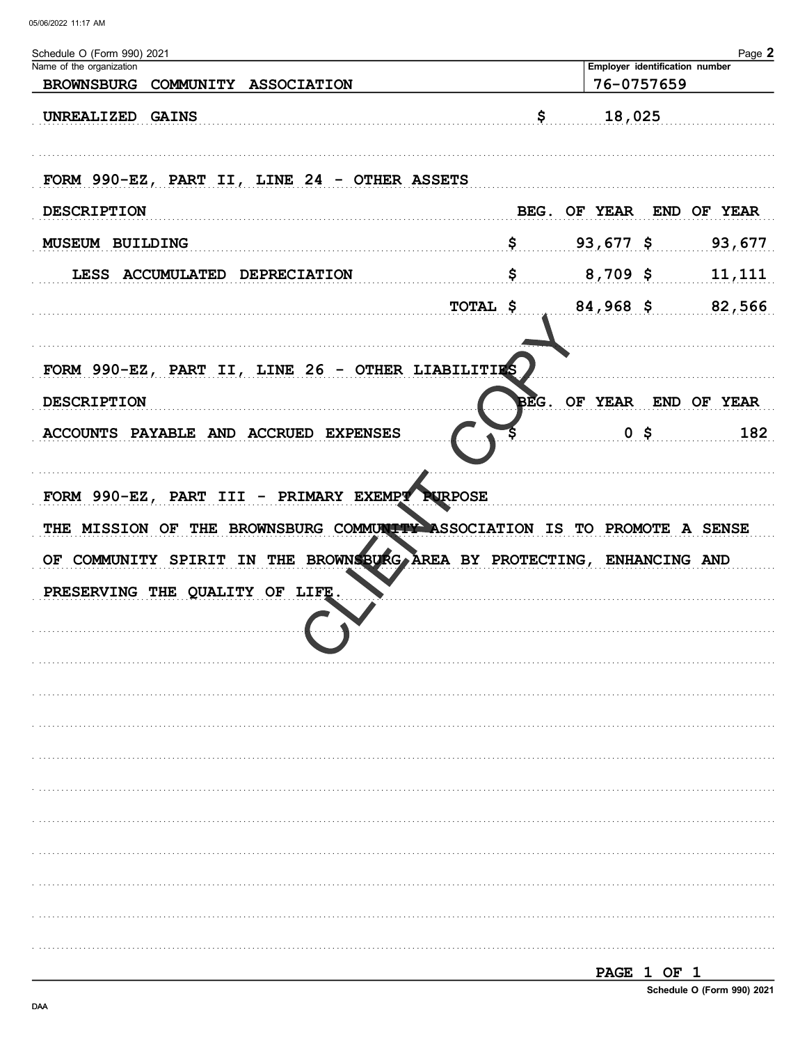| Schedule O (Form 990) 2021                                                                                                                                                                                                                |          |                                | Page 2             |
|-------------------------------------------------------------------------------------------------------------------------------------------------------------------------------------------------------------------------------------------|----------|--------------------------------|--------------------|
| Name of the organization                                                                                                                                                                                                                  |          | Employer identification number |                    |
| BROWNSBURG COMMUNITY ASSOCIATION<br>UNREALIZED GAINS                                                                                                                                                                                      | \$       | 76-0757659<br>18,025           |                    |
|                                                                                                                                                                                                                                           |          |                                |                    |
| FORM 990-EZ, PART II, LINE 24 - OTHER ASSETS                                                                                                                                                                                              |          |                                |                    |
| <b>DESCRIPTION</b>                                                                                                                                                                                                                        |          | BEG. OF YEAR                   | <b>END OF YEAR</b> |
| MUSEUM BUILDING                                                                                                                                                                                                                           | \$       | $93,677$ \$                    | 93,677             |
| LESS ACCUMULATED DEPRECIATION                                                                                                                                                                                                             | \$       | $8,709$ \$                     | 11,111             |
|                                                                                                                                                                                                                                           | TOTAL \$ | $84,968$ \$                    | 82,566             |
| FORM 990-EZ, PART II, LINE 26 - OTHER LIABILITIES                                                                                                                                                                                         |          |                                |                    |
| <b>DESCRIPTION</b>                                                                                                                                                                                                                        |          | BEG. OF YEAR                   | END OF YEAR        |
| ACCOUNTS PAYABLE AND ACCRUED EXPENSES                                                                                                                                                                                                     |          | $0$ \$                         | 182                |
| FORM 990-EZ, PART III - PRIMARY EXEMPT PURPOSE<br>THE MISSION OF THE BROWNSBURG COMMUNITY ASSOCIATION IS TO PROMOTE A SENSE<br>OF COMMUNITY SPIRIT IN THE BROWNSBURG AREA BY PROTECTING, ENHANCING AND<br>PRESERVING THE QUALITY OF LIFE. |          |                                |                    |
|                                                                                                                                                                                                                                           |          |                                |                    |
|                                                                                                                                                                                                                                           |          |                                |                    |
|                                                                                                                                                                                                                                           |          |                                |                    |
|                                                                                                                                                                                                                                           |          |                                |                    |
|                                                                                                                                                                                                                                           |          |                                |                    |
|                                                                                                                                                                                                                                           |          |                                |                    |
|                                                                                                                                                                                                                                           |          |                                |                    |
|                                                                                                                                                                                                                                           |          |                                |                    |
|                                                                                                                                                                                                                                           |          |                                |                    |
|                                                                                                                                                                                                                                           |          |                                |                    |

PAGE 1 OF 1

Schedule O (Form 990) 2021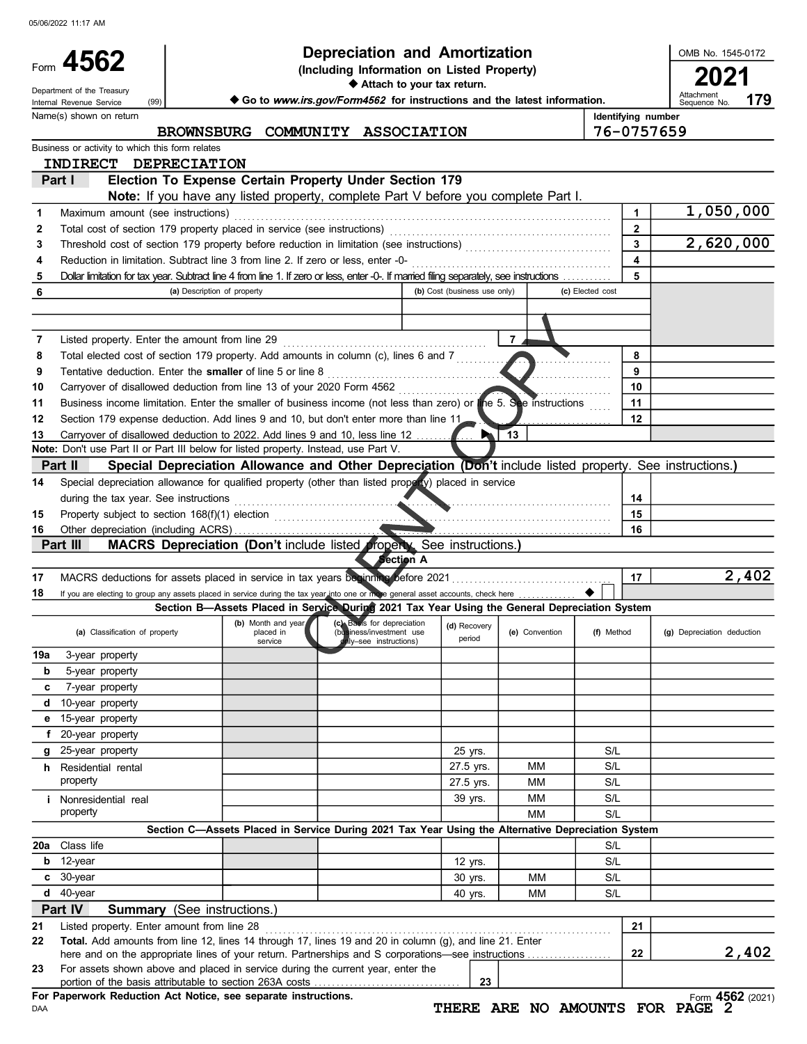| 4562<br>Department of the Treasury<br>(99)<br>Internal Revenue Service |                                                                                                                                                                                                               | <b>Depreciation and Amortization</b><br>(Including Information on Listed Property)<br>♦ Attach to your tax return.<br>♦ Go to www.irs.gov/Form4562 for instructions and the latest information. |                              |                 |                                         | OMB No. 1545-0172<br>Attachment<br>179<br>Sequence No. |
|------------------------------------------------------------------------|---------------------------------------------------------------------------------------------------------------------------------------------------------------------------------------------------------------|-------------------------------------------------------------------------------------------------------------------------------------------------------------------------------------------------|------------------------------|-----------------|-----------------------------------------|--------------------------------------------------------|
| Name(s) shown on return                                                |                                                                                                                                                                                                               |                                                                                                                                                                                                 |                              |                 | Identifying number                      |                                                        |
| Business or activity to which this form relates                        | <b>BROWNSBURG</b>                                                                                                                                                                                             | COMMUNITY ASSOCIATION                                                                                                                                                                           |                              |                 | 76-0757659                              |                                                        |
| INDIRECT DEPRECIATION                                                  |                                                                                                                                                                                                               |                                                                                                                                                                                                 |                              |                 |                                         |                                                        |
| Part I                                                                 | Election To Expense Certain Property Under Section 179                                                                                                                                                        |                                                                                                                                                                                                 |                              |                 |                                         |                                                        |
|                                                                        | Note: If you have any listed property, complete Part V before you complete Part I.                                                                                                                            |                                                                                                                                                                                                 |                              |                 |                                         |                                                        |
| Maximum amount (see instructions)                                      |                                                                                                                                                                                                               |                                                                                                                                                                                                 |                              |                 | $\mathbf{1}$                            | 1,050,000                                              |
| 2                                                                      |                                                                                                                                                                                                               |                                                                                                                                                                                                 |                              |                 | $\overline{2}$                          |                                                        |
| 3                                                                      |                                                                                                                                                                                                               |                                                                                                                                                                                                 |                              |                 | $\mathbf{3}$<br>$\overline{\mathbf{4}}$ | 2,620,000                                              |
|                                                                        | Dollar limitation for tax year. Subtract line 4 from line 1. If zero or less, enter -0-. If married filing separately, see instructions                                                                       |                                                                                                                                                                                                 |                              |                 | 5                                       |                                                        |
|                                                                        | (a) Description of property                                                                                                                                                                                   |                                                                                                                                                                                                 | (b) Cost (business use only) |                 | (c) Elected cost                        |                                                        |
|                                                                        |                                                                                                                                                                                                               |                                                                                                                                                                                                 |                              |                 |                                         |                                                        |
|                                                                        |                                                                                                                                                                                                               |                                                                                                                                                                                                 |                              |                 |                                         |                                                        |
|                                                                        | Listed property. Enter the amount from line 29                                                                                                                                                                |                                                                                                                                                                                                 |                              | $\overline{7}$  |                                         |                                                        |
| 8                                                                      | Total elected cost of section 179 property. Add amounts in column (c), lines 6 and 7                                                                                                                          |                                                                                                                                                                                                 |                              |                 | 8                                       |                                                        |
| 9                                                                      | Tentative deduction. Enter the smaller of line 5 or line 8                                                                                                                                                    |                                                                                                                                                                                                 |                              |                 | 9                                       |                                                        |
| 10                                                                     | Carryover of disallowed deduction from line 13 of your 2020 Form 4562                                                                                                                                         |                                                                                                                                                                                                 |                              |                 | 10                                      |                                                        |
| 11<br>12                                                               | Business income limitation. Enter the smaller of business income (not less than zero) or line 5. See instructions<br>Section 179 expense deduction. Add lines 9 and 10, but don't enter more than line 11     |                                                                                                                                                                                                 |                              |                 | 11<br>12                                |                                                        |
| 13                                                                     | Carryover of disallowed deduction to 2022. Add lines 9 and 10, less line 12                                                                                                                                   |                                                                                                                                                                                                 |                              | $\overline{1}3$ |                                         |                                                        |
|                                                                        | Note: Don't use Part II or Part III below for listed property. Instead, use Part V.                                                                                                                           |                                                                                                                                                                                                 |                              |                 |                                         |                                                        |
| Part II                                                                | Special Depreciation Allowance and Other Depreciation (Don't include listed property. See instructions.)                                                                                                      |                                                                                                                                                                                                 |                              |                 |                                         |                                                        |
| 14                                                                     | Special depreciation allowance for qualified property (other than listed property) placed in service                                                                                                          |                                                                                                                                                                                                 |                              |                 |                                         |                                                        |
| during the tax year. See instructions                                  |                                                                                                                                                                                                               | <u> 1999 - Johann Barn, fransk politik formuler (d. 1989)</u>                                                                                                                                   |                              |                 | 14                                      |                                                        |
| 15                                                                     |                                                                                                                                                                                                               |                                                                                                                                                                                                 |                              |                 | 15                                      |                                                        |
| 16                                                                     | MACRS Depreciation (Don't include listed property See instructions.)                                                                                                                                          |                                                                                                                                                                                                 |                              |                 | 16                                      |                                                        |
| Part III                                                               |                                                                                                                                                                                                               | Section A                                                                                                                                                                                       |                              |                 |                                         |                                                        |
| 17                                                                     |                                                                                                                                                                                                               |                                                                                                                                                                                                 |                              |                 | 17                                      | 2,402                                                  |
| 18                                                                     | If you are electing to group any assets placed in service during the tax year into one or more general asset accounts, check here                                                                             |                                                                                                                                                                                                 |                              |                 |                                         |                                                        |
|                                                                        | Section B-Assets Placed in Service During 2021 Tax Year Using the General Depreciation System                                                                                                                 |                                                                                                                                                                                                 |                              |                 |                                         |                                                        |
|                                                                        |                                                                                                                                                                                                               | (c) Basis for depreciation<br>(business/investment use                                                                                                                                          | (d) Recovery                 | (e) Convention  | (f) Method                              | (g) Depreciation deduction                             |
|                                                                        | (b) Month and year                                                                                                                                                                                            |                                                                                                                                                                                                 |                              |                 |                                         |                                                        |
| (a) Classification of property                                         | placed in<br>service                                                                                                                                                                                          | y-see instructions)                                                                                                                                                                             | period                       |                 |                                         |                                                        |
| 3-year property<br>19a                                                 |                                                                                                                                                                                                               |                                                                                                                                                                                                 |                              |                 |                                         |                                                        |
| 5-year property                                                        |                                                                                                                                                                                                               |                                                                                                                                                                                                 |                              |                 |                                         |                                                        |
| 7-year property                                                        |                                                                                                                                                                                                               |                                                                                                                                                                                                 |                              |                 |                                         |                                                        |
| d 10-year property                                                     |                                                                                                                                                                                                               |                                                                                                                                                                                                 |                              |                 |                                         |                                                        |
| e 15-year property                                                     |                                                                                                                                                                                                               |                                                                                                                                                                                                 |                              |                 |                                         |                                                        |
| f 20-year property                                                     |                                                                                                                                                                                                               |                                                                                                                                                                                                 |                              |                 |                                         |                                                        |
| g 25-year property                                                     |                                                                                                                                                                                                               |                                                                                                                                                                                                 | 25 yrs.                      | <b>MM</b>       | S/L<br>S/L                              |                                                        |
| h Residential rental<br>property                                       |                                                                                                                                                                                                               |                                                                                                                                                                                                 | 27.5 yrs.<br>27.5 yrs.       | MM              | S/L                                     |                                                        |
| i Nonresidential real                                                  |                                                                                                                                                                                                               |                                                                                                                                                                                                 | 39 yrs.                      | <b>MM</b>       | S/L                                     |                                                        |
| property                                                               |                                                                                                                                                                                                               |                                                                                                                                                                                                 |                              | <b>MM</b>       | S/L                                     |                                                        |
|                                                                        | Section C-Assets Placed in Service During 2021 Tax Year Using the Alternative Depreciation System                                                                                                             |                                                                                                                                                                                                 |                              |                 |                                         |                                                        |
| 20a Class life                                                         |                                                                                                                                                                                                               |                                                                                                                                                                                                 |                              |                 | S/L                                     |                                                        |
| 12-year<br>b                                                           |                                                                                                                                                                                                               |                                                                                                                                                                                                 | 12 yrs.                      |                 | S/L                                     |                                                        |
| c 30-year                                                              |                                                                                                                                                                                                               |                                                                                                                                                                                                 | 30 yrs.                      | MM              | S/L                                     |                                                        |
| $d$ 40-year                                                            |                                                                                                                                                                                                               |                                                                                                                                                                                                 | 40 yrs.                      | MМ              | S/L                                     |                                                        |
| Part IV                                                                | <b>Summary</b> (See instructions.)                                                                                                                                                                            |                                                                                                                                                                                                 |                              |                 |                                         |                                                        |
| Listed property. Enter amount from line 28<br>21<br>22                 |                                                                                                                                                                                                               |                                                                                                                                                                                                 |                              |                 | 21                                      |                                                        |
|                                                                        | Total. Add amounts from line 12, lines 14 through 17, lines 19 and 20 in column (g), and line 21. Enter<br>here and on the appropriate lines of your return. Partnerships and S corporations—see instructions |                                                                                                                                                                                                 |                              |                 | 22                                      | 2,402                                                  |
| 23                                                                     | For assets shown above and placed in service during the current year, enter the                                                                                                                               |                                                                                                                                                                                                 | 23                           |                 |                                         |                                                        |

THERE ARE NO AMOUNTS FOR PAGE 2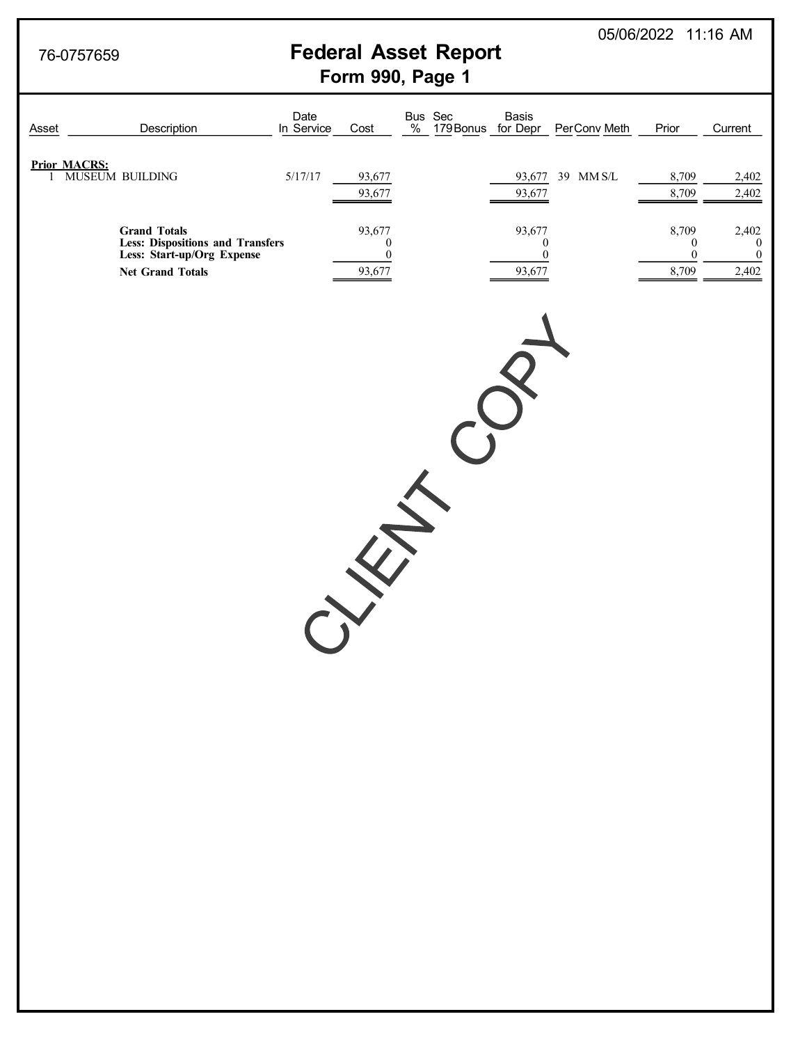#### 76-0757659 Federal Asset Report

| 76-0757659                               |                                                                                                                         |                    |                                                | <b>Federal Asset Report</b><br>Form 990, Page 1 |                                          |                  | 05/06/2022 11:16 AM                          |                                              |
|------------------------------------------|-------------------------------------------------------------------------------------------------------------------------|--------------------|------------------------------------------------|-------------------------------------------------|------------------------------------------|------------------|----------------------------------------------|----------------------------------------------|
| Asset                                    | Description                                                                                                             | Date<br>In Service | Cost                                           | Bus Sec<br>% 179 Bonus for Depr PerConv Meth    | Basis                                    |                  | Prior                                        | Current                                      |
| <b>Prior MACRS:</b><br>1 MUSEUM BUILDING |                                                                                                                         | 5/17/17            | 93,677<br>93,677                               |                                                 | 93,677                                   | 93,677 39 MM S/L | 8,709<br>8,709                               | 2,402<br>2,402                               |
|                                          | <b>Grand Totals</b><br><b>Less: Dispositions and Transfers</b><br>Less: Start-up/Org Expense<br><b>Net Grand Totals</b> |                    | 93,677<br>$\overline{0}$<br>$\theta$<br>93,677 |                                                 | 93,677<br>$\theta$<br>$\theta$<br>93,677 |                  | 8,709<br>$\overline{0}$<br>$\theta$<br>8,709 | 2,402<br>$\overline{0}$<br>$\bf{0}$<br>2,402 |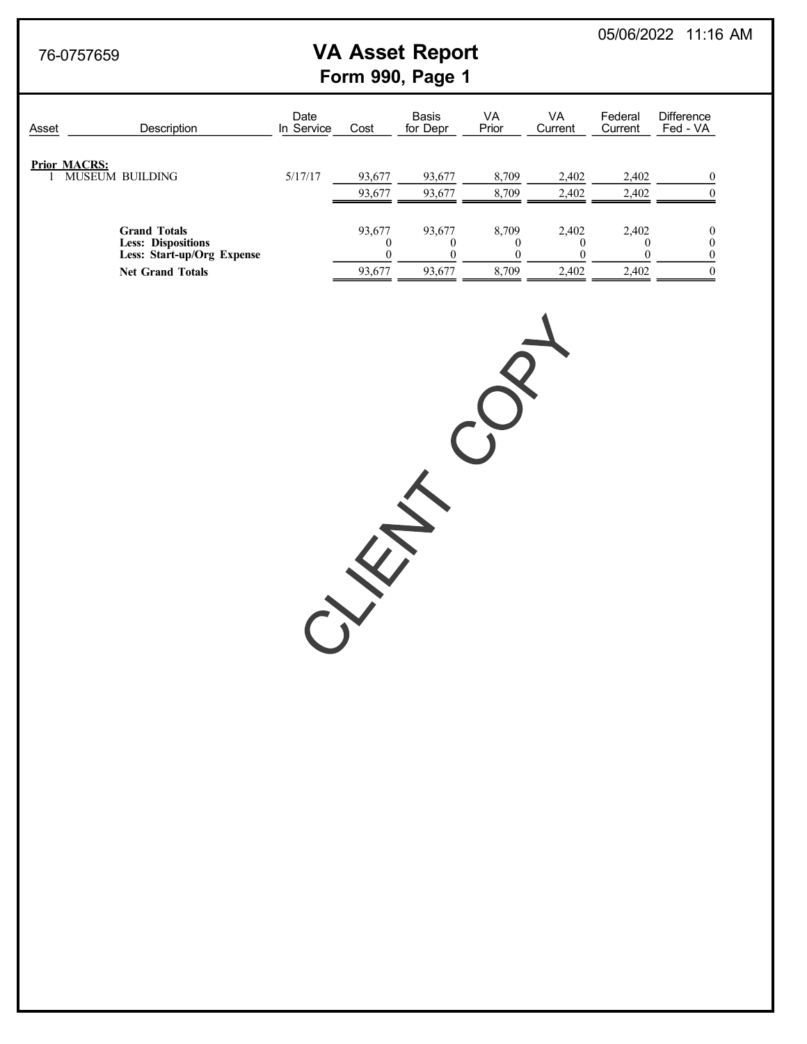# 76-0757659 VA Asset Report

05/06/2022 11:16 AM

#### Form 990, Page 1

| 76-0757659          |                                                                                                    |                    |                                                  | <b>VA Asset Report</b><br>Form 990, Page 1       |                                                  |                                              |                                                | 05/06/2022 11:16 AM                                            |
|---------------------|----------------------------------------------------------------------------------------------------|--------------------|--------------------------------------------------|--------------------------------------------------|--------------------------------------------------|----------------------------------------------|------------------------------------------------|----------------------------------------------------------------|
| Asset               | Description                                                                                        | Date<br>In Service | Cost                                             | Basis<br>for Depr                                | VA<br>Prior                                      | VA<br>Current                                | Federal<br>Current                             | Difference<br>Fed - VA                                         |
| <b>Prior MACRS:</b> | MUSEUM BUILDING                                                                                    | 5/17/17            | 93,677<br>93,677                                 | 93,677<br>93,677                                 | 8,709<br>8,709                                   | 2,402<br>2,402                               | 2,402<br>2,402                                 | $\mathbf{0}$<br>$\theta$                                       |
|                     | <b>Grand Totals</b><br>Less: Dispositions<br>Less: Start-up/Org Expense<br><b>Net Grand Totals</b> |                    | 93,677<br>$\boldsymbol{0}$<br>$\theta$<br>93,677 | 93,677<br>$\mathbf{0}$<br>$\mathbf{0}$<br>93,677 | 8,709<br>$\mathbf{0}$<br>$\overline{0}$<br>8,709 | 2,402<br>$\overline{0}$<br>$\theta$<br>2,402 | 2,402<br>$\mathbf{0}$<br>$\mathbf{0}$<br>2,402 | $\mathbf{0}$<br>$\boldsymbol{0}$<br>$\overline{0}$<br>$\Omega$ |
|                     |                                                                                                    |                    |                                                  |                                                  |                                                  |                                              |                                                |                                                                |

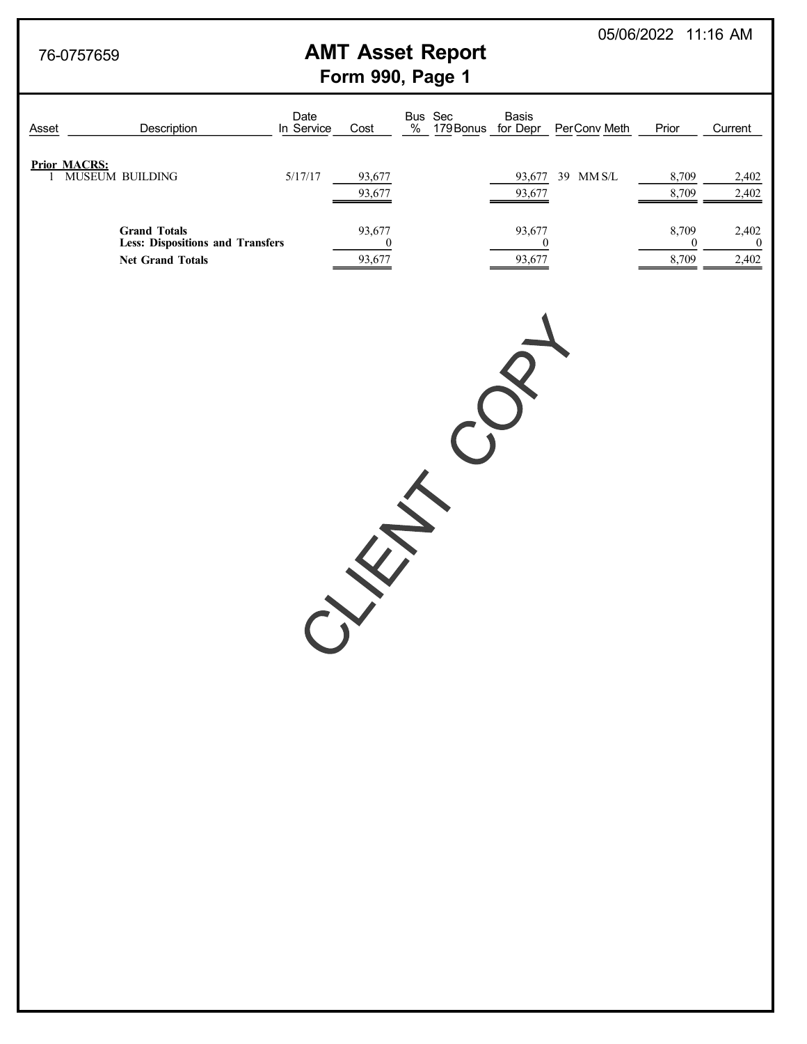## 76-0757659 AMT Asset Report

| 76-0757659                                                                                |                    |                                    | <b>AMT Asset Report</b><br>Form 990, Page 1  |                                  |                  | 05/06/2022 11:16 AM            |                                  |
|-------------------------------------------------------------------------------------------|--------------------|------------------------------------|----------------------------------------------|----------------------------------|------------------|--------------------------------|----------------------------------|
| Description<br>Asset                                                                      | Date<br>In Service | Cost                               | Bus Sec<br>% 179 Bonus for Depr PerConv Meth | Basis                            |                  | Prior                          | Current                          |
| <b>Prior MACRS:</b><br>1 MUSEUM BUILDING                                                  | 5/17/17            | 93,677<br>93,677                   |                                              | 93,677                           | 93,677 39 MM S/L | 8,709<br>8,709                 | 2,402<br>2,402                   |
| <b>Grand Totals</b><br><b>Less: Dispositions and Transfers</b><br><b>Net Grand Totals</b> |                    | 93,677<br>$\overline{0}$<br>93,677 |                                              | 93,677<br>$\mathbf{0}$<br>93,677 |                  | 8,709<br>$\mathbf{0}$<br>8,709 | 2,402<br>$\overline{0}$<br>2,402 |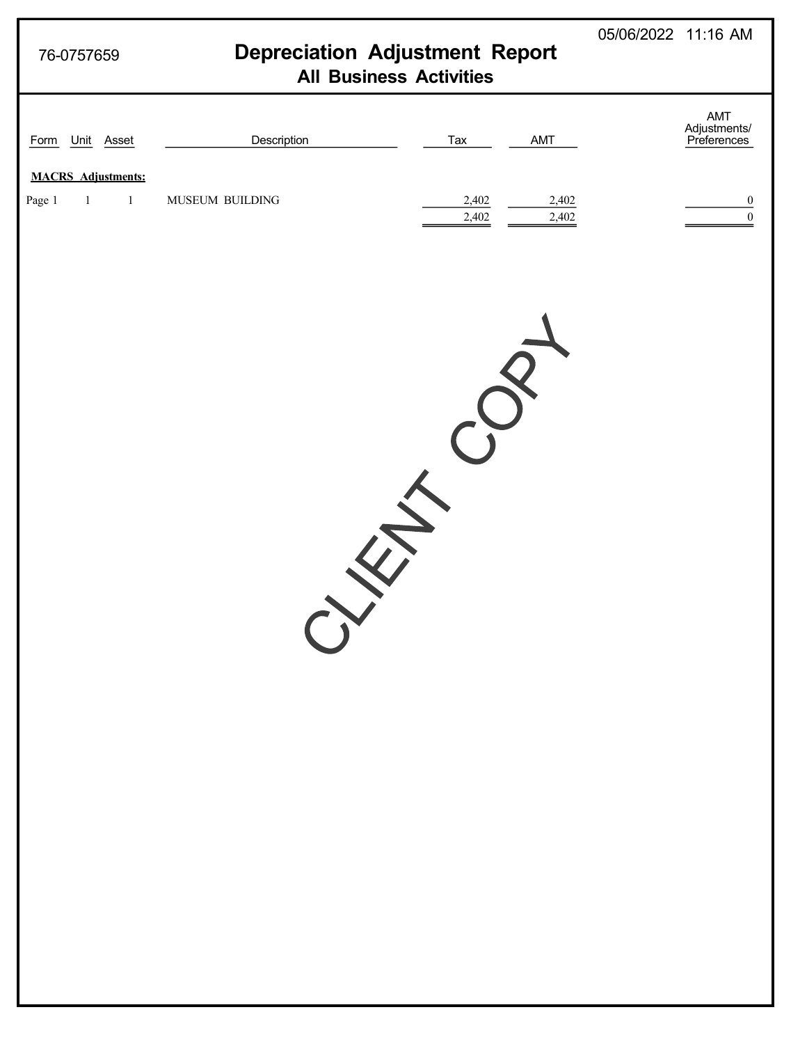#### 76-0757659 Depreciation Adjustment Report All Business Activities

05/06/2022 11:16 AM AMT Adjustments/<br>Preferences 76-0757659 **Depreciation Adjustment Report** 05/06/2022 11:16 AM<br> **All Business Activities** All Constant Constant Constant Constant Constant Constant Constant Constant Constant Constant Constant Constant Constant Constant MACRS Adjustments: 76-0757659 **Depreciation Adjustment Report** 05/06/2022 11:16 AM<br> **All Business Activities** All Business Activities<br>
Page 1 1 1 MUSEUM BUILDING 2,402 2,402 2,402 0<br>
2,402 2,402 2,402 2,402 0 **11 Report<br>ties**<br>
<u>2,402  $\frac{\text{AMT}}{\text{Adjusiments}}$ <br>  $\frac{\text{AMT}}{\text{Peferences}}$ <br>  $\frac{2,402}{2,402}$ <br>  $\frac{2,402}{2,402}$ <br>  $\frac{2,402}{2,402}$ </u>

CIVETERS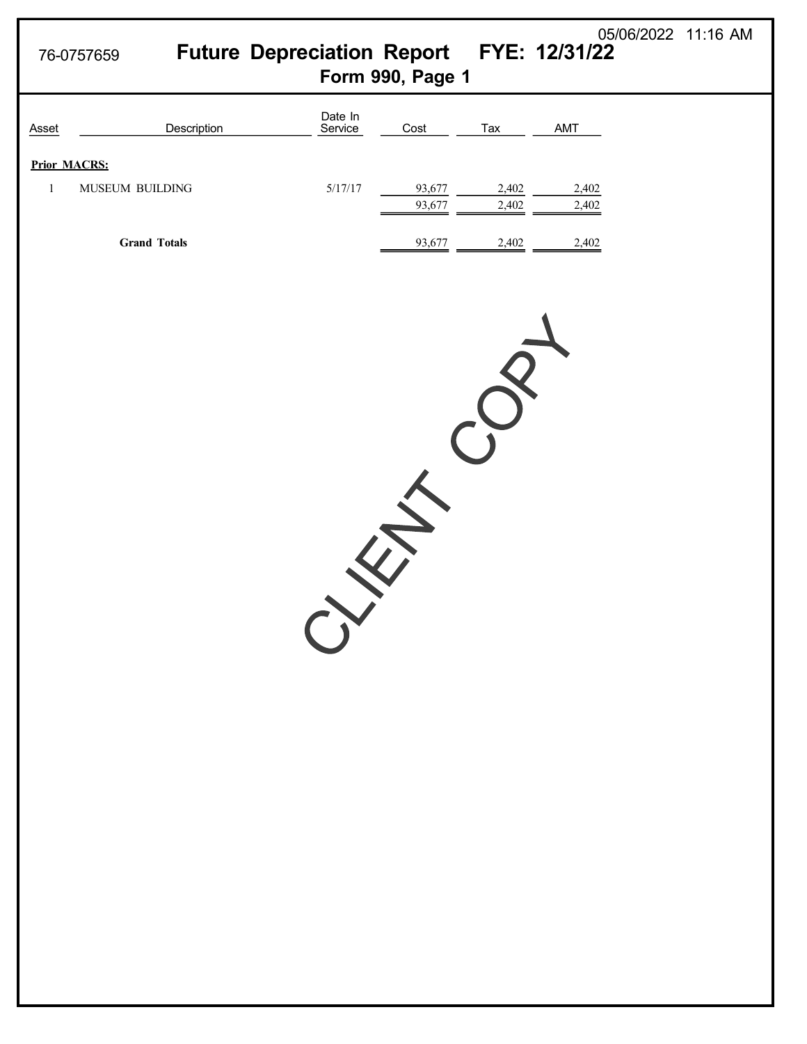# Form 990, Page 1

|              | 76-0757659          | Future Depreciation Report FYE: 12/31/22 | Form 990, Page 1 |       |       | 05/06/2022 11:16 AM |  |
|--------------|---------------------|------------------------------------------|------------------|-------|-------|---------------------|--|
| Asset        | Description         | Date In<br>Service                       | Cost             | Tax   | AMT   |                     |  |
|              | <b>Prior MACRS:</b> |                                          |                  |       |       |                     |  |
| $\mathbf{1}$ | MUSEUM BUILDING     | 5/17/17                                  | 93,677           | 2,402 | 2,402 |                     |  |
|              |                     |                                          | 93,677           | 2,402 | 2,402 |                     |  |
|              | <b>Grand Totals</b> |                                          | 93,677           | 2,402 | 2,402 |                     |  |

 $\frac{1}{2}\sum_{i=1}^{n}c_i$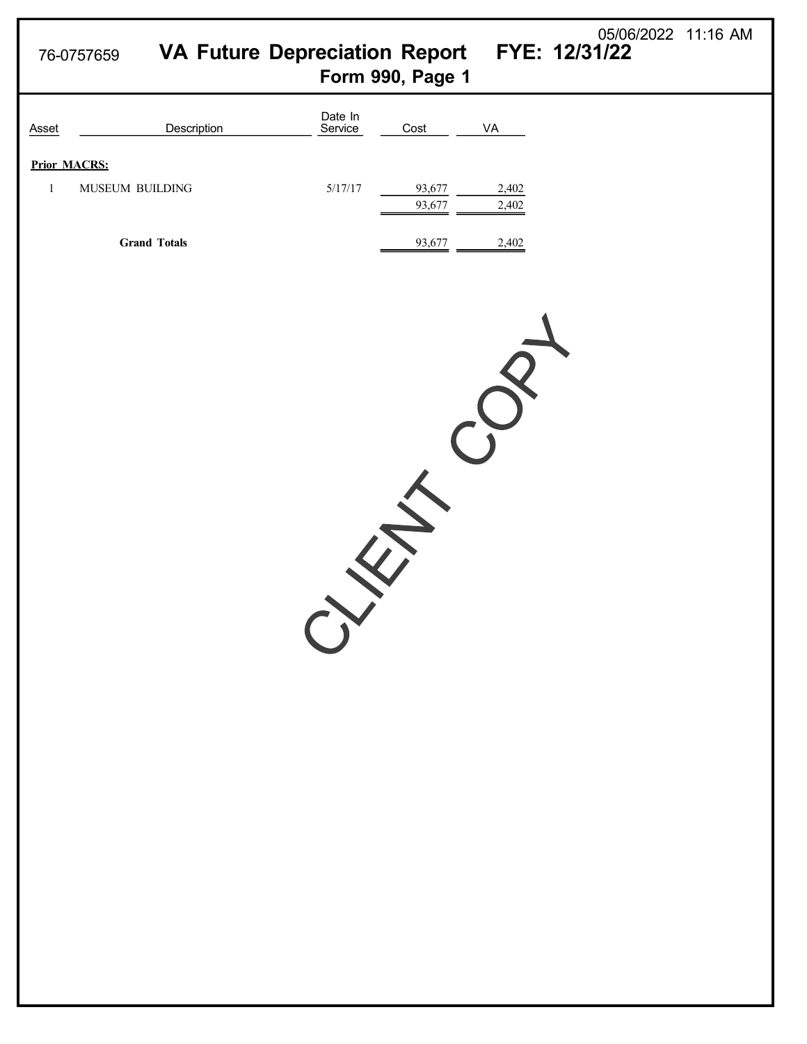05/06/2022 11:16 AM<br>**1/22** 

|                                     | <b>VA Future Depreciation Report</b><br>76-0757659 |                    |                          |       | 05/06/2022<br>FYE: 12/31/22 | 11:16 AM |
|-------------------------------------|----------------------------------------------------|--------------------|--------------------------|-------|-----------------------------|----------|
| Asset                               | Description                                        | Date In<br>Service | Form 990, Page 1<br>Cost | VA    |                             |          |
| <b>Prior MACRS:</b><br>$\mathbf{1}$ | MUSEUM BUILDING                                    | 5/17/17            | 93,677                   | 2,402 |                             |          |
|                                     |                                                    |                    | 93,677                   | 2,402 |                             |          |
|                                     | <b>Grand Totals</b>                                |                    | 93,677                   | 2,402 |                             |          |

 $\frac{1}{2}\sum_{k=1}^{\infty}\frac{1}{k}$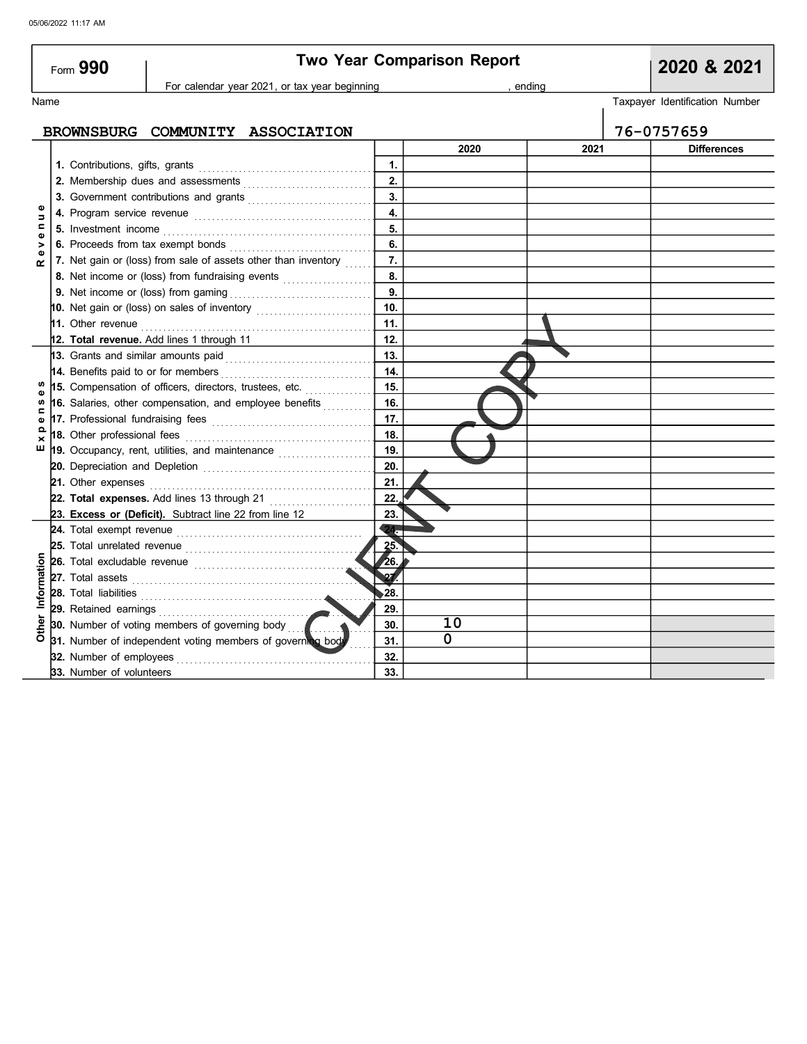|                           | 05/06/2022 11:17 AM                                                                                                                                                                                                                  |                                                        |                |                                   |             |                                |
|---------------------------|--------------------------------------------------------------------------------------------------------------------------------------------------------------------------------------------------------------------------------------|--------------------------------------------------------|----------------|-----------------------------------|-------------|--------------------------------|
|                           |                                                                                                                                                                                                                                      |                                                        |                |                                   |             |                                |
| Form 990                  |                                                                                                                                                                                                                                      |                                                        |                | <b>Two Year Comparison Report</b> | 2020 & 2021 |                                |
|                           |                                                                                                                                                                                                                                      | For calendar year 2021, or tax year beginning          |                |                                   | ending      |                                |
| Name                      |                                                                                                                                                                                                                                      |                                                        |                |                                   |             | Taxpayer Identification Number |
|                           | <b>BROWNSBURG</b>                                                                                                                                                                                                                    | COMMUNITY ASSOCIATION                                  |                |                                   |             | 76-0757659                     |
|                           |                                                                                                                                                                                                                                      |                                                        |                | 2020                              | 2021        | <b>Differences</b>             |
|                           | 1. Contributions, gifts, grants                                                                                                                                                                                                      |                                                        | $\mathbf{1}$ . |                                   |             |                                |
|                           |                                                                                                                                                                                                                                      |                                                        | 2.             |                                   |             |                                |
| ۰                         |                                                                                                                                                                                                                                      |                                                        | 3.<br>4.       |                                   |             |                                |
| $\Rightarrow$             |                                                                                                                                                                                                                                      |                                                        | 5.             |                                   |             |                                |
| $\mathbf{e}$ n<br>$\geq$  | 6. Proceeds from tax exempt bonds                                                                                                                                                                                                    |                                                        | 6.             |                                   |             |                                |
| $\bullet$<br>$\alpha$     | 7. Net gain or (loss) from sale of assets other than inventory                                                                                                                                                                       |                                                        | 7.             |                                   |             |                                |
|                           | 8. Net income or (loss) from fundraising events                                                                                                                                                                                      |                                                        | 8.             |                                   |             |                                |
|                           |                                                                                                                                                                                                                                      |                                                        | 9.             |                                   |             |                                |
|                           |                                                                                                                                                                                                                                      | 10. Net gain or (loss) on sales of inventory           |                |                                   |             |                                |
|                           | 11. Other revenue                                                                                                                                                                                                                    |                                                        | 11.            |                                   |             |                                |
|                           |                                                                                                                                                                                                                                      | 12. Total revenue. Add lines 1 through 11              | 12.            |                                   |             |                                |
|                           | 13. Grants and similar amounts paid<br>14. Benefits paid to or for members                                                                                                                                                           |                                                        | 13.<br>14.     |                                   |             |                                |
| w                         | 15. Compensation of officers, directors, trustees, etc.                                                                                                                                                                              |                                                        | 15.            |                                   |             |                                |
| $\pmb{\omega}$<br>n       | 16. Salaries, other compensation, and employee benefits                                                                                                                                                                              |                                                        | 16.            |                                   |             |                                |
| $\mathbf{r}$<br>$\bullet$ |                                                                                                                                                                                                                                      |                                                        | 17.            |                                   |             |                                |
| Q<br>$\times$             | 18. Other professional fees <b>constant of the constant of the set of the set of the set of the set of the set of the set of the set of the set of the set of the set of the set of the set of the set of the set of the set of </b> |                                                        | 18.            |                                   |             |                                |
|                           | Ш 19. Occupancy, rent, utilities, and maintenance <i>[[[[[[[[[[[]]]</i>                                                                                                                                                              |                                                        | 19.            |                                   |             |                                |
|                           |                                                                                                                                                                                                                                      |                                                        | 20.            |                                   |             |                                |
|                           |                                                                                                                                                                                                                                      |                                                        | 21.<br>22.     |                                   |             |                                |
|                           |                                                                                                                                                                                                                                      | 23. Excess or (Deficit). Subtract line 22 from line 12 | 23.            |                                   |             |                                |
|                           |                                                                                                                                                                                                                                      |                                                        | 24.            |                                   |             |                                |
|                           |                                                                                                                                                                                                                                      |                                                        | 25.            |                                   |             |                                |
|                           | Solid Lawrence Charles Charles Charles Charles Charles Charles Charles Charles Charles Charles Charles Charles Charles Charles Charles Charles Charles Charles Charles Charles Charles Charles Charles Charles Charles Charles       |                                                        | <b>26.</b>     |                                   |             |                                |
|                           |                                                                                                                                                                                                                                      |                                                        | 21             |                                   |             |                                |
|                           |                                                                                                                                                                                                                                      |                                                        | ≱28.           |                                   |             |                                |
|                           |                                                                                                                                                                                                                                      |                                                        | 29.            | 10                                |             |                                |
|                           | 30. Number of voting members of governing body<br>31. Number of independent voting members of governing body                                                                                                                         |                                                        | 30.<br>31.     | $\mathbf 0$                       |             |                                |
|                           |                                                                                                                                                                                                                                      | 32. Number of employees                                | 32.            |                                   |             |                                |
| Other                     |                                                                                                                                                                                                                                      |                                                        | 33.            |                                   |             |                                |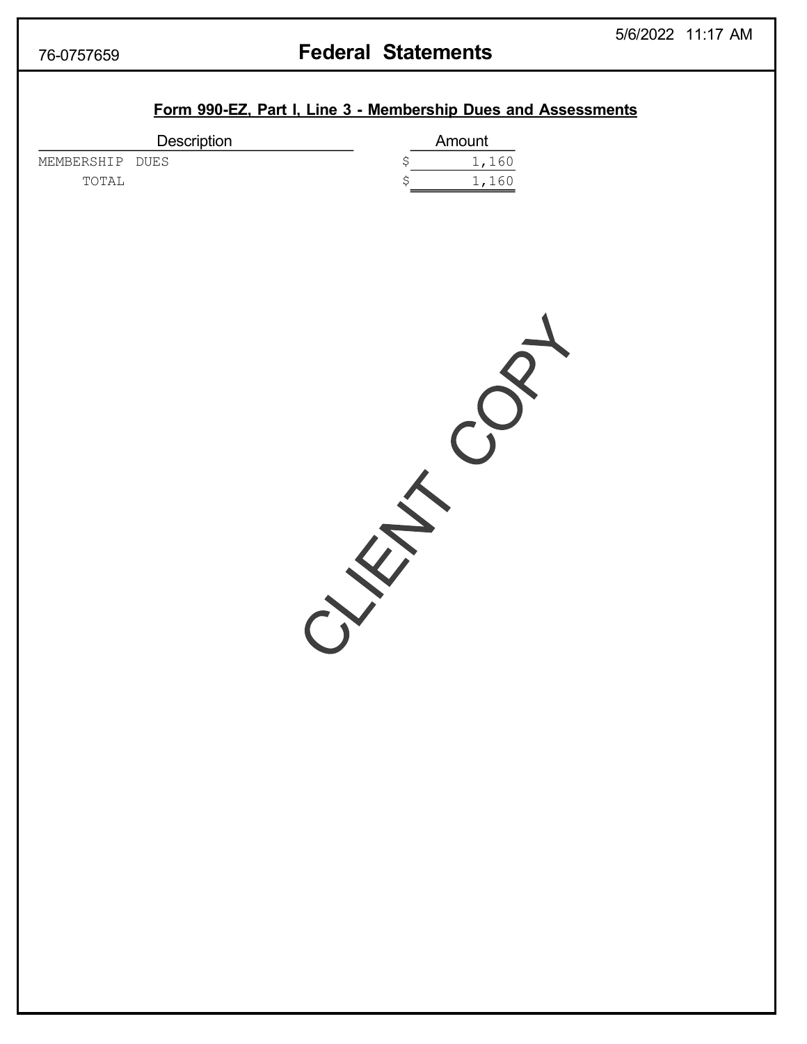# 76-0757659 Federal Statements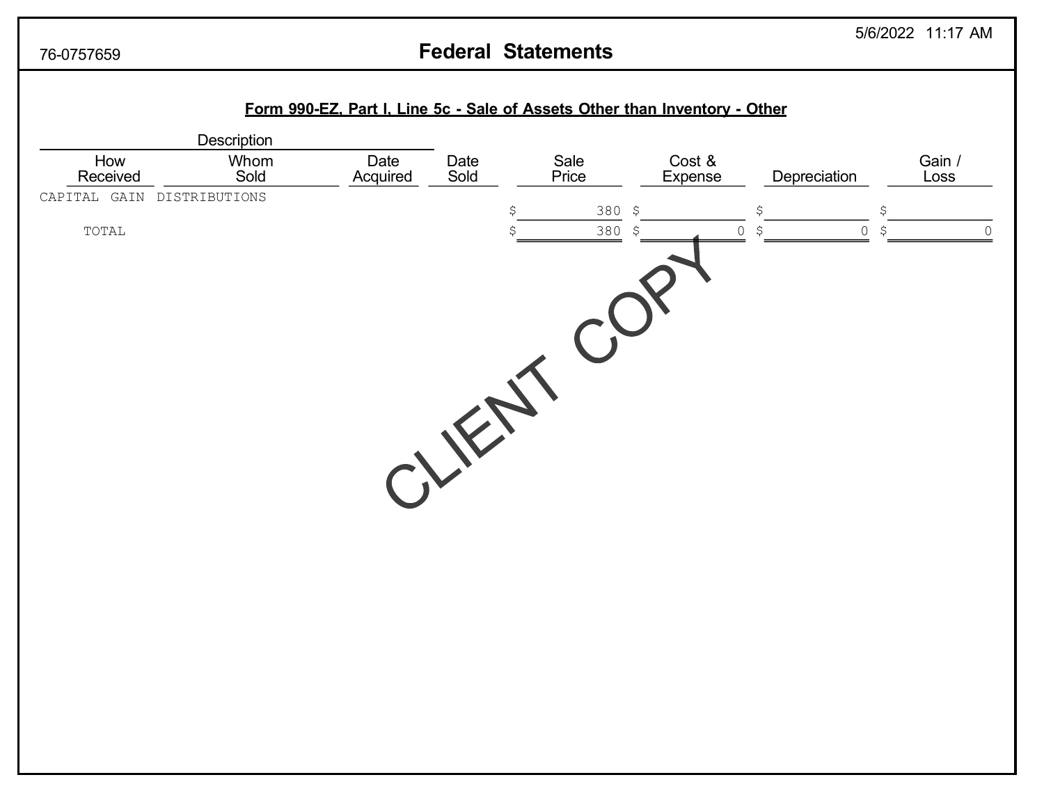### 76-0757659 Federal Statements

|                                                                                       |                                                                                                                                                                                                                | 5/6/2022 11:17 AM                                                     |
|---------------------------------------------------------------------------------------|----------------------------------------------------------------------------------------------------------------------------------------------------------------------------------------------------------------|-----------------------------------------------------------------------|
| 76-0757659                                                                            | <b>Federal Statements</b>                                                                                                                                                                                      |                                                                       |
| Description<br>How<br>Whom<br>Received<br>Sold<br>CAPITAL GAIN DISTRIBUTIONS<br>TOTAL | Form 990-EZ, Part I, Line 5c - Sale of Assets Other than Inventory - Other<br>Sale<br>Date<br>Cost &<br>Date<br>Price<br>Sold<br>Expense<br>Acquired<br>380 \$<br>\$<br>380<br>$\varsigma$<br>\$<br>CLIENT COP | Gain /<br>Depreciation<br>Loss<br>\$<br>Ŝ.<br>$0$ \$<br>$\circ$<br>S. |